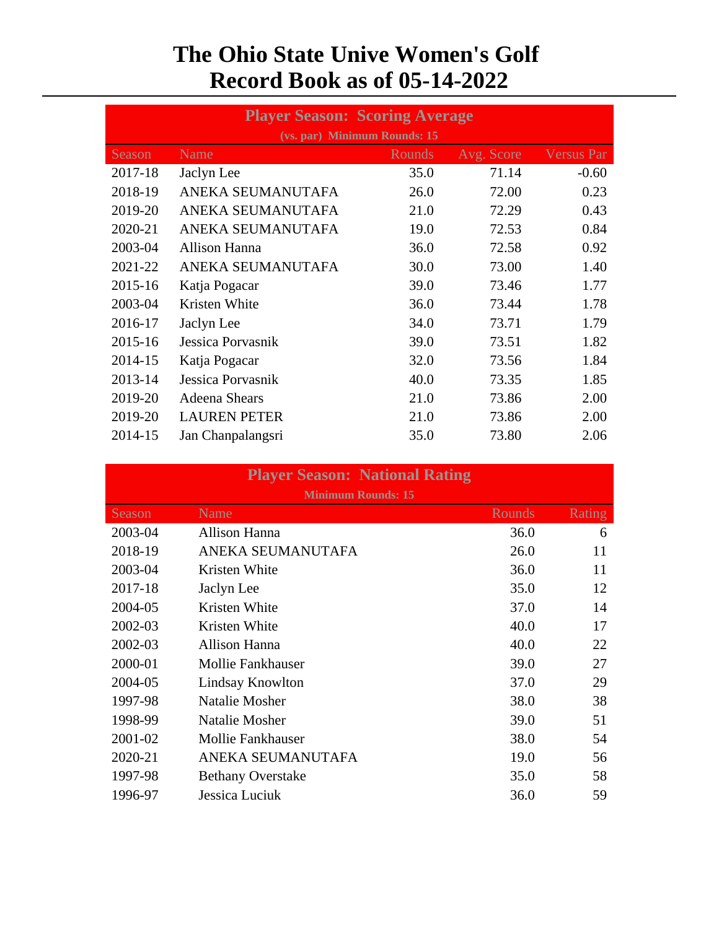|         | <b>Player Season: Scoring Average</b> |        |            |                   |
|---------|---------------------------------------|--------|------------|-------------------|
|         | (vs. par) Minimum Rounds: 15          |        |            |                   |
| Season  | Name                                  | Rounds | Avg. Score | <b>Versus Par</b> |
| 2017-18 | Jaclyn Lee                            | 35.0   | 71.14      | $-0.60$           |
| 2018-19 | ANEKA SEUMANUTAFA                     | 26.0   | 72.00      | 0.23              |
| 2019-20 | ANEKA SEUMANUTAFA                     | 21.0   | 72.29      | 0.43              |
| 2020-21 | ANEKA SEUMANUTAFA                     | 19.0   | 72.53      | 0.84              |
| 2003-04 | <b>Allison Hanna</b>                  | 36.0   | 72.58      | 0.92              |
| 2021-22 | ANEKA SEUMANUTAFA                     | 30.0   | 73.00      | 1.40              |
| 2015-16 | Katja Pogacar                         | 39.0   | 73.46      | 1.77              |
| 2003-04 | Kristen White                         | 36.0   | 73.44      | 1.78              |
| 2016-17 | Jaclyn Lee                            | 34.0   | 73.71      | 1.79              |
| 2015-16 | Jessica Porvasnik                     | 39.0   | 73.51      | 1.82              |
| 2014-15 | Katja Pogacar                         | 32.0   | 73.56      | 1.84              |
| 2013-14 | Jessica Porvasnik                     | 40.0   | 73.35      | 1.85              |
| 2019-20 | Adeena Shears                         | 21.0   | 73.86      | 2.00              |
| 2019-20 | <b>LAUREN PETER</b>                   | 21.0   | 73.86      | 2.00              |
| 2014-15 | Jan Chanpalangsri                     | 35.0   | 73.80      | 2.06              |

|         | <b>Player Season: National Rating</b><br><b>Minimum Rounds: 15</b> |        |        |
|---------|--------------------------------------------------------------------|--------|--------|
| Season  | Name                                                               | Rounds | Rating |
| 2003-04 | Allison Hanna                                                      | 36.0   | 6      |
| 2018-19 | ANEKA SEUMANUTAFA                                                  | 26.0   | 11     |
| 2003-04 | Kristen White                                                      | 36.0   | 11     |
| 2017-18 | Jaclyn Lee                                                         | 35.0   | 12     |
| 2004-05 | Kristen White                                                      | 37.0   | 14     |
| 2002-03 | Kristen White                                                      | 40.0   | 17     |
| 2002-03 | <b>Allison Hanna</b>                                               | 40.0   | 22     |
| 2000-01 | Mollie Fankhauser                                                  | 39.0   | 27     |
| 2004-05 | Lindsay Knowlton                                                   | 37.0   | 29     |
| 1997-98 | Natalie Mosher                                                     | 38.0   | 38     |
| 1998-99 | Natalie Mosher                                                     | 39.0   | 51     |
| 2001-02 | Mollie Fankhauser                                                  | 38.0   | 54     |
| 2020-21 | ANEKA SEUMANUTAFA                                                  | 19.0   | 56     |
| 1997-98 | <b>Bethany Overstake</b>                                           | 35.0   | 58     |
| 1996-97 | Jessica Luciuk                                                     | 36.0   | 59     |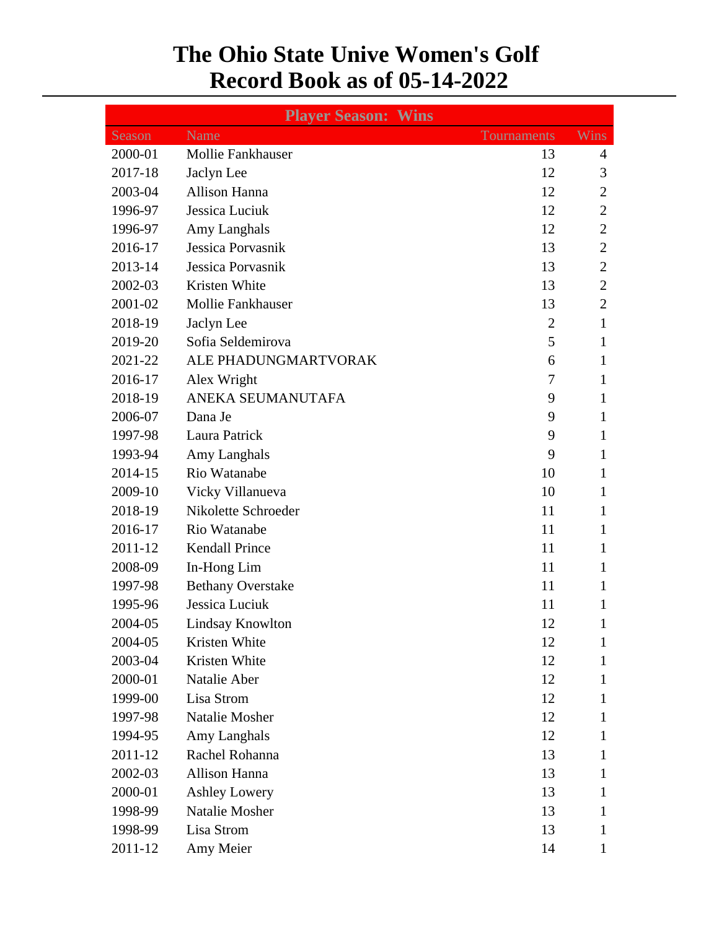| <b>Player Season: Wins</b> |                          |                |                |
|----------------------------|--------------------------|----------------|----------------|
| Season                     | Name                     | Tournaments    | Wins           |
| 2000-01                    | Mollie Fankhauser        | 13             | 4              |
| 2017-18                    | Jaclyn Lee               | 12             | 3              |
| 2003-04                    | <b>Allison Hanna</b>     | 12             | $\mathfrak{2}$ |
| 1996-97                    | Jessica Luciuk           | 12             | 2              |
| 1996-97                    | Amy Langhals             | 12             | $\overline{2}$ |
| 2016-17                    | Jessica Porvasnik        | 13             | $\overline{2}$ |
| 2013-14                    | Jessica Porvasnik        | 13             | 2              |
| 2002-03                    | Kristen White            | 13             | $\overline{2}$ |
| 2001-02                    | Mollie Fankhauser        | 13             | $\overline{2}$ |
| 2018-19                    | Jaclyn Lee               | $\overline{2}$ | $\mathbf{1}$   |
| 2019-20                    | Sofia Seldemirova        | 5              | 1              |
| 2021-22                    | ALE PHADUNGMARTVORAK     | 6              | 1              |
| 2016-17                    | Alex Wright              | 7              | 1              |
| 2018-19                    | ANEKA SEUMANUTAFA        | 9              | 1              |
| 2006-07                    | Dana Je                  | 9              | 1              |
| 1997-98                    | Laura Patrick            | 9              | 1              |
| 1993-94                    | Amy Langhals             | 9              | 1              |
| 2014-15                    | Rio Watanabe             | 10             | 1              |
| 2009-10                    | Vicky Villanueva         | 10             | 1              |
| 2018-19                    | Nikolette Schroeder      | 11             | 1              |
| 2016-17                    | Rio Watanabe             | 11             | 1              |
| 2011-12                    | <b>Kendall Prince</b>    | 11             | 1              |
| 2008-09                    | In-Hong Lim              | 11             | 1              |
| 1997-98                    | <b>Bethany Overstake</b> | 11             | 1              |
| 1995-96                    | Jessica Luciuk           | 11             | 1              |
| 2004-05                    | <b>Lindsay Knowlton</b>  | 12             | $\mathbf{1}$   |
| 2004-05                    | Kristen White            | 12             | 1              |
| 2003-04                    | Kristen White            | 12             | 1              |
| 2000-01                    | Natalie Aber             | 12             | 1              |
| 1999-00                    | Lisa Strom               | 12             | 1              |
| 1997-98                    | Natalie Mosher           | 12             | 1              |
| 1994-95                    | Amy Langhals             | 12             | 1              |
| 2011-12                    | Rachel Rohanna           | 13             | 1              |
| 2002-03                    | Allison Hanna            | 13             | 1              |
| 2000-01                    | <b>Ashley Lowery</b>     | 13             | 1              |
| 1998-99                    | Natalie Mosher           | 13             | 1              |
| 1998-99                    | Lisa Strom               | 13             | 1              |
| 2011-12                    | Amy Meier                | 14             | $\mathbf{1}$   |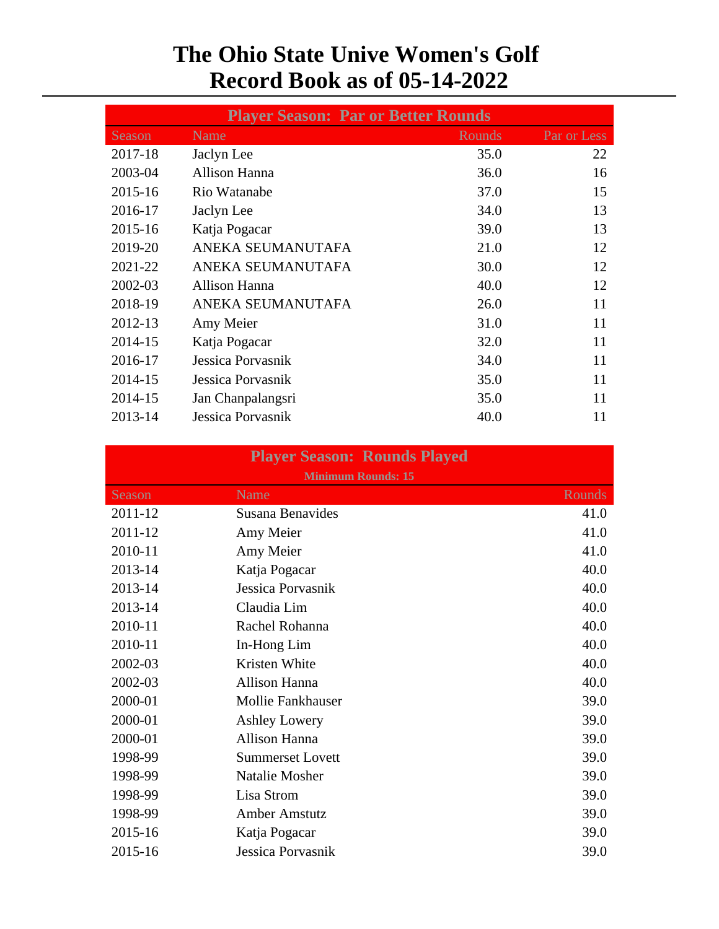| <b>Player Season: Par or Better Rounds</b> |                      |        |             |
|--------------------------------------------|----------------------|--------|-------------|
| Season                                     | Name                 | Rounds | Par or Less |
| 2017-18                                    | Jaclyn Lee           | 35.0   | 22          |
| 2003-04                                    | <b>Allison Hanna</b> | 36.0   | 16          |
| 2015-16                                    | Rio Watanabe         | 37.0   | 15          |
| 2016-17                                    | Jaclyn Lee           | 34.0   | 13          |
| 2015-16                                    | Katja Pogacar        | 39.0   | 13          |
| 2019-20                                    | ANEKA SEUMANUTAFA    | 21.0   | 12          |
| 2021-22                                    | ANEKA SEUMANUTAFA    | 30.0   | 12          |
| 2002-03                                    | <b>Allison Hanna</b> | 40.0   | 12          |
| 2018-19                                    | ANEKA SEUMANUTAFA    | 26.0   | 11          |
| 2012-13                                    | Amy Meier            | 31.0   | 11          |
| 2014-15                                    | Katja Pogacar        | 32.0   | 11          |
| 2016-17                                    | Jessica Porvasnik    | 34.0   | 11          |
| 2014-15                                    | Jessica Porvasnik    | 35.0   | 11          |
| 2014-15                                    | Jan Chanpalangsri    | 35.0   | 11          |
| 2013-14                                    | Jessica Porvasnik    | 40.0   | 11          |

| <b>Player Season: Rounds Played</b><br><b>Minimum Rounds: 15</b> |                          |        |
|------------------------------------------------------------------|--------------------------|--------|
| Season                                                           | Name                     | Rounds |
| 2011-12                                                          | Susana Benavides         | 41.0   |
| 2011-12                                                          | Amy Meier                | 41.0   |
| 2010-11                                                          | Amy Meier                | 41.0   |
| 2013-14                                                          | Katja Pogacar            | 40.0   |
| 2013-14                                                          | Jessica Porvasnik        | 40.0   |
| 2013-14                                                          | Claudia Lim              | 40.0   |
| 2010-11                                                          | Rachel Rohanna           | 40.0   |
| 2010-11                                                          | In-Hong Lim              | 40.0   |
| 2002-03                                                          | Kristen White            | 40.0   |
| 2002-03                                                          | <b>Allison Hanna</b>     | 40.0   |
| 2000-01                                                          | <b>Mollie Fankhauser</b> | 39.0   |
| 2000-01                                                          | <b>Ashley Lowery</b>     | 39.0   |
| 2000-01                                                          | <b>Allison Hanna</b>     | 39.0   |
| 1998-99                                                          | <b>Summerset Lovett</b>  | 39.0   |
| 1998-99                                                          | Natalie Mosher           | 39.0   |
| 1998-99                                                          | Lisa Strom               | 39.0   |
| 1998-99                                                          | <b>Amber Amstutz</b>     | 39.0   |
| 2015-16                                                          | Katja Pogacar            | 39.0   |
| 2015-16                                                          | Jessica Porvasnik        | 39.0   |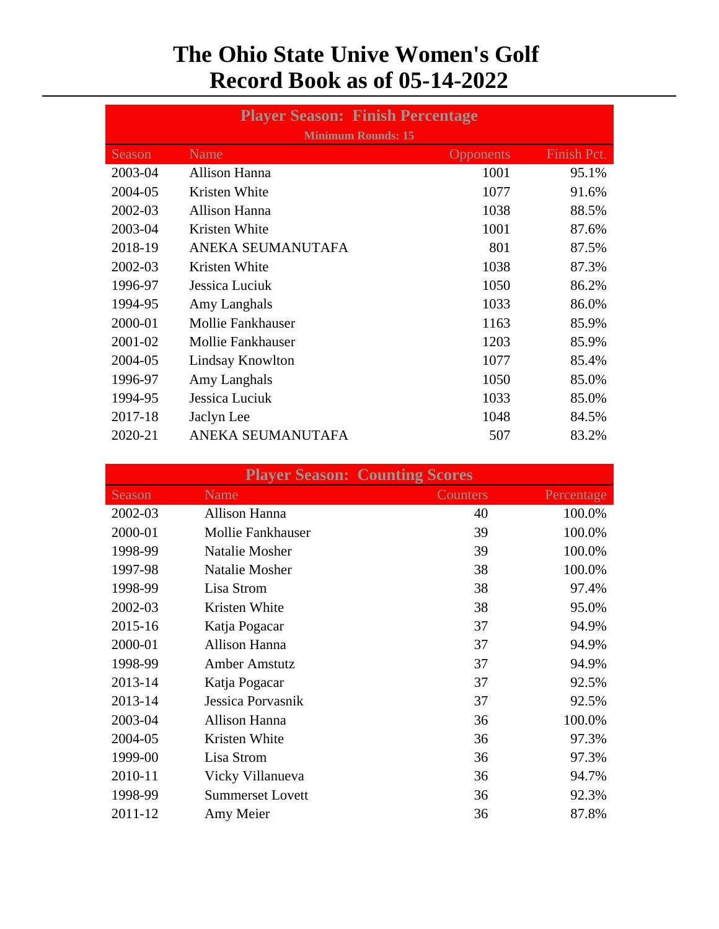| <b>Player Season: Finish Percentage</b> |                          |                  |             |
|-----------------------------------------|--------------------------|------------------|-------------|
| <b>Minimum Rounds: 15</b>               |                          |                  |             |
| Season                                  | Name                     | <b>Opponents</b> | Finish Pct. |
| 2003-04                                 | <b>Allison Hanna</b>     | 1001             | 95.1%       |
| 2004-05                                 | Kristen White            | 1077             | 91.6%       |
| 2002-03                                 | <b>Allison Hanna</b>     | 1038             | 88.5%       |
| 2003-04                                 | Kristen White            | 1001             | 87.6%       |
| 2018-19                                 | ANEKA SEUMANUTAFA        | 801              | 87.5%       |
| 2002-03                                 | Kristen White            | 1038             | 87.3%       |
| 1996-97                                 | Jessica Luciuk           | 1050             | 86.2%       |
| 1994-95                                 | Amy Langhals             | 1033             | 86.0%       |
| 2000-01                                 | <b>Mollie Fankhauser</b> | 1163             | 85.9%       |
| 2001-02                                 | <b>Mollie Fankhauser</b> | 1203             | 85.9%       |
| 2004-05                                 | Lindsay Knowlton         | 1077             | 85.4%       |
| 1996-97                                 | Amy Langhals             | 1050             | 85.0%       |
| 1994-95                                 | Jessica Luciuk           | 1033             | 85.0%       |
| 2017-18                                 | Jaclyn Lee               | 1048             | 84.5%       |
| 2020-21                                 | ANEKA SEUMANUTAFA        | 507              | 83.2%       |

| <b>Player Season: Counting Scores</b> |                          |          |            |
|---------------------------------------|--------------------------|----------|------------|
| Season                                | Name                     | Counters | Percentage |
| 2002-03                               | Allison Hanna            | 40       | 100.0%     |
| 2000-01                               | <b>Mollie Fankhauser</b> | 39       | 100.0%     |
| 1998-99                               | Natalie Mosher           | 39       | 100.0%     |
| 1997-98                               | Natalie Mosher           | 38       | 100.0%     |
| 1998-99                               | Lisa Strom               | 38       | 97.4%      |
| 2002-03                               | Kristen White            | 38       | 95.0%      |
| 2015-16                               | Katja Pogacar            | 37       | 94.9%      |
| 2000-01                               | Allison Hanna            | 37       | 94.9%      |
| 1998-99                               | Amber Amstutz            | 37       | 94.9%      |
| 2013-14                               | Katja Pogacar            | 37       | 92.5%      |
| 2013-14                               | Jessica Porvasnik        | 37       | 92.5%      |
| 2003-04                               | Allison Hanna            | 36       | 100.0%     |
| 2004-05                               | Kristen White            | 36       | 97.3%      |
| 1999-00                               | Lisa Strom               | 36       | 97.3%      |
| 2010-11                               | Vicky Villanueva         | 36       | 94.7%      |
| 1998-99                               | <b>Summerset Lovett</b>  | 36       | 92.3%      |
| 2011-12                               | Amy Meier                | 36       | 87.8%      |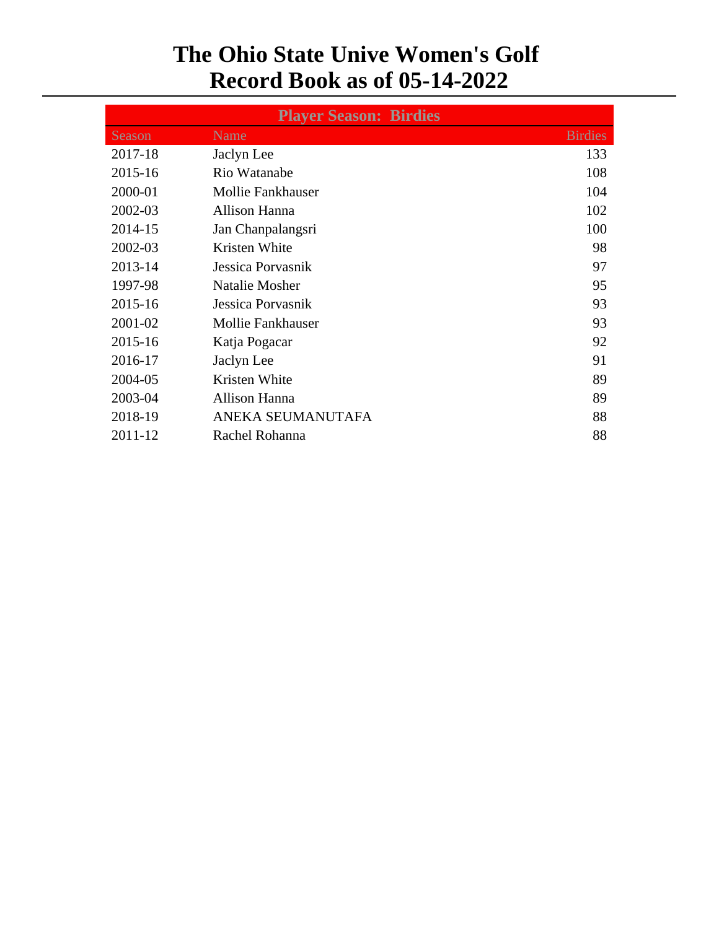| <b>Player Season: Birdies</b> |                          |                |
|-------------------------------|--------------------------|----------------|
| Season                        | Name                     | <b>Birdies</b> |
| 2017-18                       | Jaclyn Lee               | 133            |
| 2015-16                       | Rio Watanabe             | 108            |
| 2000-01                       | Mollie Fankhauser        | 104            |
| 2002-03                       | <b>Allison Hanna</b>     | 102            |
| 2014-15                       | Jan Chanpalangsri        | 100            |
| 2002-03                       | Kristen White            | 98             |
| 2013-14                       | Jessica Porvasnik        | 97             |
| 1997-98                       | Natalie Mosher           | 95             |
| 2015-16                       | Jessica Porvasnik        | 93             |
| 2001-02                       | <b>Mollie Fankhauser</b> | 93             |
| 2015-16                       | Katja Pogacar            | 92             |
| 2016-17                       | Jaclyn Lee               | 91             |
| 2004-05                       | Kristen White            | 89             |
| 2003-04                       | Allison Hanna            | 89             |
| 2018-19                       | ANEKA SEUMANUTAFA        | 88             |
| 2011-12                       | Rachel Rohanna           | 88             |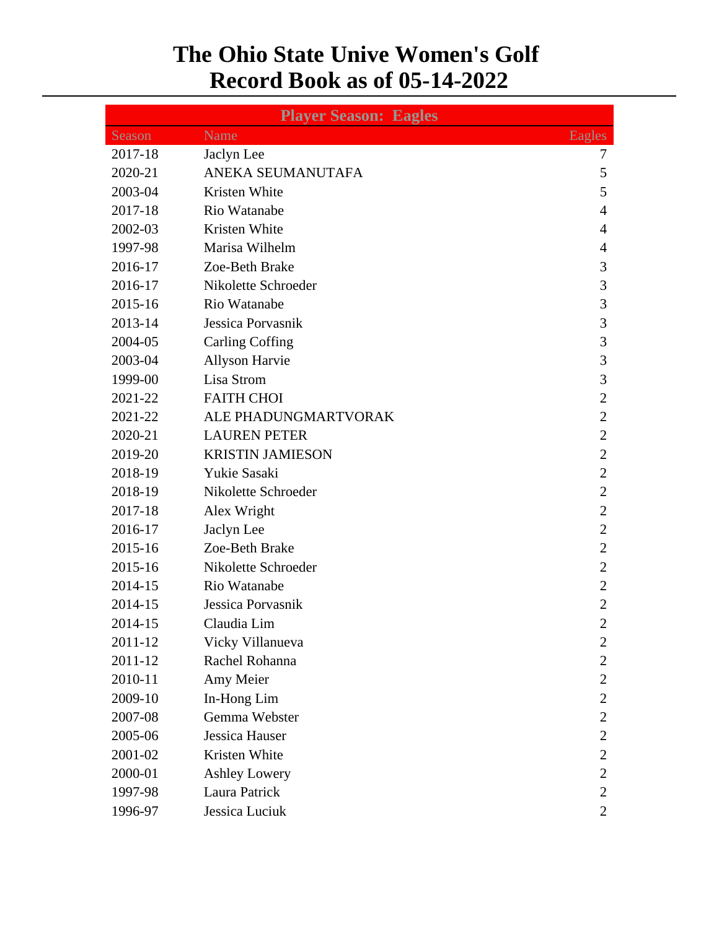| <b>Player Season: Eagles</b> |                         |                |
|------------------------------|-------------------------|----------------|
| Season                       | Name                    | Eagles         |
| 2017-18                      | Jaclyn Lee              | 7              |
| 2020-21                      | ANEKA SEUMANUTAFA       | 5              |
| 2003-04                      | Kristen White           | 5              |
| 2017-18                      | Rio Watanabe            | 4              |
| 2002-03                      | Kristen White           | 4              |
| 1997-98                      | Marisa Wilhelm          | $\overline{4}$ |
| 2016-17                      | Zoe-Beth Brake          | 3              |
| 2016-17                      | Nikolette Schroeder     | 3              |
| 2015-16                      | Rio Watanabe            | 3              |
| 2013-14                      | Jessica Porvasnik       | 3              |
| 2004-05                      | <b>Carling Coffing</b>  | 3              |
| 2003-04                      | Allyson Harvie          | 3              |
| 1999-00                      | Lisa Strom              | 3              |
| 2021-22                      | <b>FAITH CHOI</b>       | $\overline{2}$ |
| 2021-22                      | ALE PHADUNGMARTVORAK    | $\overline{2}$ |
| 2020-21                      | <b>LAUREN PETER</b>     | $\overline{2}$ |
| 2019-20                      | <b>KRISTIN JAMIESON</b> | $\overline{2}$ |
| 2018-19                      | Yukie Sasaki            | $\overline{2}$ |
| 2018-19                      | Nikolette Schroeder     | $\overline{2}$ |
| 2017-18                      | Alex Wright             | $\overline{2}$ |
| 2016-17                      | Jaclyn Lee              | $\overline{2}$ |
| 2015-16                      | Zoe-Beth Brake          | $\overline{2}$ |
| 2015-16                      | Nikolette Schroeder     | $\overline{2}$ |
| 2014-15                      | Rio Watanabe            | $\overline{2}$ |
| 2014-15                      | Jessica Porvasnik       | $\overline{2}$ |
| 2014-15                      | Claudia Lim             | $\overline{2}$ |
| 2011-12                      | Vicky Villanueva        | $\overline{2}$ |
| 2011-12                      | Rachel Rohanna          | $\overline{c}$ |
| 2010-11                      | Amy Meier               | $\overline{2}$ |
| 2009-10                      | In-Hong Lim             | $\overline{2}$ |
| 2007-08                      | Gemma Webster           | $\overline{c}$ |
| 2005-06                      | Jessica Hauser          | $\overline{2}$ |
| 2001-02                      | Kristen White           | $\overline{2}$ |
| 2000-01                      | <b>Ashley Lowery</b>    | $\overline{2}$ |
| 1997-98                      | Laura Patrick           | $\overline{2}$ |
| 1996-97                      | Jessica Luciuk          | $\overline{2}$ |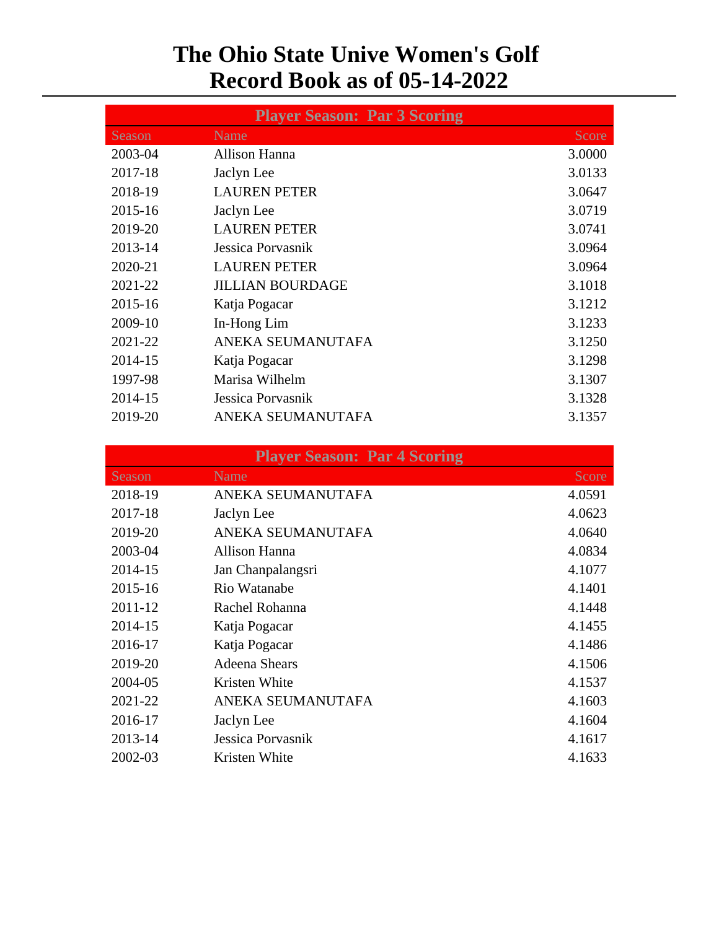|         | <b>Player Season: Par 3 Scoring</b> |        |
|---------|-------------------------------------|--------|
| Season  | Name                                | Score  |
| 2003-04 | <b>Allison Hanna</b>                | 3.0000 |
| 2017-18 | Jaclyn Lee                          | 3.0133 |
| 2018-19 | <b>LAUREN PETER</b>                 | 3.0647 |
| 2015-16 | Jaclyn Lee                          | 3.0719 |
| 2019-20 | <b>LAUREN PETER</b>                 | 3.0741 |
| 2013-14 | Jessica Porvasnik                   | 3.0964 |
| 2020-21 | <b>LAUREN PETER</b>                 | 3.0964 |
| 2021-22 | <b>JILLIAN BOURDAGE</b>             | 3.1018 |
| 2015-16 | Katja Pogacar                       | 3.1212 |
| 2009-10 | In-Hong Lim                         | 3.1233 |
| 2021-22 | ANEKA SEUMANUTAFA                   | 3.1250 |
| 2014-15 | Katja Pogacar                       | 3.1298 |
| 1997-98 | Marisa Wilhelm                      | 3.1307 |
| 2014-15 | Jessica Porvasnik                   | 3.1328 |
| 2019-20 | ANEKA SEUMANUTAFA                   | 3.1357 |

| <b>Player Season: Par 4 Scoring</b> |                      |        |
|-------------------------------------|----------------------|--------|
| Season                              | Name                 | Score  |
| 2018-19                             | ANEKA SEUMANUTAFA    | 4.0591 |
| 2017-18                             | Jaclyn Lee           | 4.0623 |
| 2019-20                             | ANEKA SEUMANUTAFA    | 4.0640 |
| 2003-04                             | Allison Hanna        | 4.0834 |
| 2014-15                             | Jan Chanpalangsri    | 4.1077 |
| 2015-16                             | Rio Watanabe         | 4.1401 |
| 2011-12                             | Rachel Rohanna       | 4.1448 |
| 2014-15                             | Katja Pogacar        | 4.1455 |
| 2016-17                             | Katja Pogacar        | 4.1486 |
| 2019-20                             | <b>Adeena Shears</b> | 4.1506 |
| 2004-05                             | Kristen White        | 4.1537 |
| 2021-22                             | ANEKA SEUMANUTAFA    | 4.1603 |
| 2016-17                             | Jaclyn Lee           | 4.1604 |
| 2013-14                             | Jessica Porvasnik    | 4.1617 |
| 2002-03                             | Kristen White        | 4.1633 |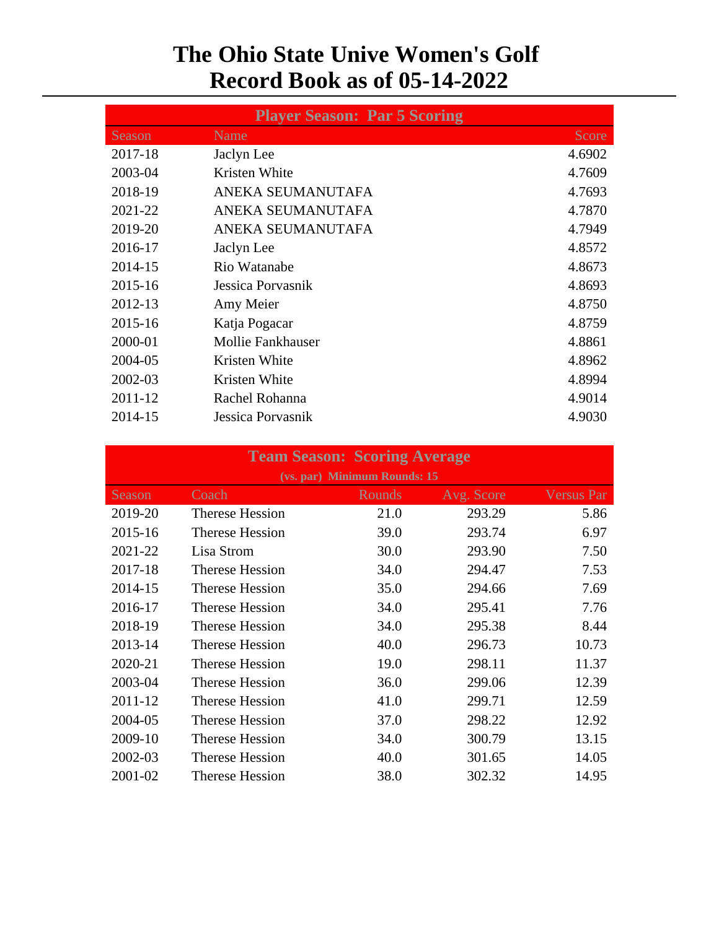| <b>Player Season: Par 5 Scoring</b> |                   |        |
|-------------------------------------|-------------------|--------|
| Season                              | Name              | Score  |
| 2017-18                             | Jaclyn Lee        | 4.6902 |
| 2003-04                             | Kristen White     | 4.7609 |
| 2018-19                             | ANEKA SEUMANUTAFA | 4.7693 |
| 2021-22                             | ANEKA SEUMANUTAFA | 4.7870 |
| 2019-20                             | ANEKA SEUMANUTAFA | 4.7949 |
| 2016-17                             | Jaclyn Lee        | 4.8572 |
| 2014-15                             | Rio Watanabe      | 4.8673 |
| 2015-16                             | Jessica Porvasnik | 4.8693 |
| 2012-13                             | Amy Meier         | 4.8750 |
| 2015-16                             | Katja Pogacar     | 4.8759 |
| 2000-01                             | Mollie Fankhauser | 4.8861 |
| 2004-05                             | Kristen White     | 4.8962 |
| 2002-03                             | Kristen White     | 4.8994 |
| 2011-12                             | Rachel Rohanna    | 4.9014 |
| 2014-15                             | Jessica Porvasnik | 4.9030 |

| <b>Team Season: Scoring Average</b> |                        |                              |            |                   |
|-------------------------------------|------------------------|------------------------------|------------|-------------------|
|                                     |                        | (vs. par) Minimum Rounds: 15 |            |                   |
| Season                              | Coach                  | Rounds                       | Avg. Score | <b>Versus Par</b> |
| 2019-20                             | <b>Therese Hession</b> | 21.0                         | 293.29     | 5.86              |
| 2015-16                             | <b>Therese Hession</b> | 39.0                         | 293.74     | 6.97              |
| 2021-22                             | Lisa Strom             | 30.0                         | 293.90     | 7.50              |
| 2017-18                             | <b>Therese Hession</b> | 34.0                         | 294.47     | 7.53              |
| 2014-15                             | <b>Therese Hession</b> | 35.0                         | 294.66     | 7.69              |
| 2016-17                             | <b>Therese Hession</b> | 34.0                         | 295.41     | 7.76              |
| 2018-19                             | <b>Therese Hession</b> | 34.0                         | 295.38     | 8.44              |
| 2013-14                             | <b>Therese Hession</b> | 40.0                         | 296.73     | 10.73             |
| 2020-21                             | <b>Therese Hession</b> | 19.0                         | 298.11     | 11.37             |
| 2003-04                             | <b>Therese Hession</b> | 36.0                         | 299.06     | 12.39             |
| 2011-12                             | <b>Therese Hession</b> | 41.0                         | 299.71     | 12.59             |
| 2004-05                             | <b>Therese Hession</b> | 37.0                         | 298.22     | 12.92             |
| 2009-10                             | <b>Therese Hession</b> | 34.0                         | 300.79     | 13.15             |
| 2002-03                             | Therese Hession        | 40.0                         | 301.65     | 14.05             |
| 2001-02                             | Therese Hession        | 38.0                         | 302.32     | 14.95             |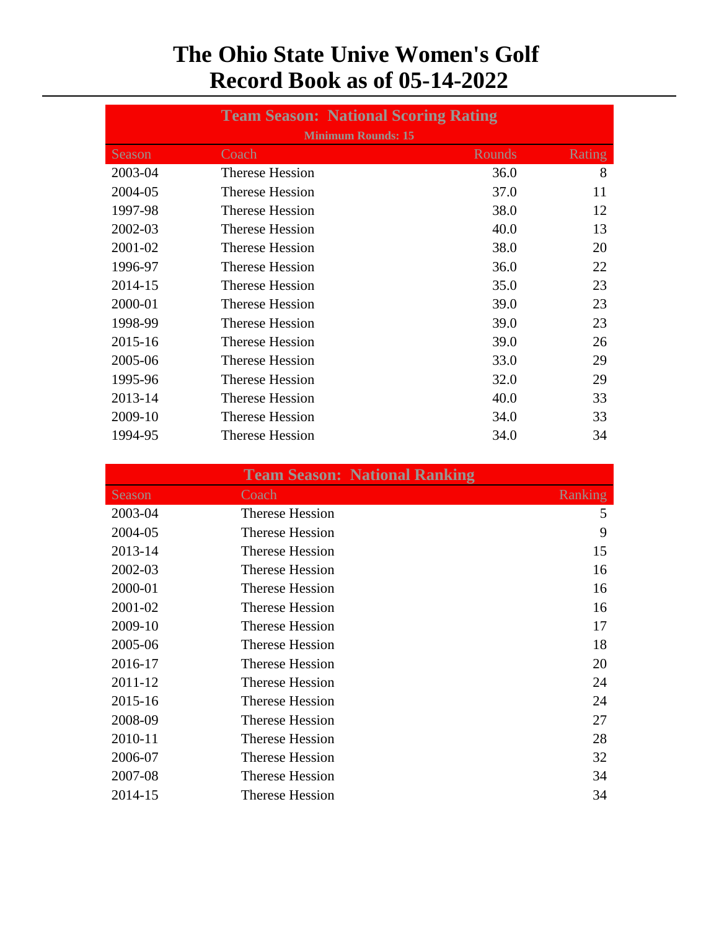|         |                           | <b>Team Season: National Scoring Rating</b> |        |  |
|---------|---------------------------|---------------------------------------------|--------|--|
|         | <b>Minimum Rounds: 15</b> |                                             |        |  |
| Season  | Coach                     | Rounds                                      | Rating |  |
| 2003-04 | Therese Hession           | 36.0                                        | 8      |  |
| 2004-05 | Therese Hession           | 37.0                                        | 11     |  |
| 1997-98 | <b>Therese Hession</b>    | 38.0                                        | 12     |  |
| 2002-03 | <b>Therese Hession</b>    | 40.0                                        | 13     |  |
| 2001-02 | <b>Therese Hession</b>    | 38.0                                        | 20     |  |
| 1996-97 | <b>Therese Hession</b>    | 36.0                                        | 22     |  |
| 2014-15 | Therese Hession           | 35.0                                        | 23     |  |
| 2000-01 | Therese Hession           | 39.0                                        | 23     |  |
| 1998-99 | <b>Therese Hession</b>    | 39.0                                        | 23     |  |
| 2015-16 | <b>Therese Hession</b>    | 39.0                                        | 26     |  |
| 2005-06 | <b>Therese Hession</b>    | 33.0                                        | 29     |  |
| 1995-96 | Therese Hession           | 32.0                                        | 29     |  |
| 2013-14 | Therese Hession           | 40.0                                        | 33     |  |
| 2009-10 | Therese Hession           | 34.0                                        | 33     |  |
| 1994-95 | <b>Therese Hession</b>    | 34.0                                        | 34     |  |

|         | <b>Team Season: National Ranking</b> |         |
|---------|--------------------------------------|---------|
| Season  | Coach                                | Ranking |
| 2003-04 | <b>Therese Hession</b>               | 5       |
| 2004-05 | <b>Therese Hession</b>               | 9       |
| 2013-14 | <b>Therese Hession</b>               | 15      |
| 2002-03 | Therese Hession                      | 16      |
| 2000-01 | Therese Hession                      | 16      |
| 2001-02 | Therese Hession                      | 16      |
| 2009-10 | Therese Hession                      | 17      |
| 2005-06 | <b>Therese Hession</b>               | 18      |
| 2016-17 | <b>Therese Hession</b>               | 20      |
| 2011-12 | Therese Hession                      | 24      |
| 2015-16 | <b>Therese Hession</b>               | 24      |
| 2008-09 | Therese Hession                      | 27      |
| 2010-11 | Therese Hession                      | 28      |
| 2006-07 | Therese Hession                      | 32      |
| 2007-08 | <b>Therese Hession</b>               | 34      |
| 2014-15 | <b>Therese Hession</b>               | 34      |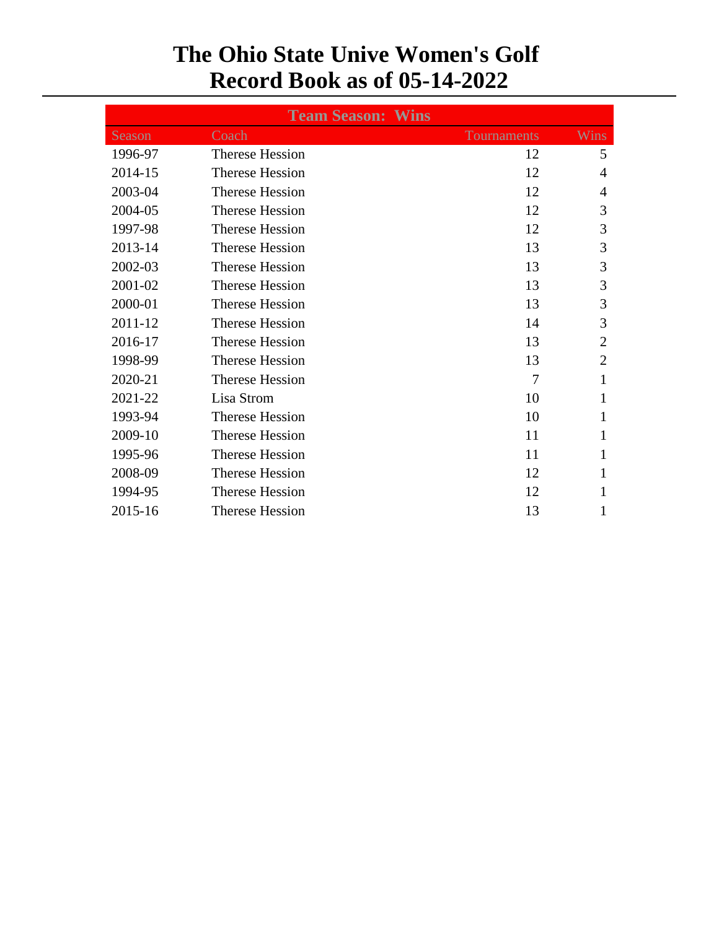|         | <b>Team Season: Wins</b> |                |                |
|---------|--------------------------|----------------|----------------|
| Season  | Coach                    | Tournaments    | <b>Wins</b>    |
| 1996-97 | <b>Therese Hession</b>   | 12             | 5              |
| 2014-15 | <b>Therese Hession</b>   | 12             | 4              |
| 2003-04 | <b>Therese Hession</b>   | 12             | 4              |
| 2004-05 | <b>Therese Hession</b>   | 12             | 3              |
| 1997-98 | <b>Therese Hession</b>   | 12             | 3              |
| 2013-14 | <b>Therese Hession</b>   | 13             | 3              |
| 2002-03 | <b>Therese Hession</b>   | 13             | 3              |
| 2001-02 | <b>Therese Hession</b>   | 13             | 3              |
| 2000-01 | <b>Therese Hession</b>   | 13             | 3              |
| 2011-12 | <b>Therese Hession</b>   | 14             | 3              |
| 2016-17 | <b>Therese Hession</b>   | 13             | $\overline{2}$ |
| 1998-99 | <b>Therese Hession</b>   | 13             | $\overline{2}$ |
| 2020-21 | <b>Therese Hession</b>   | $\overline{7}$ | 1              |
| 2021-22 | Lisa Strom               | 10             |                |
| 1993-94 | <b>Therese Hession</b>   | 10             |                |
| 2009-10 | <b>Therese Hession</b>   | 11             | 1              |
| 1995-96 | <b>Therese Hession</b>   | 11             |                |
| 2008-09 | <b>Therese Hession</b>   | 12             |                |
| 1994-95 | <b>Therese Hession</b>   | 12             | 1              |
| 2015-16 | Therese Hession          | 13             | 1              |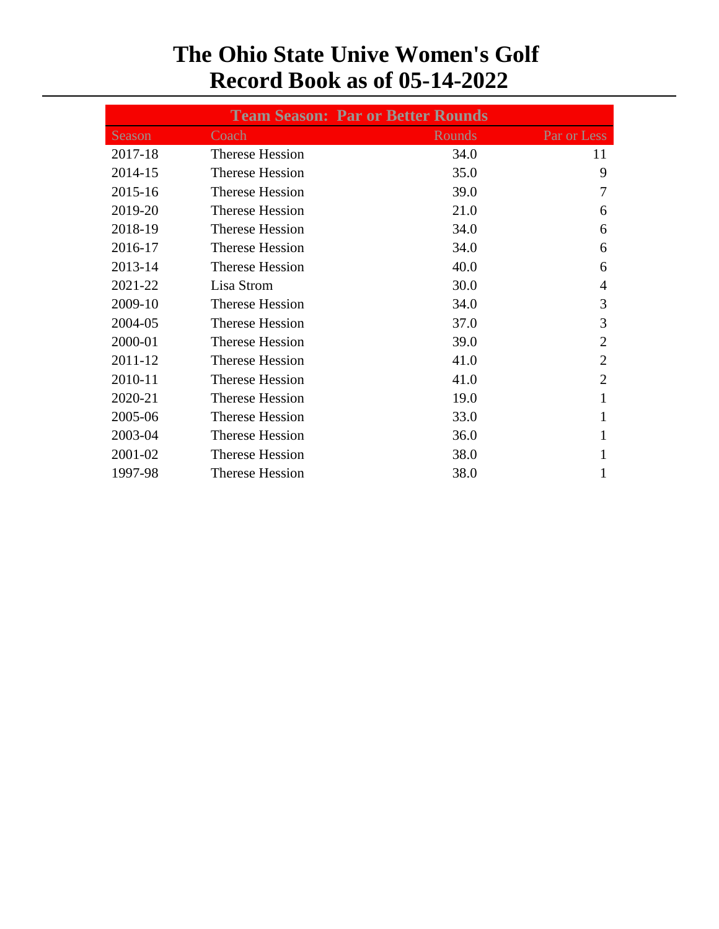|         |                        | <b>Team Season: Par or Better Rounds</b> |                |
|---------|------------------------|------------------------------------------|----------------|
| Season  | Coach                  | Rounds                                   | Par or Less    |
| 2017-18 | Therese Hession        | 34.0                                     | 11             |
| 2014-15 | <b>Therese Hession</b> | 35.0                                     | 9              |
| 2015-16 | <b>Therese Hession</b> | 39.0                                     | 7              |
| 2019-20 | Therese Hession        | 21.0                                     | 6              |
| 2018-19 | <b>Therese Hession</b> | 34.0                                     | 6              |
| 2016-17 | <b>Therese Hession</b> | 34.0                                     | 6              |
| 2013-14 | <b>Therese Hession</b> | 40.0                                     | 6              |
| 2021-22 | Lisa Strom             | 30.0                                     | 4              |
| 2009-10 | <b>Therese Hession</b> | 34.0                                     | 3              |
| 2004-05 | <b>Therese Hession</b> | 37.0                                     | 3              |
| 2000-01 | <b>Therese Hession</b> | 39.0                                     | $\overline{2}$ |
| 2011-12 | Therese Hession        | 41.0                                     | $\overline{2}$ |
| 2010-11 | Therese Hession        | 41.0                                     | $\overline{2}$ |
| 2020-21 | <b>Therese Hession</b> | 19.0                                     | 1              |
| 2005-06 | <b>Therese Hession</b> | 33.0                                     | 1              |
| 2003-04 | <b>Therese Hession</b> | 36.0                                     |                |
| 2001-02 | Therese Hession        | 38.0                                     |                |
| 1997-98 | <b>Therese Hession</b> | 38.0                                     |                |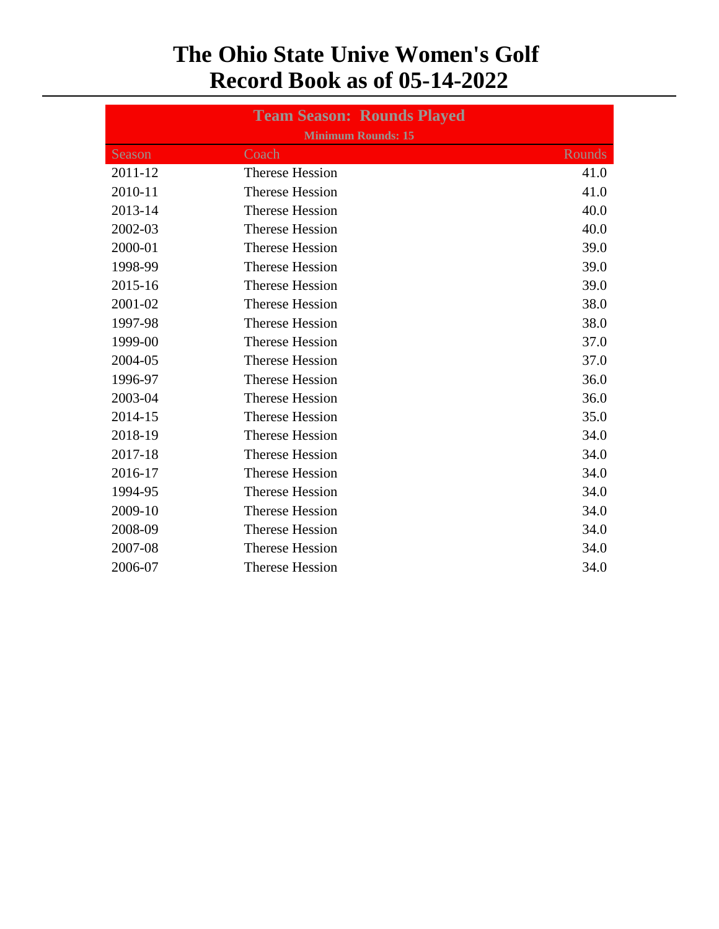|         | <b>Team Season: Rounds Played</b> |        |  |
|---------|-----------------------------------|--------|--|
|         | <b>Minimum Rounds: 15</b>         |        |  |
| Season  | Coach                             | Rounds |  |
| 2011-12 | Therese Hession                   | 41.0   |  |
| 2010-11 | <b>Therese Hession</b>            | 41.0   |  |
| 2013-14 | <b>Therese Hession</b>            | 40.0   |  |
| 2002-03 | <b>Therese Hession</b>            | 40.0   |  |
| 2000-01 | <b>Therese Hession</b>            | 39.0   |  |
| 1998-99 | <b>Therese Hession</b>            | 39.0   |  |
| 2015-16 | <b>Therese Hession</b>            | 39.0   |  |
| 2001-02 | <b>Therese Hession</b>            | 38.0   |  |
| 1997-98 | <b>Therese Hession</b>            | 38.0   |  |
| 1999-00 | <b>Therese Hession</b>            | 37.0   |  |
| 2004-05 | <b>Therese Hession</b>            | 37.0   |  |
| 1996-97 | <b>Therese Hession</b>            | 36.0   |  |
| 2003-04 | <b>Therese Hession</b>            | 36.0   |  |
| 2014-15 | <b>Therese Hession</b>            | 35.0   |  |
| 2018-19 | <b>Therese Hession</b>            | 34.0   |  |
| 2017-18 | <b>Therese Hession</b>            | 34.0   |  |
| 2016-17 | <b>Therese Hession</b>            | 34.0   |  |
| 1994-95 | <b>Therese Hession</b>            | 34.0   |  |
| 2009-10 | <b>Therese Hession</b>            | 34.0   |  |
| 2008-09 | <b>Therese Hession</b>            | 34.0   |  |
| 2007-08 | <b>Therese Hession</b>            | 34.0   |  |
| 2006-07 | <b>Therese Hession</b>            | 34.0   |  |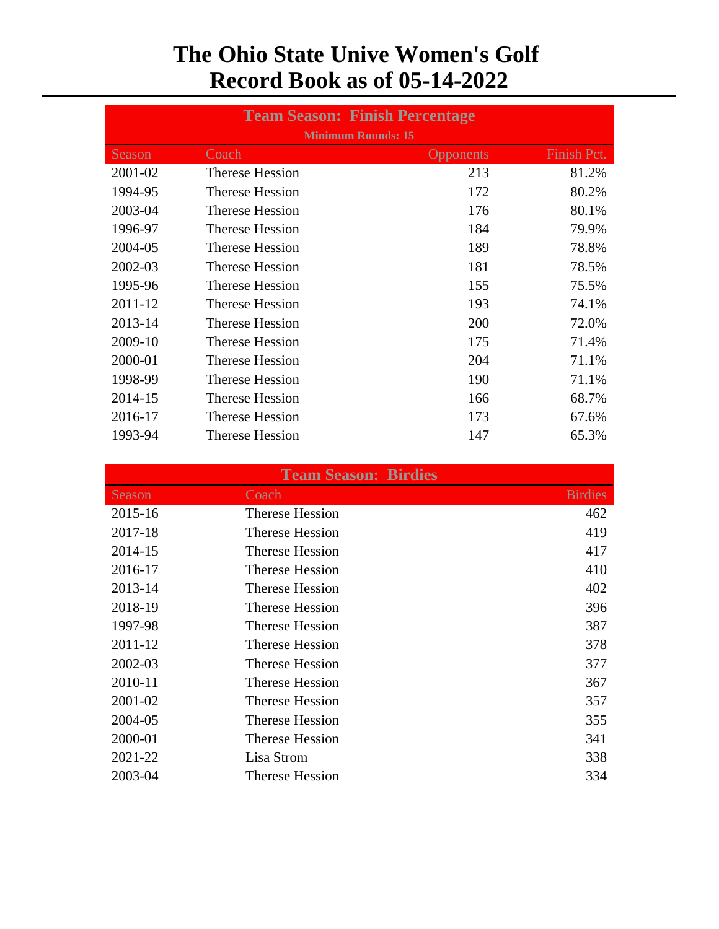| <b>Team Season: Finish Percentage</b> |                           |           |             |
|---------------------------------------|---------------------------|-----------|-------------|
|                                       | <b>Minimum Rounds: 15</b> |           |             |
| Season                                | Coach                     | Opponents | Finish Pct. |
| 2001-02                               | Therese Hession           | 213       | 81.2%       |
| 1994-95                               | Therese Hession           | 172       | 80.2%       |
| 2003-04                               | Therese Hession           | 176       | 80.1%       |
| 1996-97                               | Therese Hession           | 184       | 79.9%       |
| 2004-05                               | Therese Hession           | 189       | 78.8%       |
| 2002-03                               | <b>Therese Hession</b>    | 181       | 78.5%       |
| 1995-96                               | Therese Hession           | 155       | 75.5%       |
| 2011-12                               | Therese Hession           | 193       | 74.1%       |
| 2013-14                               | <b>Therese Hession</b>    | 200       | 72.0%       |
| 2009-10                               | <b>Therese Hession</b>    | 175       | 71.4%       |
| 2000-01                               | <b>Therese Hession</b>    | 204       | 71.1%       |
| 1998-99                               | <b>Therese Hession</b>    | 190       | 71.1%       |
| 2014-15                               | Therese Hession           | 166       | 68.7%       |
| 2016-17                               | Therese Hession           | 173       | 67.6%       |
| 1993-94                               | Therese Hession           | 147       | 65.3%       |

|         | <b>Team Season: Birdies</b> |                |
|---------|-----------------------------|----------------|
| Season  | Coach                       | <b>Birdies</b> |
| 2015-16 | Therese Hession             | 462            |
| 2017-18 | Therese Hession             | 419            |
| 2014-15 | Therese Hession             | 417            |
| 2016-17 | Therese Hession             | 410            |
| 2013-14 | <b>Therese Hession</b>      | 402            |
| 2018-19 | Therese Hession             | 396            |
| 1997-98 | Therese Hession             | 387            |
| 2011-12 | <b>Therese Hession</b>      | 378            |
| 2002-03 | Therese Hession             | 377            |
| 2010-11 | Therese Hession             | 367            |
| 2001-02 | Therese Hession             | 357            |
| 2004-05 | Therese Hession             | 355            |
| 2000-01 | <b>Therese Hession</b>      | 341            |
| 2021-22 | Lisa Strom                  | 338            |
| 2003-04 | <b>Therese Hession</b>      | 334            |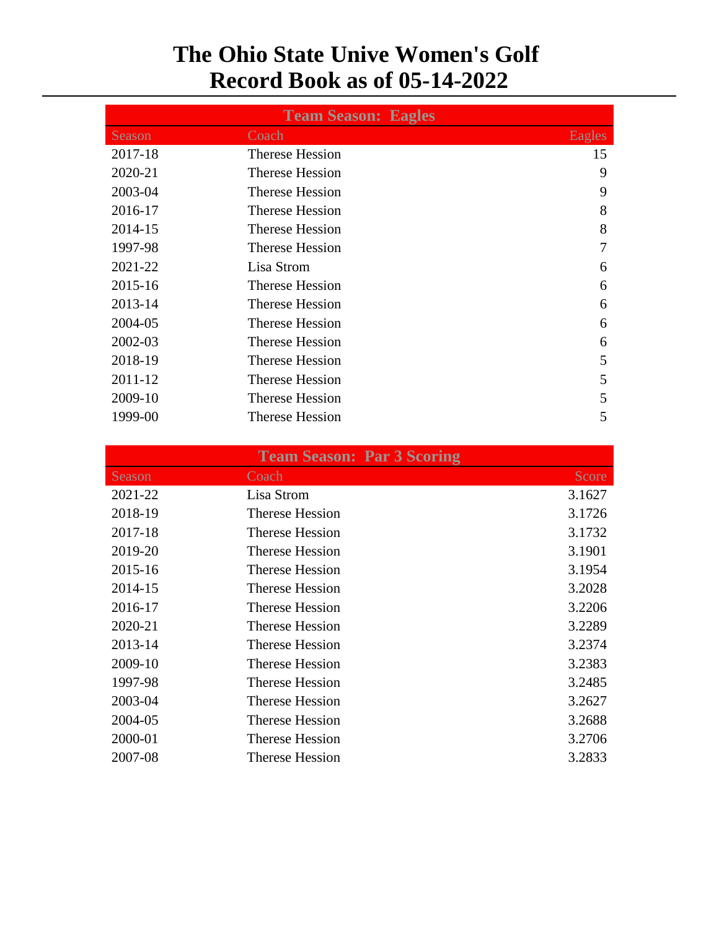|         | <b>Team Season: Eagles</b> |        |
|---------|----------------------------|--------|
| Season  | Coach                      | Eagles |
| 2017-18 | <b>Therese Hession</b>     | 15     |
| 2020-21 | <b>Therese Hession</b>     | 9      |
| 2003-04 | <b>Therese Hession</b>     | 9      |
| 2016-17 | <b>Therese Hession</b>     | 8      |
| 2014-15 | <b>Therese Hession</b>     | 8      |
| 1997-98 | <b>Therese Hession</b>     | 7      |
| 2021-22 | Lisa Strom                 | 6      |
| 2015-16 | <b>Therese Hession</b>     | 6      |
| 2013-14 | <b>Therese Hession</b>     | 6      |
| 2004-05 | <b>Therese Hession</b>     | 6      |
| 2002-03 | <b>Therese Hession</b>     | 6      |
| 2018-19 | <b>Therese Hession</b>     | 5      |
| 2011-12 | <b>Therese Hession</b>     | 5      |
| 2009-10 | <b>Therese Hession</b>     | 5      |
| 1999-00 | <b>Therese Hession</b>     | 5      |

|         | <b>Team Season: Par 3 Scoring</b> |        |
|---------|-----------------------------------|--------|
| Season  | Coach                             | Score  |
| 2021-22 | Lisa Strom                        | 3.1627 |
| 2018-19 | Therese Hession                   | 3.1726 |
| 2017-18 | <b>Therese Hession</b>            | 3.1732 |
| 2019-20 | Therese Hession                   | 3.1901 |
| 2015-16 | Therese Hession                   | 3.1954 |
| 2014-15 | Therese Hession                   | 3.2028 |
| 2016-17 | Therese Hession                   | 3.2206 |
| 2020-21 | Therese Hession                   | 3.2289 |
| 2013-14 | <b>Therese Hession</b>            | 3.2374 |
| 2009-10 | Therese Hession                   | 3.2383 |
| 1997-98 | Therese Hession                   | 3.2485 |
| 2003-04 | Therese Hession                   | 3.2627 |
| 2004-05 | Therese Hession                   | 3.2688 |
| 2000-01 | <b>Therese Hession</b>            | 3.2706 |
| 2007-08 | <b>Therese Hession</b>            | 3.2833 |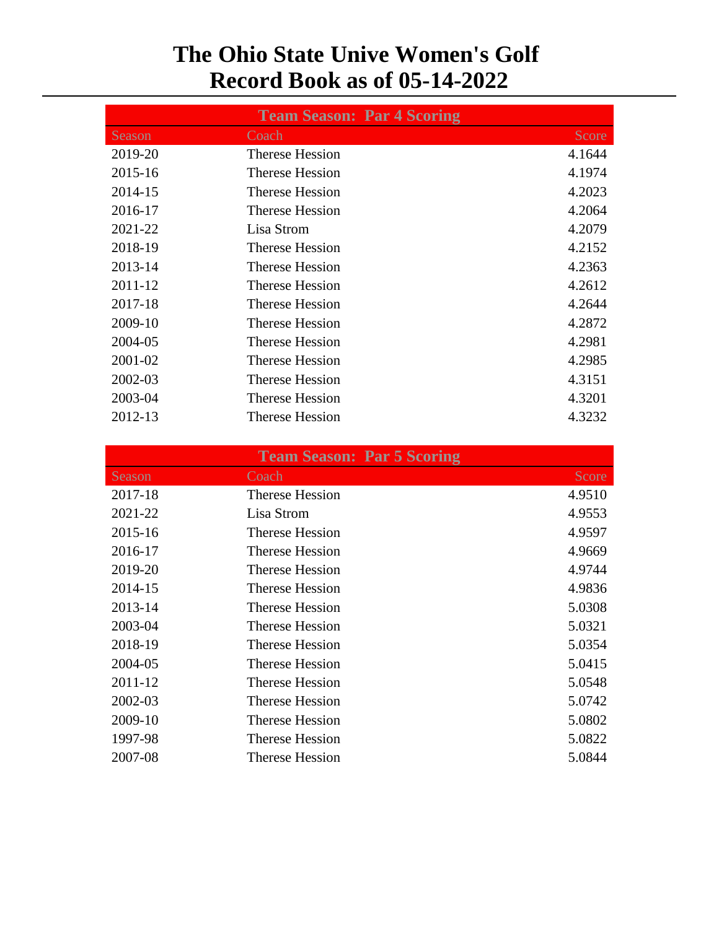|         | <b>Team Season: Par 4 Scoring</b> |        |
|---------|-----------------------------------|--------|
| Season  | Coach                             | Score  |
| 2019-20 | Therese Hession                   | 4.1644 |
| 2015-16 | <b>Therese Hession</b>            | 4.1974 |
| 2014-15 | Therese Hession                   | 4.2023 |
| 2016-17 | <b>Therese Hession</b>            | 4.2064 |
| 2021-22 | Lisa Strom                        | 4.2079 |
| 2018-19 | <b>Therese Hession</b>            | 4.2152 |
| 2013-14 | <b>Therese Hession</b>            | 4.2363 |
| 2011-12 | <b>Therese Hession</b>            | 4.2612 |
| 2017-18 | Therese Hession                   | 4.2644 |
| 2009-10 | Therese Hession                   | 4.2872 |
| 2004-05 | <b>Therese Hession</b>            | 4.2981 |
| 2001-02 | Therese Hession                   | 4.2985 |
| 2002-03 | Therese Hession                   | 4.3151 |
| 2003-04 | <b>Therese Hession</b>            | 4.3201 |
| 2012-13 | Therese Hession                   | 4.3232 |

|         | <b>Team Season: Par 5 Scoring</b> |        |
|---------|-----------------------------------|--------|
| Season  | Coach                             | Score  |
| 2017-18 | Therese Hession                   | 4.9510 |
| 2021-22 | Lisa Strom                        | 4.9553 |
| 2015-16 | <b>Therese Hession</b>            | 4.9597 |
| 2016-17 | <b>Therese Hession</b>            | 4.9669 |
| 2019-20 | <b>Therese Hession</b>            | 4.9744 |
| 2014-15 | Therese Hession                   | 4.9836 |
| 2013-14 | Therese Hession                   | 5.0308 |
| 2003-04 | <b>Therese Hession</b>            | 5.0321 |
| 2018-19 | Therese Hession                   | 5.0354 |
| 2004-05 | <b>Therese Hession</b>            | 5.0415 |
| 2011-12 | Therese Hession                   | 5.0548 |
| 2002-03 | <b>Therese Hession</b>            | 5.0742 |
| 2009-10 | <b>Therese Hession</b>            | 5.0802 |
| 1997-98 | <b>Therese Hession</b>            | 5.0822 |
| 2007-08 | <b>Therese Hession</b>            | 5.0844 |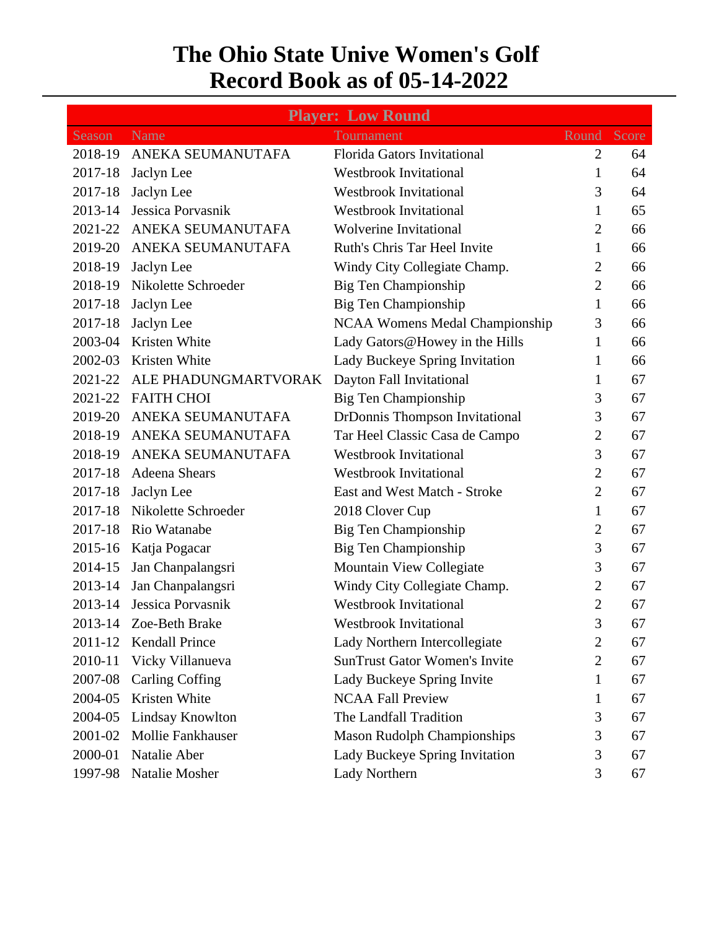| <b>Player: Low Round</b> |                           |                                      |                |    |
|--------------------------|---------------------------|--------------------------------------|----------------|----|
| Season                   | Name                      | Tournament                           | Round Score    |    |
| 2018-19                  | ANEKA SEUMANUTAFA         | <b>Florida Gators Invitational</b>   | $\overline{2}$ | 64 |
| 2017-18                  | Jaclyn Lee                | <b>Westbrook Invitational</b>        | $\mathbf{1}$   | 64 |
| 2017-18                  | Jaclyn Lee                | <b>Westbrook Invitational</b>        | 3              | 64 |
| 2013-14                  | Jessica Porvasnik         | <b>Westbrook Invitational</b>        | 1              | 65 |
| 2021-22                  | ANEKA SEUMANUTAFA         | <b>Wolverine Invitational</b>        | $\overline{2}$ | 66 |
| 2019-20                  | ANEKA SEUMANUTAFA         | Ruth's Chris Tar Heel Invite         | $\mathbf{1}$   | 66 |
| 2018-19                  | Jaclyn Lee                | Windy City Collegiate Champ.         | $\overline{2}$ | 66 |
| 2018-19                  | Nikolette Schroeder       | Big Ten Championship                 | $\overline{2}$ | 66 |
| 2017-18                  | Jaclyn Lee                | <b>Big Ten Championship</b>          | $\mathbf{1}$   | 66 |
| 2017-18                  | Jaclyn Lee                | NCAA Womens Medal Championship       | 3              | 66 |
| 2003-04                  | Kristen White             | Lady Gators@Howey in the Hills       | $\mathbf{1}$   | 66 |
| 2002-03                  | Kristen White             | Lady Buckeye Spring Invitation       | 1              | 66 |
| 2021-22                  | ALE PHADUNGMARTVORAK      | Dayton Fall Invitational             | 1              | 67 |
| 2021-22                  | <b>FAITH CHOI</b>         | Big Ten Championship                 | 3              | 67 |
|                          | 2019-20 ANEKA SEUMANUTAFA | DrDonnis Thompson Invitational       | 3              | 67 |
| 2018-19                  | ANEKA SEUMANUTAFA         | Tar Heel Classic Casa de Campo       | $\overline{2}$ | 67 |
| 2018-19                  | ANEKA SEUMANUTAFA         | <b>Westbrook Invitational</b>        | 3              | 67 |
| 2017-18                  | Adeena Shears             | <b>Westbrook Invitational</b>        | $\overline{2}$ | 67 |
| 2017-18                  | Jaclyn Lee                | East and West Match - Stroke         | $\overline{2}$ | 67 |
| 2017-18                  | Nikolette Schroeder       | 2018 Clover Cup                      | $\mathbf{1}$   | 67 |
| 2017-18                  | Rio Watanabe              | <b>Big Ten Championship</b>          | $\overline{2}$ | 67 |
| 2015-16                  | Katja Pogacar             | <b>Big Ten Championship</b>          | 3              | 67 |
| 2014-15                  | Jan Chanpalangsri         | Mountain View Collegiate             | 3              | 67 |
| 2013-14                  | Jan Chanpalangsri         | Windy City Collegiate Champ.         | $\mathbf{2}$   | 67 |
| 2013-14                  | Jessica Porvasnik         | <b>Westbrook Invitational</b>        | $\overline{2}$ | 67 |
| 2013-14                  | Zoe-Beth Brake            | <b>Westbrook Invitational</b>        | 3              | 67 |
| 2011-12                  | Kendall Prince            | Lady Northern Intercollegiate        | $\overline{2}$ | 67 |
| 2010-11                  | Vicky Villanueva          | <b>SunTrust Gator Women's Invite</b> | $\overline{2}$ | 67 |
| 2007-08                  | <b>Carling Coffing</b>    | Lady Buckeye Spring Invite           | 1              | 67 |
| 2004-05                  | Kristen White             | <b>NCAA Fall Preview</b>             | 1              | 67 |
| 2004-05                  | Lindsay Knowlton          | The Landfall Tradition               | 3              | 67 |
| 2001-02                  | Mollie Fankhauser         | <b>Mason Rudolph Championships</b>   | 3              | 67 |
| 2000-01                  | Natalie Aber              | Lady Buckeye Spring Invitation       | 3              | 67 |
| 1997-98                  | Natalie Mosher            | Lady Northern                        | 3              | 67 |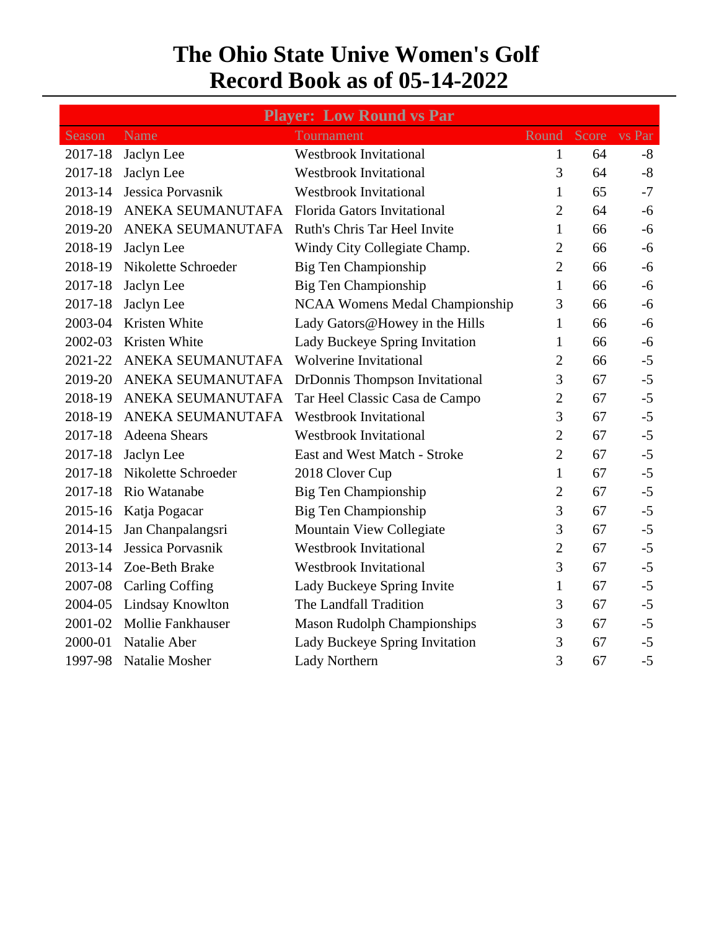| <b>Player: Low Round vs Par</b> |                                                |                                       |                |       |        |
|---------------------------------|------------------------------------------------|---------------------------------------|----------------|-------|--------|
| Season                          | Name                                           | Tournament                            | Round          | Score | vs Par |
| 2017-18                         | Jaclyn Lee                                     | <b>Westbrook Invitational</b>         | $\mathbf{1}$   | 64    | $-8$   |
| 2017-18                         | Jaclyn Lee                                     | <b>Westbrook Invitational</b>         | 3              | 64    | $-8$   |
| 2013-14                         | Jessica Porvasnik                              | <b>Westbrook Invitational</b>         | $\mathbf{1}$   | 65    | $-7$   |
| 2018-19                         | ANEKA SEUMANUTAFA                              | Florida Gators Invitational           | $\overline{2}$ | 64    | $-6$   |
| 2019-20                         | ANEKA SEUMANUTAFA Ruth's Chris Tar Heel Invite |                                       | $\mathbf{1}$   | 66    | $-6$   |
| 2018-19                         | Jaclyn Lee                                     | Windy City Collegiate Champ.          | $\overline{2}$ | 66    | $-6$   |
| 2018-19                         | Nikolette Schroeder                            | <b>Big Ten Championship</b>           | $\overline{2}$ | 66    | $-6$   |
| 2017-18                         | Jaclyn Lee                                     | <b>Big Ten Championship</b>           | $\mathbf{1}$   | 66    | $-6$   |
| 2017-18                         | Jaclyn Lee                                     | NCAA Womens Medal Championship        | 3              | 66    | $-6$   |
| 2003-04                         | Kristen White                                  | Lady Gators@Howey in the Hills        | $\mathbf{1}$   | 66    | $-6$   |
| 2002-03                         | Kristen White                                  | Lady Buckeye Spring Invitation        | $\mathbf{1}$   | 66    | $-6$   |
| 2021-22                         | ANEKA SEUMANUTAFA                              | <b>Wolverine Invitational</b>         | $\overline{c}$ | 66    | $-5$   |
| 2019-20                         | ANEKA SEUMANUTAFA                              | <b>DrDonnis Thompson Invitational</b> | 3              | 67    | $-5$   |
| 2018-19                         | ANEKA SEUMANUTAFA                              | Tar Heel Classic Casa de Campo        | $\overline{2}$ | 67    | $-5$   |
| 2018-19                         | ANEKA SEUMANUTAFA                              | <b>Westbrook Invitational</b>         | 3              | 67    | $-5$   |
| 2017-18                         | Adeena Shears                                  | <b>Westbrook Invitational</b>         | $\overline{2}$ | 67    | $-5$   |
| 2017-18                         | Jaclyn Lee                                     | East and West Match - Stroke          | $\overline{2}$ | 67    | $-5$   |
| 2017-18                         | Nikolette Schroeder                            | 2018 Clover Cup                       | $\mathbf{1}$   | 67    | $-5$   |
| 2017-18                         | Rio Watanabe                                   | <b>Big Ten Championship</b>           | $\overline{2}$ | 67    | $-5$   |
| 2015-16                         | Katja Pogacar                                  | <b>Big Ten Championship</b>           | 3              | 67    | $-5$   |
| 2014-15                         | Jan Chanpalangsri                              | Mountain View Collegiate              | 3              | 67    | $-5$   |
| 2013-14                         | Jessica Porvasnik                              | <b>Westbrook Invitational</b>         | $\overline{2}$ | 67    | $-5$   |
| 2013-14                         | Zoe-Beth Brake                                 | <b>Westbrook Invitational</b>         | 3              | 67    | $-5$   |
| 2007-08                         | Carling Coffing                                | Lady Buckeye Spring Invite            | $\mathbf{1}$   | 67    | $-5$   |
| 2004-05                         | Lindsay Knowlton                               | The Landfall Tradition                | 3              | 67    | $-5$   |
| 2001-02                         | <b>Mollie Fankhauser</b>                       | <b>Mason Rudolph Championships</b>    | 3              | 67    | $-5$   |
| 2000-01                         | Natalie Aber                                   | Lady Buckeye Spring Invitation        | 3              | 67    | $-5$   |
| 1997-98                         | Natalie Mosher                                 | Lady Northern                         | 3              | 67    | $-5$   |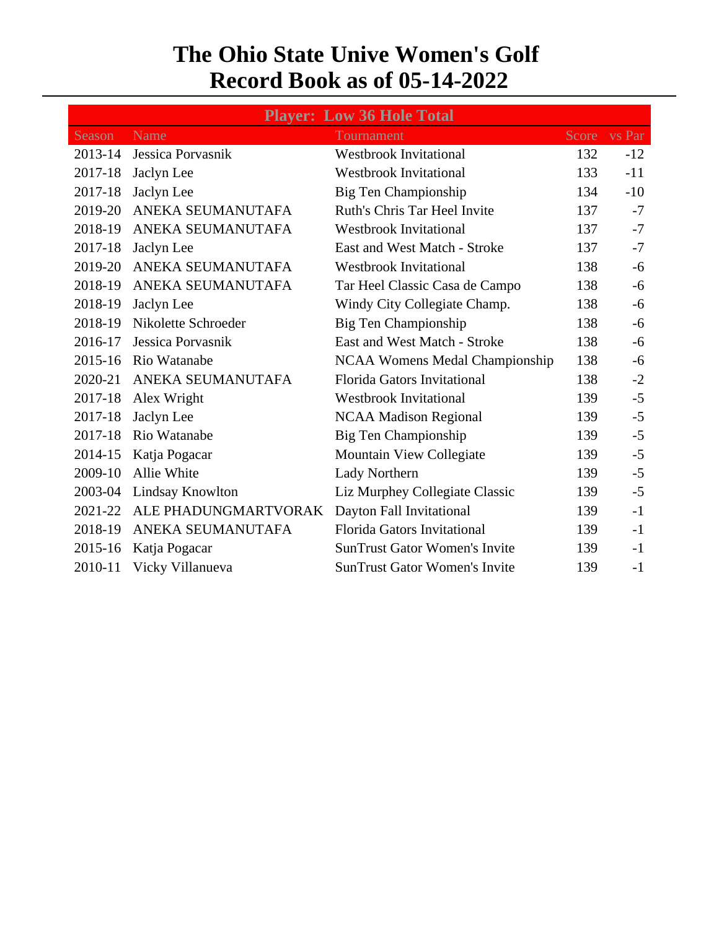| <b>Player: Low 36 Hole Total</b> |                         |                                       |       |        |
|----------------------------------|-------------------------|---------------------------------------|-------|--------|
| Season                           | Name                    | Tournament                            | Score | vs Par |
| 2013-14                          | Jessica Porvasnik       | <b>Westbrook Invitational</b>         | 132   | $-12$  |
| 2017-18                          | Jaclyn Lee              | <b>Westbrook Invitational</b>         | 133   | $-11$  |
| 2017-18                          | Jaclyn Lee              | Big Ten Championship                  | 134   | $-10$  |
| 2019-20                          | ANEKA SEUMANUTAFA       | Ruth's Chris Tar Heel Invite          | 137   | $-7$   |
| 2018-19                          | ANEKA SEUMANUTAFA       | <b>Westbrook Invitational</b>         | 137   | $-7$   |
| 2017-18                          | Jaclyn Lee              | <b>East and West Match - Stroke</b>   | 137   | $-7$   |
| 2019-20                          | ANEKA SEUMANUTAFA       | <b>Westbrook Invitational</b>         | 138   | $-6$   |
| 2018-19                          | ANEKA SEUMANUTAFA       | Tar Heel Classic Casa de Campo        | 138   | $-6$   |
| 2018-19                          | Jaclyn Lee              | Windy City Collegiate Champ.          | 138   | $-6$   |
| 2018-19                          | Nikolette Schroeder     | Big Ten Championship                  | 138   | $-6$   |
| 2016-17                          | Jessica Porvasnik       | East and West Match - Stroke          | 138   | $-6$   |
| 2015-16                          | Rio Watanabe            | <b>NCAA Womens Medal Championship</b> | 138   | -6     |
| 2020-21                          | ANEKA SEUMANUTAFA       | <b>Florida Gators Invitational</b>    | 138   | $-2$   |
| 2017-18                          | Alex Wright             | <b>Westbrook Invitational</b>         | 139   | $-5$   |
| 2017-18                          | Jaclyn Lee              | <b>NCAA Madison Regional</b>          | 139   | $-5$   |
| 2017-18                          | Rio Watanabe            | <b>Big Ten Championship</b>           | 139   | $-5$   |
| 2014-15                          | Katja Pogacar           | Mountain View Collegiate              | 139   | $-5$   |
| 2009-10                          | Allie White             | Lady Northern                         | 139   | $-5$   |
| 2003-04                          | <b>Lindsay Knowlton</b> | Liz Murphey Collegiate Classic        | 139   | $-5$   |
| 2021-22                          | ALE PHADUNGMARTVORAK    | Dayton Fall Invitational              | 139   | $-1$   |
| 2018-19                          | ANEKA SEUMANUTAFA       | <b>Florida Gators Invitational</b>    | 139   | $-1$   |
| 2015-16                          | Katja Pogacar           | SunTrust Gator Women's Invite         | 139   | $-1$   |
| 2010-11                          | Vicky Villanueva        | <b>SunTrust Gator Women's Invite</b>  | 139   | $-1$   |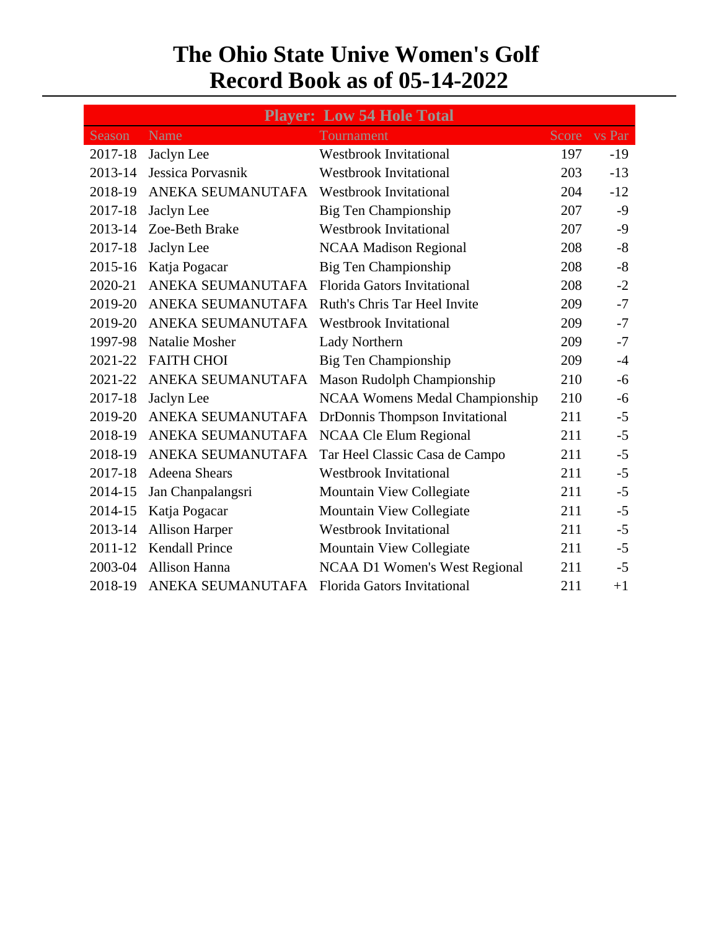| <b>Player: Low 54 Hole Total</b> |                       |                                      |       |        |
|----------------------------------|-----------------------|--------------------------------------|-------|--------|
| Season                           | Name                  | Tournament                           | Score | vs Par |
| 2017-18                          | Jaclyn Lee            | <b>Westbrook Invitational</b>        | 197   | $-19$  |
| 2013-14                          | Jessica Porvasnik     | <b>Westbrook Invitational</b>        | 203   | $-13$  |
| 2018-19                          | ANEKA SEUMANUTAFA     | <b>Westbrook Invitational</b>        | 204   | $-12$  |
| 2017-18                          | Jaclyn Lee            | <b>Big Ten Championship</b>          | 207   | $-9$   |
| 2013-14                          | Zoe-Beth Brake        | <b>Westbrook Invitational</b>        | 207   | $-9$   |
| 2017-18                          | Jaclyn Lee            | <b>NCAA Madison Regional</b>         | 208   | $-8$   |
| 2015-16                          | Katja Pogacar         | <b>Big Ten Championship</b>          | 208   | $-8$   |
| 2020-21                          | ANEKA SEUMANUTAFA     | <b>Florida Gators Invitational</b>   | 208   | $-2$   |
| 2019-20                          | ANEKA SEUMANUTAFA     | Ruth's Chris Tar Heel Invite         | 209   | $-7$   |
| 2019-20                          | ANEKA SEUMANUTAFA     | <b>Westbrook Invitational</b>        | 209   | $-7$   |
| 1997-98                          | Natalie Mosher        | Lady Northern                        | 209   | $-7$   |
| 2021-22                          | <b>FAITH CHOI</b>     | <b>Big Ten Championship</b>          | 209   | $-4$   |
| 2021-22                          | ANEKA SEUMANUTAFA     | <b>Mason Rudolph Championship</b>    | 210   | $-6$   |
| 2017-18                          | Jaclyn Lee            | NCAA Womens Medal Championship       | 210   | -6     |
| 2019-20                          | ANEKA SEUMANUTAFA     | DrDonnis Thompson Invitational       | 211   | $-5$   |
| 2018-19                          | ANEKA SEUMANUTAFA     | <b>NCAA Cle Elum Regional</b>        | 211   | $-5$   |
| 2018-19                          | ANEKA SEUMANUTAFA     | Tar Heel Classic Casa de Campo       | 211   | $-5$   |
| 2017-18                          | Adeena Shears         | <b>Westbrook Invitational</b>        | 211   | $-5$   |
| 2014-15                          | Jan Chanpalangsri     | Mountain View Collegiate             | 211   | $-5$   |
| 2014-15                          | Katja Pogacar         | Mountain View Collegiate             | 211   | $-5$   |
| 2013-14                          | <b>Allison Harper</b> | <b>Westbrook Invitational</b>        | 211   | $-5$   |
| 2011-12                          | <b>Kendall Prince</b> | Mountain View Collegiate             | 211   | $-5$   |
| 2003-04                          | Allison Hanna         | <b>NCAA D1 Women's West Regional</b> | 211   | $-5$   |
| 2018-19                          | ANEKA SEUMANUTAFA     | <b>Florida Gators Invitational</b>   | 211   | $+1$   |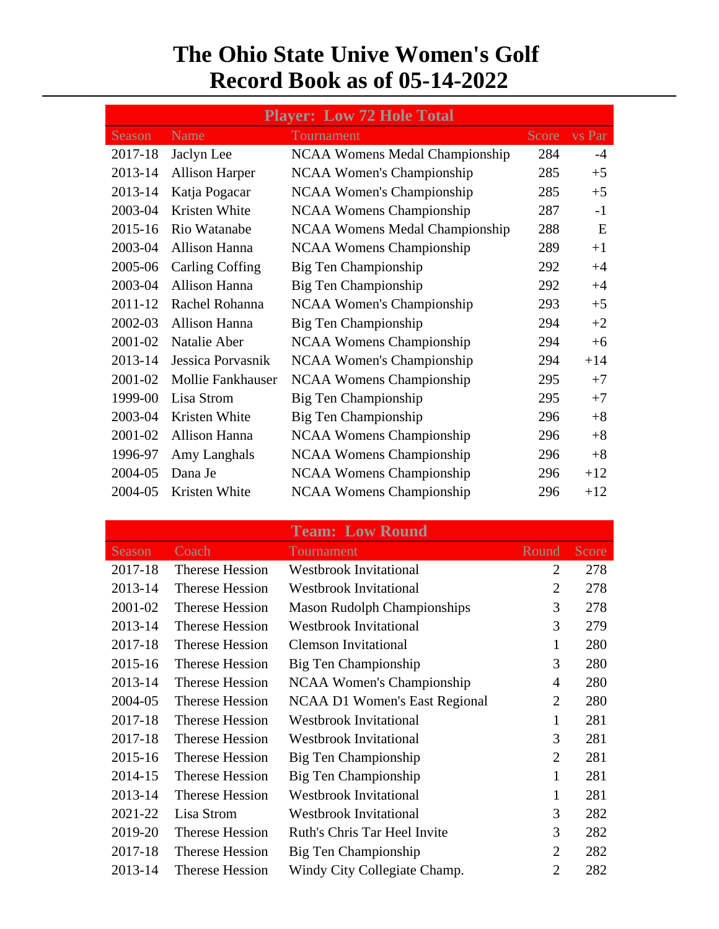| <b>Player: Low 72 Hole Total</b> |                        |                                       |       |        |
|----------------------------------|------------------------|---------------------------------------|-------|--------|
| Season                           | Name                   | Tournament                            | Score | vs Par |
| 2017-18                          | Jaclyn Lee             | NCAA Womens Medal Championship        | 284   | $-4$   |
| 2013-14                          | <b>Allison Harper</b>  | NCAA Women's Championship             | 285   | $+5$   |
| 2013-14                          | Katja Pogacar          | NCAA Women's Championship             | 285   | $+5$   |
| 2003-04                          | Kristen White          | <b>NCAA Womens Championship</b>       | 287   | $-1$   |
| 2015-16                          | Rio Watanabe           | <b>NCAA Womens Medal Championship</b> | 288   | E      |
| 2003-04                          | Allison Hanna          | <b>NCAA Womens Championship</b>       | 289   | $+1$   |
| 2005-06                          | <b>Carling Coffing</b> | <b>Big Ten Championship</b>           | 292   | $+4$   |
| 2003-04                          | Allison Hanna          | Big Ten Championship                  | 292   | $+4$   |
| 2011-12                          | Rachel Rohanna         | NCAA Women's Championship             | 293   | $+5$   |
| 2002-03                          | Allison Hanna          | Big Ten Championship                  | 294   | $+2$   |
| 2001-02                          | Natalie Aber           | NCAA Womens Championship              | 294   | $+6$   |
| 2013-14                          | Jessica Porvasnik      | NCAA Women's Championship             | 294   | $+14$  |
| 2001-02                          | Mollie Fankhauser      | <b>NCAA Womens Championship</b>       | 295   | $+7$   |
| 1999-00                          | Lisa Strom             | Big Ten Championship                  | 295   | $+7$   |
| 2003-04                          | Kristen White          | <b>Big Ten Championship</b>           | 296   | $+8$   |
| 2001-02                          | Allison Hanna          | NCAA Womens Championship              | 296   | $+8$   |
| 1996-97                          | Amy Langhals           | <b>NCAA Womens Championship</b>       | 296   | $+8$   |
| 2004-05                          | Dana Je                | <b>NCAA Womens Championship</b>       | 296   | $+12$  |
| 2004-05                          | Kristen White          | <b>NCAA Womens Championship</b>       | 296   | $+12$  |

| <b>Team: Low Round</b> |                 |                                    |                |       |  |
|------------------------|-----------------|------------------------------------|----------------|-------|--|
| Season                 | Coach           | Tournament                         | Round          | Score |  |
| 2017-18                | Therese Hession | <b>Westbrook Invitational</b>      | $\overline{2}$ | 278   |  |
| 2013-14                | Therese Hession | <b>Westbrook Invitational</b>      | $\overline{2}$ | 278   |  |
| 2001-02                | Therese Hession | <b>Mason Rudolph Championships</b> | 3              | 278   |  |
| 2013-14                | Therese Hession | <b>Westbrook Invitational</b>      | 3              | 279   |  |
| 2017-18                | Therese Hession | <b>Clemson Invitational</b>        | 1              | 280   |  |
| 2015-16                | Therese Hession | Big Ten Championship               | 3              | 280   |  |
| 2013-14                | Therese Hession | <b>NCAA Women's Championship</b>   | $\overline{4}$ | 280   |  |
| 2004-05                | Therese Hession | NCAA D1 Women's East Regional      | $\overline{2}$ | 280   |  |
| 2017-18                | Therese Hession | <b>Westbrook Invitational</b>      | 1              | 281   |  |
| 2017-18                | Therese Hession | <b>Westbrook Invitational</b>      | 3              | 281   |  |
| 2015-16                | Therese Hession | Big Ten Championship               | $\overline{2}$ | 281   |  |
| 2014-15                | Therese Hession | <b>Big Ten Championship</b>        | 1              | 281   |  |
| 2013-14                | Therese Hession | <b>Westbrook Invitational</b>      | 1              | 281   |  |
| 2021-22                | Lisa Strom      | <b>Westbrook Invitational</b>      | 3              | 282   |  |
| 2019-20                | Therese Hession | Ruth's Chris Tar Heel Invite       | 3              | 282   |  |
| 2017-18                | Therese Hession | Big Ten Championship               | $\overline{2}$ | 282   |  |
| 2013-14                | Therese Hession | Windy City Collegiate Champ.       | $\overline{2}$ | 282   |  |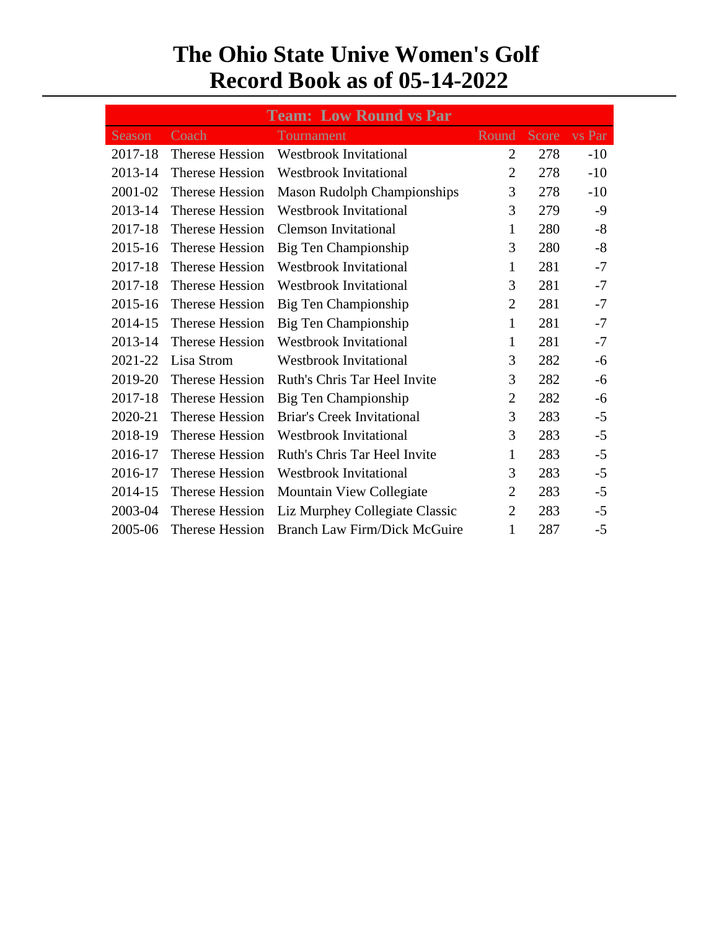| <b>Team: Low Round vs Par</b> |                        |                                     |                |       |        |
|-------------------------------|------------------------|-------------------------------------|----------------|-------|--------|
| Season                        | Coach                  | Tournament                          | Round          | Score | vs Par |
| 2017-18                       | Therese Hession        | <b>Westbrook Invitational</b>       | $\overline{2}$ | 278   | $-10$  |
| 2013-14                       | Therese Hession        | <b>Westbrook Invitational</b>       | $\overline{2}$ | 278   | $-10$  |
| 2001-02                       | Therese Hession        | <b>Mason Rudolph Championships</b>  | 3              | 278   | $-10$  |
| 2013-14                       | Therese Hession        | <b>Westbrook Invitational</b>       | 3              | 279   | $-9$   |
| 2017-18                       | Therese Hession        | <b>Clemson Invitational</b>         | $\mathbf{1}$   | 280   | $-8$   |
| 2015-16                       | Therese Hession        | Big Ten Championship                | 3              | 280   | $-8$   |
| 2017-18                       | <b>Therese Hession</b> | <b>Westbrook Invitational</b>       | $\mathbf{1}$   | 281   | $-7$   |
| 2017-18                       | Therese Hession        | <b>Westbrook Invitational</b>       | 3              | 281   | $-7$   |
| 2015-16                       | Therese Hession        | Big Ten Championship                | $\overline{2}$ | 281   | $-7$   |
| 2014-15                       | Therese Hession        | Big Ten Championship                | $\mathbf{1}$   | 281   | $-7$   |
| 2013-14                       | Therese Hession        | <b>Westbrook Invitational</b>       | $\mathbf{1}$   | 281   | $-7$   |
| 2021-22                       | Lisa Strom             | <b>Westbrook Invitational</b>       | 3              | 282   | $-6$   |
| 2019-20                       | Therese Hession        | Ruth's Chris Tar Heel Invite        | 3              | 282   | -6     |
| 2017-18                       | Therese Hession        | Big Ten Championship                | $\overline{2}$ | 282   | $-6$   |
| 2020-21                       | Therese Hession        | <b>Briar's Creek Invitational</b>   | 3              | 283   | $-5$   |
| 2018-19                       | <b>Therese Hession</b> | <b>Westbrook Invitational</b>       | 3              | 283   | $-5$   |
| 2016-17                       | Therese Hession        | Ruth's Chris Tar Heel Invite        | 1              | 283   | $-5$   |
| 2016-17                       | Therese Hession        | <b>Westbrook Invitational</b>       | 3              | 283   | $-5$   |
| 2014-15                       | <b>Therese Hession</b> | Mountain View Collegiate            | 2              | 283   | $-5$   |
| 2003-04                       | Therese Hession        | Liz Murphey Collegiate Classic      | $\overline{2}$ | 283   | $-5$   |
| 2005-06                       | <b>Therese Hession</b> | <b>Branch Law Firm/Dick McGuire</b> | 1              | 287   | $-5$   |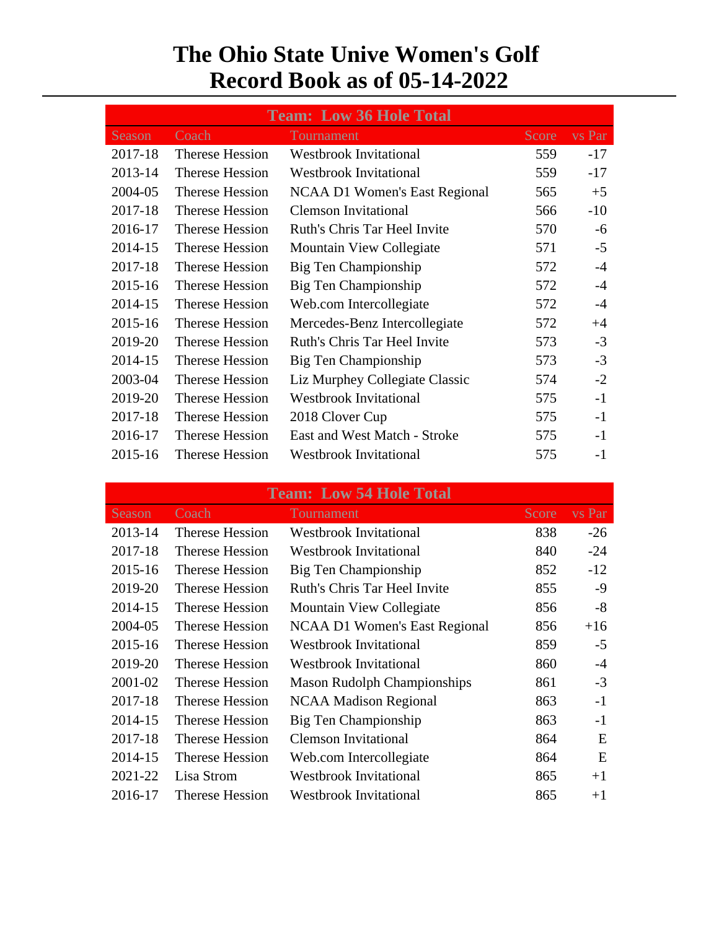| <b>Team: Low 36 Hole Total</b> |                        |                                      |       |        |
|--------------------------------|------------------------|--------------------------------------|-------|--------|
| Season                         | Coach                  | Tournament                           | Score | vs Par |
| 2017-18                        | <b>Therese Hession</b> | <b>Westbrook Invitational</b>        | 559   | $-17$  |
| 2013-14                        | <b>Therese Hession</b> | <b>Westbrook Invitational</b>        | 559   | $-17$  |
| 2004-05                        | Therese Hession        | <b>NCAA D1 Women's East Regional</b> | 565   | $+5$   |
| 2017-18                        | <b>Therese Hession</b> | <b>Clemson Invitational</b>          | 566   | $-10$  |
| 2016-17                        | <b>Therese Hession</b> | Ruth's Chris Tar Heel Invite         | 570   | -6     |
| 2014-15                        | <b>Therese Hession</b> | Mountain View Collegiate             | 571   | $-5$   |
| 2017-18                        | Therese Hession        | Big Ten Championship                 | 572   | $-4$   |
| 2015-16                        | <b>Therese Hession</b> | <b>Big Ten Championship</b>          | 572   | $-4$   |
| 2014-15                        | Therese Hession        | Web.com Intercollegiate              | 572   | $-4$   |
| 2015-16                        | <b>Therese Hession</b> | Mercedes-Benz Intercollegiate        | 572   | $+4$   |
| 2019-20                        | Therese Hession        | Ruth's Chris Tar Heel Invite         | 573   | $-3$   |
| 2014-15                        | Therese Hession        | Big Ten Championship                 | 573   | $-3$   |
| 2003-04                        | Therese Hession        | Liz Murphey Collegiate Classic       | 574   | $-2$   |
| 2019-20                        | <b>Therese Hession</b> | <b>Westbrook Invitational</b>        | 575   | $-1$   |
| 2017-18                        | Therese Hession        | 2018 Clover Cup                      | 575   | $-1$   |
| 2016-17                        | <b>Therese Hession</b> | <b>East and West Match - Stroke</b>  | 575   | $-1$   |
| 2015-16                        | Therese Hession        | <b>Westbrook Invitational</b>        | 575   | $-1$   |

| <b>Team: Low 54 Hole Total</b> |                        |                                    |       |        |
|--------------------------------|------------------------|------------------------------------|-------|--------|
| Season                         | Coach                  | Tournament                         | Score | vs Par |
| 2013-14                        | Therese Hession        | <b>Westbrook Invitational</b>      | 838   | $-26$  |
| 2017-18                        | Therese Hession        | Westbrook Invitational             | 840   | $-24$  |
| 2015-16                        | Therese Hession        | Big Ten Championship               | 852   | $-12$  |
| 2019-20                        | <b>Therese Hession</b> | Ruth's Chris Tar Heel Invite       | 855   | $-9$   |
| 2014-15                        | Therese Hession        | Mountain View Collegiate           | 856   | $-8$   |
| 2004-05                        | <b>Therese Hession</b> | NCAA D1 Women's East Regional      | 856   | $+16$  |
| 2015-16                        | <b>Therese Hession</b> | <b>Westbrook Invitational</b>      | 859   | $-5$   |
| 2019-20                        | Therese Hession        | <b>Westbrook Invitational</b>      | 860   | $-4$   |
| 2001-02                        | <b>Therese Hession</b> | <b>Mason Rudolph Championships</b> | 861   | $-3$   |
| 2017-18                        | Therese Hession        | <b>NCAA Madison Regional</b>       | 863   | $-1$   |
| 2014-15                        | Therese Hession        | Big Ten Championship               | 863   | $-1$   |
| 2017-18                        | <b>Therese Hession</b> | <b>Clemson Invitational</b>        | 864   | E      |
| 2014-15                        | Therese Hession        | Web.com Intercollegiate            | 864   | E      |
| 2021-22                        | Lisa Strom             | <b>Westbrook Invitational</b>      | 865   | $+1$   |
| 2016-17                        | <b>Therese Hession</b> | <b>Westbrook Invitational</b>      | 865   | $+1$   |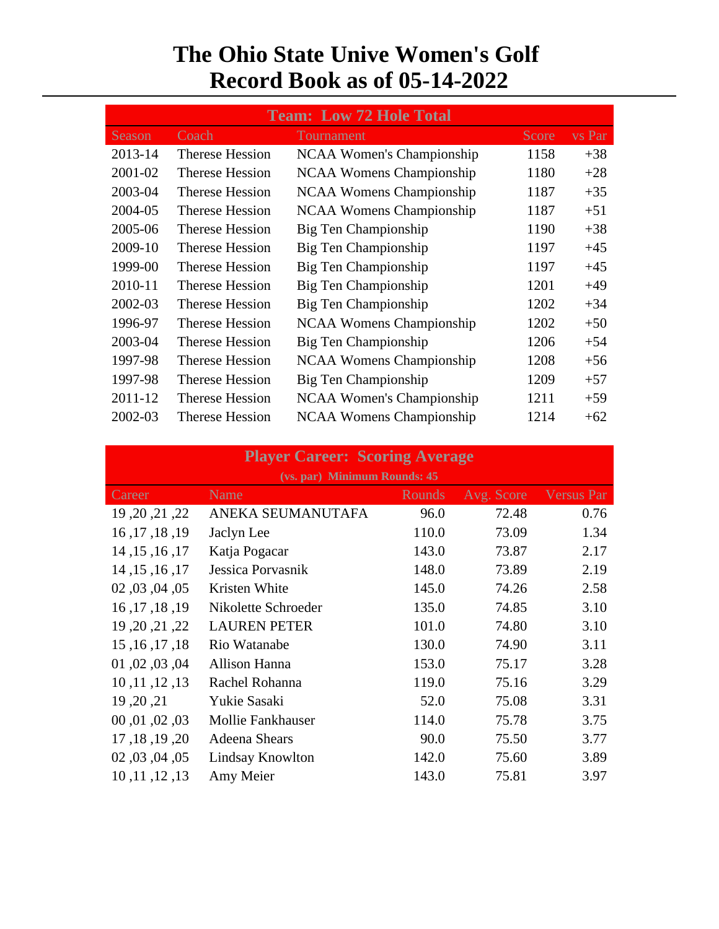| <b>Team: Low 72 Hole Total</b> |                        |                                  |       |        |  |
|--------------------------------|------------------------|----------------------------------|-------|--------|--|
| Season                         | Coach                  | Tournament                       | Score | vs Par |  |
| 2013-14                        | Therese Hession        | <b>NCAA Women's Championship</b> | 1158  | $+38$  |  |
| 2001-02                        | Therese Hession        | NCAA Womens Championship         | 1180  | $+28$  |  |
| 2003-04                        | Therese Hession        | NCAA Womens Championship         | 1187  | $+35$  |  |
| 2004-05                        | Therese Hession        | NCAA Womens Championship         | 1187  | $+51$  |  |
| 2005-06                        | Therese Hession        | Big Ten Championship             | 1190  | $+38$  |  |
| 2009-10                        | Therese Hession        | Big Ten Championship             | 1197  | $+45$  |  |
| 1999-00                        | Therese Hession        | Big Ten Championship             | 1197  | $+45$  |  |
| 2010-11                        | Therese Hession        | Big Ten Championship             | 1201  | $+49$  |  |
| 2002-03                        | Therese Hession        | Big Ten Championship             | 1202  | $+34$  |  |
| 1996-97                        | <b>Therese Hession</b> | <b>NCAA Womens Championship</b>  | 1202  | $+50$  |  |
| 2003-04                        | Therese Hession        | Big Ten Championship             | 1206  | $+54$  |  |
| 1997-98                        | Therese Hession        | NCAA Womens Championship         | 1208  | $+56$  |  |
| 1997-98                        | Therese Hession        | Big Ten Championship             | 1209  | $+57$  |  |
| 2011-12                        | Therese Hession        | NCAA Women's Championship        | 1211  | $+59$  |  |
| 2002-03                        | Therese Hession        | <b>NCAA Womens Championship</b>  | 1214  | $+62$  |  |

| <b>Player Career: Scoring Average</b> |                              |        |            |                   |  |  |
|---------------------------------------|------------------------------|--------|------------|-------------------|--|--|
|                                       | (vs. par) Minimum Rounds: 45 |        |            |                   |  |  |
| Career                                | Name                         | Rounds | Avg. Score | <b>Versus Par</b> |  |  |
| 19, 20, 21, 22                        | ANEKA SEUMANUTAFA            | 96.0   | 72.48      | 0.76              |  |  |
| 16, 17, 18, 19                        | Jaclyn Lee                   | 110.0  | 73.09      | 1.34              |  |  |
| 14, 15, 16, 17                        | Katja Pogacar                | 143.0  | 73.87      | 2.17              |  |  |
| 14, 15, 16, 17                        | Jessica Porvasnik            | 148.0  | 73.89      | 2.19              |  |  |
| 02, 03, 04, 05                        | Kristen White                | 145.0  | 74.26      | 2.58              |  |  |
| 16, 17, 18, 19                        | Nikolette Schroeder          | 135.0  | 74.85      | 3.10              |  |  |
| 19, 20, 21, 22                        | <b>LAUREN PETER</b>          | 101.0  | 74.80      | 3.10              |  |  |
| 15, 16, 17, 18                        | Rio Watanabe                 | 130.0  | 74.90      | 3.11              |  |  |
| 01, 02, 03, 04                        | Allison Hanna                | 153.0  | 75.17      | 3.28              |  |  |
| 10, 11, 12, 13                        | Rachel Rohanna               | 119.0  | 75.16      | 3.29              |  |  |
| 19, 20, 21                            | Yukie Sasaki                 | 52.0   | 75.08      | 3.31              |  |  |
| 00, 01, 02, 03                        | Mollie Fankhauser            | 114.0  | 75.78      | 3.75              |  |  |
| 17, 18, 19, 20                        | Adeena Shears                | 90.0   | 75.50      | 3.77              |  |  |
| 02, 03, 04, 05                        | <b>Lindsay Knowlton</b>      | 142.0  | 75.60      | 3.89              |  |  |
| 10, 11, 12, 13                        | Amy Meier                    | 143.0  | 75.81      | 3.97              |  |  |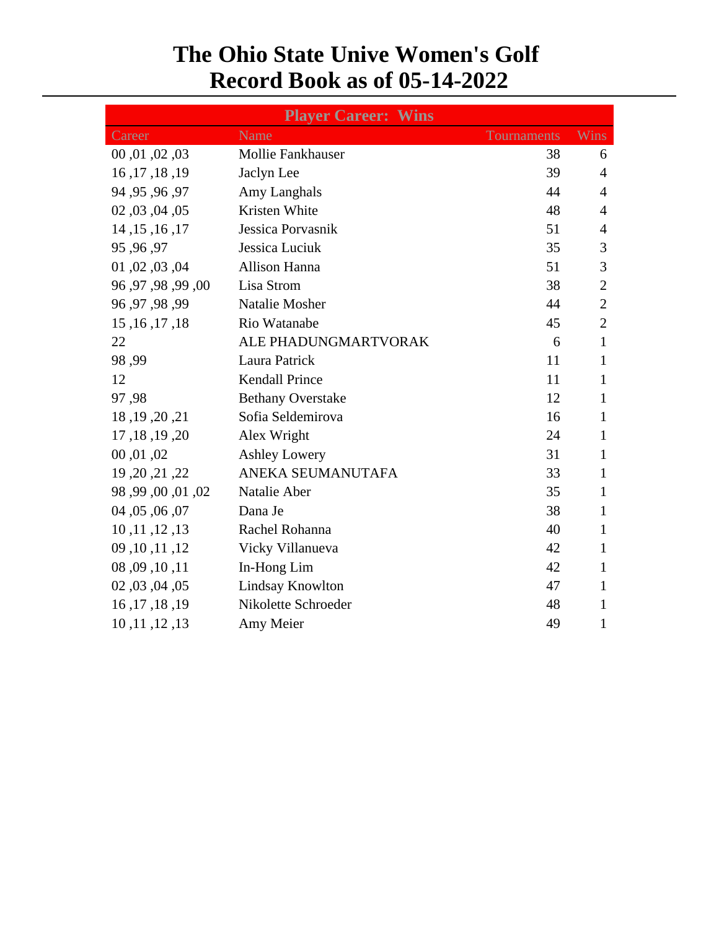| <b>Player Career: Wins</b> |                          |             |                |  |
|----------------------------|--------------------------|-------------|----------------|--|
| Career                     | Name                     | Tournaments | Wins           |  |
| 00, 01, 02, 03             | Mollie Fankhauser        | 38          | 6              |  |
| 16, 17, 18, 19             | Jaclyn Lee               | 39          | $\overline{4}$ |  |
| 94, 95, 96, 97             | Amy Langhals             | 44          | 4              |  |
| 02, 03, 04, 05             | Kristen White            | 48          | 4              |  |
| 14, 15, 16, 17             | Jessica Porvasnik        | 51          | $\overline{4}$ |  |
| 95, 96, 97                 | Jessica Luciuk           | 35          | 3              |  |
| 01, 02, 03, 04             | Allison Hanna            | 51          | 3              |  |
| 96, 98, 98, 99, 99         | Lisa Strom               | 38          | $\overline{2}$ |  |
| 96, 98, 97                 | Natalie Mosher           | 44          | $\overline{2}$ |  |
| 15, 16, 17, 18             | Rio Watanabe             | 45          | $\overline{2}$ |  |
| 22                         | ALE PHADUNGMARTVORAK     | 6           | $\mathbf{1}$   |  |
| 98,99                      | Laura Patrick            | 11          | $\mathbf{1}$   |  |
| 12                         | <b>Kendall Prince</b>    | 11          | $\mathbf{1}$   |  |
| 97,98                      | <b>Bethany Overstake</b> | 12          | $\mathbf{1}$   |  |
| 18, 19, 20, 21             | Sofia Seldemirova        | 16          | $\mathbf{1}$   |  |
| 17, 18, 19, 20             | Alex Wright              | 24          | $\mathbf{1}$   |  |
| 00, 01, 02                 | <b>Ashley Lowery</b>     | 31          | $\mathbf{1}$   |  |
| 19, 20, 21, 22             | ANEKA SEUMANUTAFA        | 33          | $\mathbf{1}$   |  |
| 98, 99, 00, 99, 98         | Natalie Aber             | 35          | $\mathbf{1}$   |  |
| 04, 05, 06, 07             | Dana Je                  | 38          | $\mathbf{1}$   |  |
| 10, 11, 12, 13             | Rachel Rohanna           | 40          | $\mathbf{1}$   |  |
| 09, 10, 11, 12             | Vicky Villanueva         | 42          | $\mathbf{1}$   |  |
| 08,09,10,11                | In-Hong Lim              | 42          | $\mathbf{1}$   |  |
| 02, 03, 04, 05             | Lindsay Knowlton         | 47          | $\mathbf{1}$   |  |
| 16, 17, 18, 19             | Nikolette Schroeder      | 48          | $\mathbf{1}$   |  |
| 10, 11, 12, 13             | Amy Meier                | 49          | 1              |  |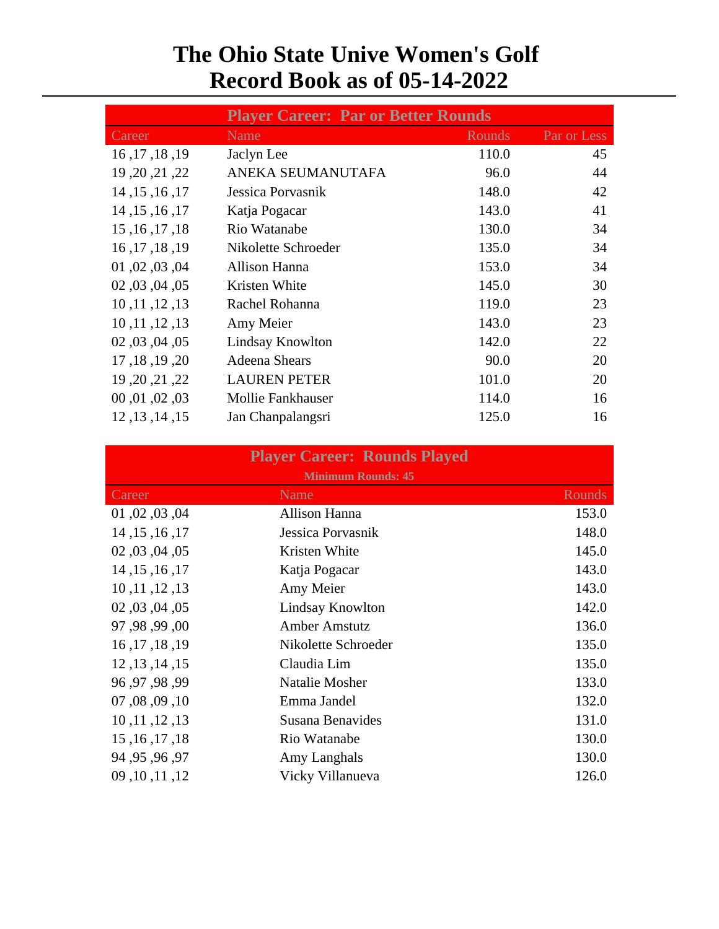|                | <b>Player Career: Par or Better Rounds</b> |        |             |
|----------------|--------------------------------------------|--------|-------------|
| Career         | <b>Name</b>                                | Rounds | Par or Less |
| 16, 17, 18, 19 | Jaclyn Lee                                 | 110.0  | 45          |
| 19, 20, 21, 22 | ANEKA SEUMANUTAFA                          | 96.0   | 44          |
| 14, 15, 16, 17 | Jessica Porvasnik                          | 148.0  | 42          |
| 14, 15, 16, 17 | Katja Pogacar                              | 143.0  | 41          |
| 15, 16, 17, 18 | Rio Watanabe                               | 130.0  | 34          |
| 16, 17, 18, 19 | Nikolette Schroeder                        | 135.0  | 34          |
| 01, 02, 03, 04 | Allison Hanna                              | 153.0  | 34          |
| 02, 03, 04, 05 | Kristen White                              | 145.0  | 30          |
| 10, 11, 12, 13 | Rachel Rohanna                             | 119.0  | 23          |
| 10, 11, 12, 13 | Amy Meier                                  | 143.0  | 23          |
| 02, 03, 04, 05 | Lindsay Knowlton                           | 142.0  | 22          |
| 17, 18, 19, 20 | Adeena Shears                              | 90.0   | 20          |
| 22, 21, 20, 19 | <b>LAUREN PETER</b>                        | 101.0  | 20          |
| 00, 01, 02, 03 | Mollie Fankhauser                          | 114.0  | 16          |
| 12, 13, 14, 15 | Jan Chanpalangsri                          | 125.0  | 16          |

| <b>Player Career: Rounds Played</b> |                         |        |  |  |  |  |  |  |
|-------------------------------------|-------------------------|--------|--|--|--|--|--|--|
| <b>Minimum Rounds: 45</b>           |                         |        |  |  |  |  |  |  |
| Career                              | Name                    | Rounds |  |  |  |  |  |  |
| 01, 02, 03, 04                      | Allison Hanna           | 153.0  |  |  |  |  |  |  |
| 14, 15, 16, 17                      | Jessica Porvasnik       | 148.0  |  |  |  |  |  |  |
| 02, 03, 04, 05                      | Kristen White           | 145.0  |  |  |  |  |  |  |
| 14, 15, 16, 17                      | Katja Pogacar           | 143.0  |  |  |  |  |  |  |
| 10, 11, 12, 13                      | Amy Meier               | 143.0  |  |  |  |  |  |  |
| 02, 03, 04, 05                      | <b>Lindsay Knowlton</b> | 142.0  |  |  |  |  |  |  |
| 97, 98, 99, 99                      | <b>Amber Amstutz</b>    | 136.0  |  |  |  |  |  |  |
| 16, 17, 18, 19                      | Nikolette Schroeder     | 135.0  |  |  |  |  |  |  |
| 12, 13, 14, 15                      | Claudia Lim             | 135.0  |  |  |  |  |  |  |
| 96, 98, 97                          | Natalie Mosher          | 133.0  |  |  |  |  |  |  |
| 07, 08, 09, 00                      | Emma Jandel             | 132.0  |  |  |  |  |  |  |
| 10, 11, 12, 13                      | Susana Benavides        | 131.0  |  |  |  |  |  |  |
| 15, 16, 17, 18                      | Rio Watanabe            | 130.0  |  |  |  |  |  |  |
| 94, 95, 96, 97                      | Amy Langhals            | 130.0  |  |  |  |  |  |  |
| 12, 11, 10, 09                      | Vicky Villanueva        | 126.0  |  |  |  |  |  |  |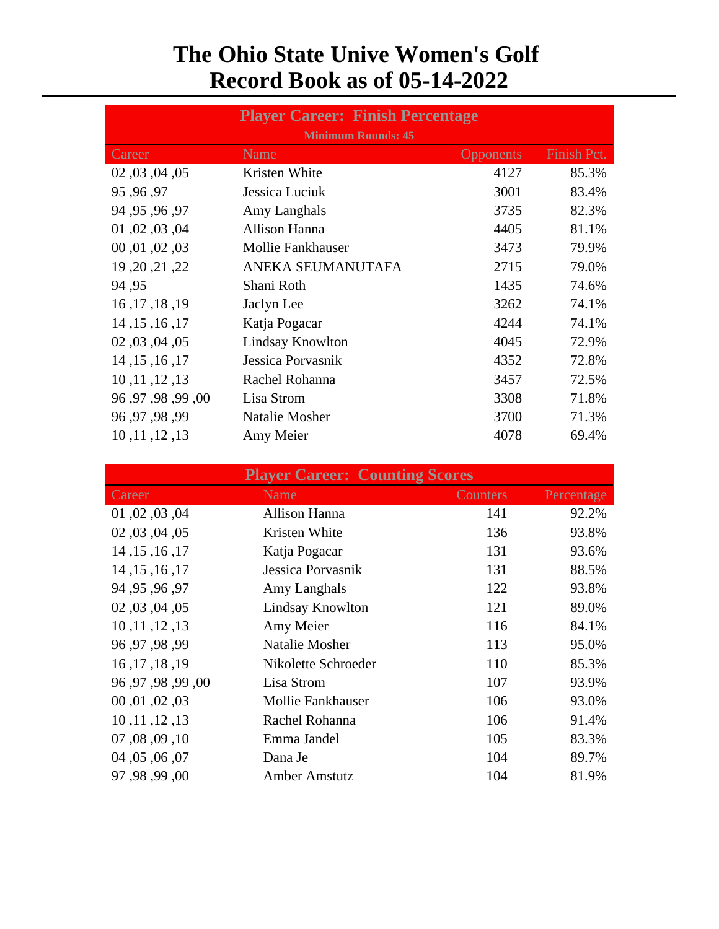| <b>Player Career: Finish Percentage</b> |                         |                  |             |  |  |  |  |  |  |
|-----------------------------------------|-------------------------|------------------|-------------|--|--|--|--|--|--|
| <b>Minimum Rounds: 45</b>               |                         |                  |             |  |  |  |  |  |  |
| Career                                  | Name                    | <b>Opponents</b> | Finish Pct. |  |  |  |  |  |  |
| 02, 03, 04, 05                          | Kristen White           | 4127             | 85.3%       |  |  |  |  |  |  |
| 95, 96, 97                              | Jessica Luciuk          | 3001             | 83.4%       |  |  |  |  |  |  |
| 94, 95, 96, 94                          | Amy Langhals            | 3735             | 82.3%       |  |  |  |  |  |  |
| 01, 02, 03, 04                          | <b>Allison Hanna</b>    | 4405             | 81.1%       |  |  |  |  |  |  |
| 00, 01, 02, 03                          | Mollie Fankhauser       | 3473             | 79.9%       |  |  |  |  |  |  |
| 19, 20, 21, 22                          | ANEKA SEUMANUTAFA       | 2715             | 79.0%       |  |  |  |  |  |  |
| 94,95                                   | Shani Roth              | 1435             | 74.6%       |  |  |  |  |  |  |
| 16, 17, 18, 19                          | Jaclyn Lee              | 3262             | 74.1%       |  |  |  |  |  |  |
| 14, 15, 16, 17                          | Katja Pogacar           | 4244             | 74.1%       |  |  |  |  |  |  |
| 02, 03, 04, 05                          | <b>Lindsay Knowlton</b> | 4045             | 72.9%       |  |  |  |  |  |  |
| 14, 15, 16, 17                          | Jessica Porvasnik       | 4352             | 72.8%       |  |  |  |  |  |  |
| 10, 11, 12, 13                          | Rachel Rohanna          | 3457             | 72.5%       |  |  |  |  |  |  |
| 96, 98, 98, 99, 99                      | Lisa Strom              | 3308             | 71.8%       |  |  |  |  |  |  |
| 96, 98, 97                              | Natalie Mosher          | 3700             | 71.3%       |  |  |  |  |  |  |
| 10, 11, 12, 13                          | Amy Meier               | 4078             | 69.4%       |  |  |  |  |  |  |

| <b>Player Career: Counting Scores</b> |                      |          |            |  |  |  |  |  |  |
|---------------------------------------|----------------------|----------|------------|--|--|--|--|--|--|
| Career                                | Name                 | Counters | Percentage |  |  |  |  |  |  |
| 01,02,03,04                           | Allison Hanna        | 141      | 92.2%      |  |  |  |  |  |  |
| 02, 03, 04, 05                        | Kristen White        | 136      | 93.8%      |  |  |  |  |  |  |
| 14, 15, 16, 17                        | Katja Pogacar        | 131      | 93.6%      |  |  |  |  |  |  |
| 14, 15, 16, 17                        | Jessica Porvasnik    | 131      | 88.5%      |  |  |  |  |  |  |
| 94, 95, 96, 97                        | Amy Langhals         | 122      | 93.8%      |  |  |  |  |  |  |
| 02, 03, 04, 05                        | Lindsay Knowlton     | 121      | 89.0%      |  |  |  |  |  |  |
| 10, 11, 12, 13                        | Amy Meier            | 116      | 84.1%      |  |  |  |  |  |  |
| 96, 98, 99                            | Natalie Mosher       | 113      | 95.0%      |  |  |  |  |  |  |
| 16, 17, 18, 19                        | Nikolette Schroeder  | 110      | 85.3%      |  |  |  |  |  |  |
| 96, 98, 98, 99, 99                    | Lisa Strom           | 107      | 93.9%      |  |  |  |  |  |  |
| 00, 01, 02, 03                        | Mollie Fankhauser    | 106      | 93.0%      |  |  |  |  |  |  |
| 10, 11, 12, 13                        | Rachel Rohanna       | 106      | 91.4%      |  |  |  |  |  |  |
| 07, 08, 09, 09                        | Emma Jandel          | 105      | 83.3%      |  |  |  |  |  |  |
| 04, 05, 06, 07                        | Dana Je              | 104      | 89.7%      |  |  |  |  |  |  |
| 97, 98, 99, 90                        | <b>Amber Amstutz</b> | 104      | 81.9%      |  |  |  |  |  |  |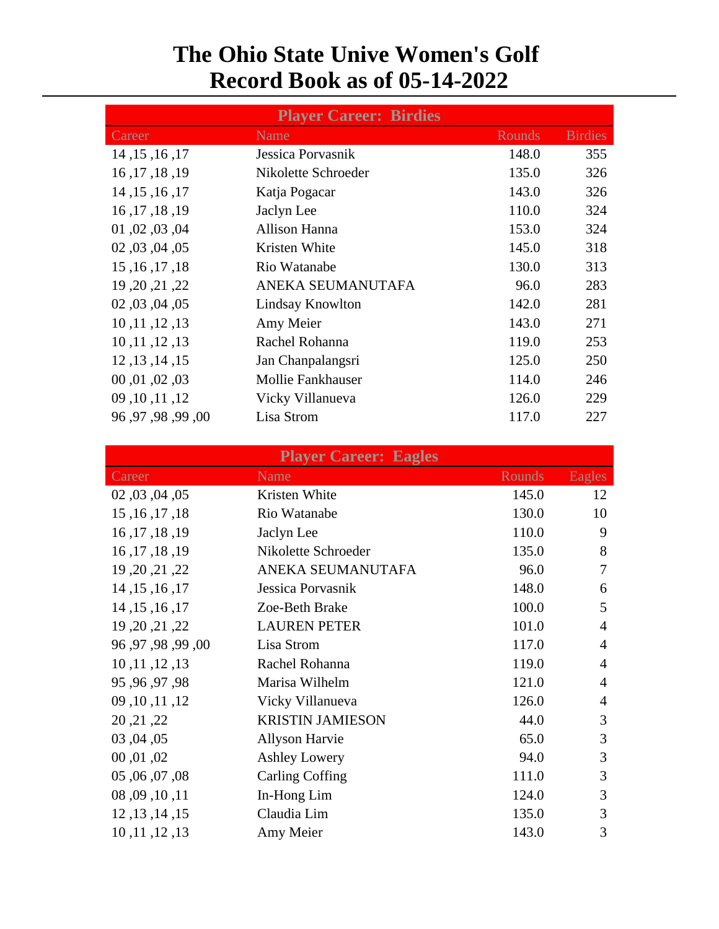| <b>Player Career: Birdies</b> |                      |               |                |  |  |  |  |  |  |  |
|-------------------------------|----------------------|---------------|----------------|--|--|--|--|--|--|--|
| Career                        | Name                 | <b>Rounds</b> | <b>Birdies</b> |  |  |  |  |  |  |  |
| 14, 15, 16, 17                | Jessica Porvasnik    | 148.0         | 355            |  |  |  |  |  |  |  |
| 16, 17, 18, 19                | Nikolette Schroeder  | 135.0         | 326            |  |  |  |  |  |  |  |
| 14, 15, 16, 17                | Katja Pogacar        | 143.0         | 326            |  |  |  |  |  |  |  |
| 16, 17, 18, 19                | Jaclyn Lee           | 110.0         | 324            |  |  |  |  |  |  |  |
| 01, 02, 03, 04                | <b>Allison Hanna</b> | 153.0         | 324            |  |  |  |  |  |  |  |
| 02, 03, 04, 05                | Kristen White        | 145.0         | 318            |  |  |  |  |  |  |  |
| 15, 16, 17, 18                | Rio Watanabe         | 130.0         | 313            |  |  |  |  |  |  |  |
| 22, 21, 20, 19                | ANEKA SEUMANUTAFA    | 96.0          | 283            |  |  |  |  |  |  |  |
| 02, 03, 04, 05                | Lindsay Knowlton     | 142.0         | 281            |  |  |  |  |  |  |  |
| 10, 11, 12, 13                | Amy Meier            | 143.0         | 271            |  |  |  |  |  |  |  |
| 10, 11, 12, 13                | Rachel Rohanna       | 119.0         | 253            |  |  |  |  |  |  |  |
| 12, 13, 14, 15                | Jan Chanpalangsri    | 125.0         | 250            |  |  |  |  |  |  |  |
| 00, 01, 02, 03                | Mollie Fankhauser    | 114.0         | 246            |  |  |  |  |  |  |  |
| 09, 10, 11, 12                | Vicky Villanueva     | 126.0         | 229            |  |  |  |  |  |  |  |
| 96, 98, 98, 99, 99            | Lisa Strom           | 117.0         | 227            |  |  |  |  |  |  |  |

| <b>Player Career: Eagles</b> |                         |        |                |  |  |  |  |  |  |
|------------------------------|-------------------------|--------|----------------|--|--|--|--|--|--|
| Career                       | Name                    | Rounds | Eagles         |  |  |  |  |  |  |
| 02, 03, 04, 05               | Kristen White           | 145.0  | 12             |  |  |  |  |  |  |
| 15, 16, 17, 18               | Rio Watanabe            | 130.0  | 10             |  |  |  |  |  |  |
| 16, 17, 18, 19               | Jaclyn Lee              | 110.0  | 9              |  |  |  |  |  |  |
| 16, 17, 18, 19               | Nikolette Schroeder     | 135.0  | 8              |  |  |  |  |  |  |
| 19, 20, 21, 22               | ANEKA SEUMANUTAFA       | 96.0   | 7              |  |  |  |  |  |  |
| 14, 15, 16, 17               | Jessica Porvasnik       | 148.0  | 6              |  |  |  |  |  |  |
| 14, 15, 16, 17               | Zoe-Beth Brake          | 100.0  | 5              |  |  |  |  |  |  |
| 19, 20, 21, 22               | <b>LAUREN PETER</b>     | 101.0  | $\overline{4}$ |  |  |  |  |  |  |
| 96, 98, 98, 99, 99           | Lisa Strom              | 117.0  | $\overline{4}$ |  |  |  |  |  |  |
| 10, 11, 12, 13               | Rachel Rohanna          | 119.0  | $\overline{4}$ |  |  |  |  |  |  |
| 95, 96, 97, 98               | Marisa Wilhelm          | 121.0  | $\overline{4}$ |  |  |  |  |  |  |
| 09, 10, 11, 12               | Vicky Villanueva        | 126.0  | 4              |  |  |  |  |  |  |
| 20, 21, 22                   | <b>KRISTIN JAMIESON</b> | 44.0   | 3              |  |  |  |  |  |  |
| 03, 04, 05                   | <b>Allyson Harvie</b>   | 65.0   | 3              |  |  |  |  |  |  |
| 00, 01, 02                   | <b>Ashley Lowery</b>    | 94.0   | 3              |  |  |  |  |  |  |
| 05, 06, 07, 08               | <b>Carling Coffing</b>  | 111.0  | 3              |  |  |  |  |  |  |
| 08,09,10,11                  | In-Hong Lim             | 124.0  | 3              |  |  |  |  |  |  |
| 12, 13, 14, 15               | Claudia Lim             | 135.0  | 3              |  |  |  |  |  |  |
| 10, 11, 12, 13               | Amy Meier               | 143.0  | 3              |  |  |  |  |  |  |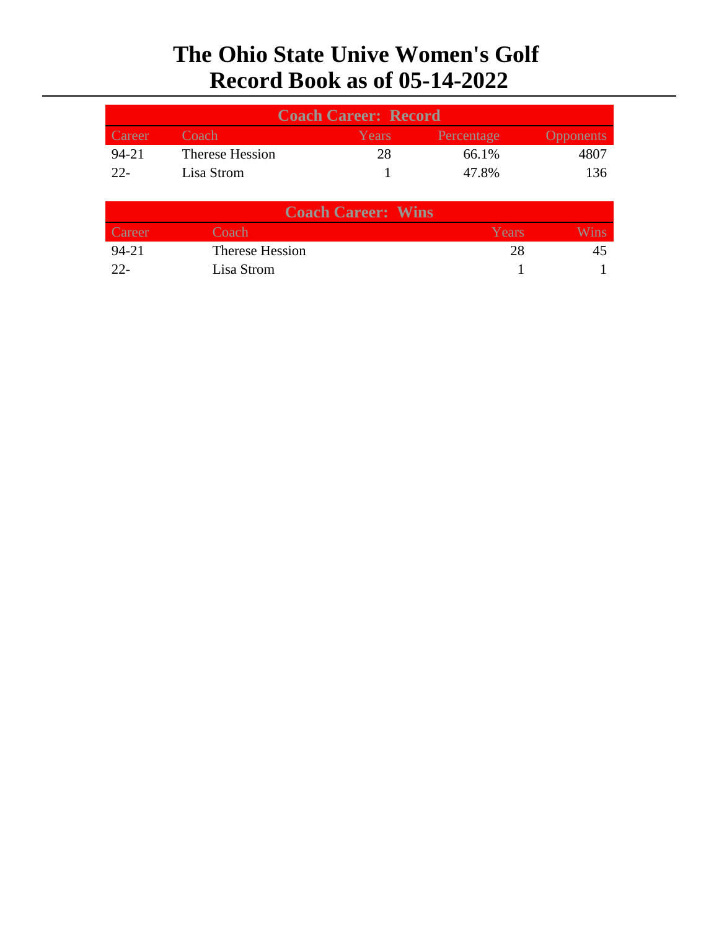| <b>Coach Career: Record</b> |                 |       |            |                  |  |  |  |  |  |
|-----------------------------|-----------------|-------|------------|------------------|--|--|--|--|--|
| Career                      | Coach           | Years | Percentage | <b>Opponents</b> |  |  |  |  |  |
| 94-21                       | Therese Hession | 28    | 66.1%      | 4807             |  |  |  |  |  |
| $22-$                       | Lisa Strom      |       | 47.8%      | 136.             |  |  |  |  |  |

| <b>Coach Career: Wins</b> |                 |       |       |  |  |  |  |  |
|---------------------------|-----------------|-------|-------|--|--|--|--|--|
| Career                    | Coach           | Years | Wins. |  |  |  |  |  |
| 94-21                     | Therese Hession | 28    | 45    |  |  |  |  |  |
| $22-$                     | Lisa Strom      |       |       |  |  |  |  |  |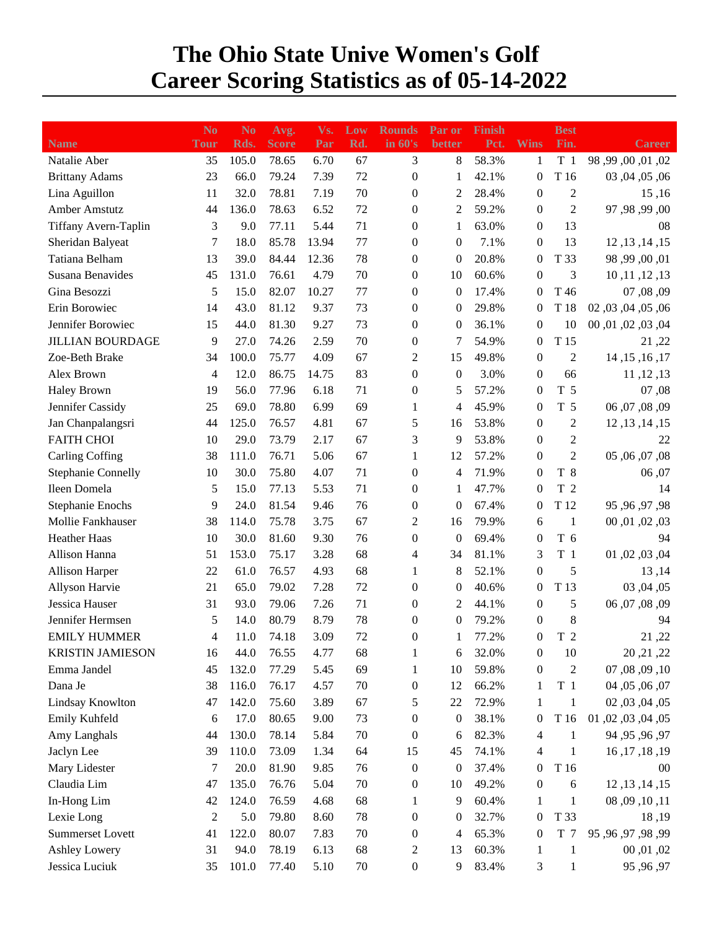|                           | N <sub>0</sub> | N <sub>0</sub> | Avg.         | Vs.   | Low    | <b>Rounds</b>    | Par or           | <b>Finish</b> |                  | <b>Best</b>    |                    |
|---------------------------|----------------|----------------|--------------|-------|--------|------------------|------------------|---------------|------------------|----------------|--------------------|
| <b>Name</b>               | <b>Tour</b>    | Rds.           | <b>Score</b> | Par   | Rd.    | in 60's          | better           | Pct.          | <b>Wins</b>      | Fin.           | <b>Career</b>      |
| Natalie Aber              | 35             | 105.0          | 78.65        | 6.70  | 67     | 3                | 8                | 58.3%         | $\mathbf{1}$     | T <sub>1</sub> | 98, 00, 00, 99, 99 |
| <b>Brittany Adams</b>     | 23             | 66.0           | 79.24        | 7.39  | 72     | $\boldsymbol{0}$ | 1                | 42.1%         | $\boldsymbol{0}$ | T 16           | 03, 04, 05, 06     |
| Lina Aguillon             | 11             | 32.0           | 78.81        | 7.19  | 70     | 0                | 2                | 28.4%         | $\overline{0}$   | $\overline{2}$ | 15,16              |
| Amber Amstutz             | 44             | 136.0          | 78.63        | 6.52  | 72     | $\boldsymbol{0}$ | 2                | 59.2%         | $\theta$         | $\overline{2}$ | 97, 98, 99, 00     |
| Tiffany Avern-Taplin      | 3              | 9.0            | 77.11        | 5.44  | 71     | 0                | 1                | 63.0%         | $\theta$         | 13             | 08                 |
| Sheridan Balyeat          | $\tau$         | 18.0           | 85.78        | 13.94 | 77     | 0                | 0                | 7.1%          | $\boldsymbol{0}$ | 13             | 12, 13, 14, 15     |
| Tatiana Belham            | 13             | 39.0           | 84.44        | 12.36 | 78     | 0                | 0                | 20.8%         | $\boldsymbol{0}$ | T 33           | 98, 99, 00, 1      |
| Susana Benavides          | 45             | 131.0          | 76.61        | 4.79  | 70     | 0                | 10               | 60.6%         | $\boldsymbol{0}$ | 3              | 10, 11, 12, 13     |
| Gina Besozzi              | 5              | 15.0           | 82.07        | 10.27 | 77     | 0                | $\theta$         | 17.4%         | $\overline{0}$   | T 46           | 07, 08, 09         |
| Erin Borowiec             | 14             | 43.0           | 81.12        | 9.37  | 73     | $\boldsymbol{0}$ | $\theta$         | 29.8%         | $\theta$         | T 18           | 02, 03, 04, 05, 06 |
| Jennifer Borowiec         | 15             | 44.0           | 81.30        | 9.27  | 73     | 0                | 0                | 36.1%         | $\boldsymbol{0}$ | 10             | 00, 01, 02, 03, 04 |
| <b>JILLIAN BOURDAGE</b>   | 9              | 27.0           | 74.26        | 2.59  | 70     | 0                | 7                | 54.9%         | $\overline{0}$   | T 15           | 21,22              |
| Zoe-Beth Brake            | 34             | 100.0          | 75.77        | 4.09  | 67     | $\overline{c}$   | 15               | 49.8%         | $\boldsymbol{0}$ | $\overline{c}$ | 14, 15, 16, 17     |
| Alex Brown                | 4              | 12.0           | 86.75        | 14.75 | 83     | 0                | 0                | 3.0%          | $\overline{0}$   | 66             | 11, 12, 13         |
| <b>Haley Brown</b>        | 19             | 56.0           | 77.96        | 6.18  | 71     | 0                | 5                | 57.2%         | $\boldsymbol{0}$ | T 5            | 07,08              |
| Jennifer Cassidy          | 25             | 69.0           | 78.80        | 6.99  | 69     | 1                | 4                | 45.9%         | $\theta$         | T 5            | 06, 07, 08, 09     |
| Jan Chanpalangsri         | 44             | 125.0          | 76.57        | 4.81  | 67     | 5                | 16               | 53.8%         | $\theta$         | $\overline{c}$ | 12, 13, 14, 15     |
| <b>FAITH CHOI</b>         | 10             | 29.0           | 73.79        | 2.17  | 67     | 3                | 9                | 53.8%         | $\theta$         | $\overline{2}$ | 22                 |
| Carling Coffing           | 38             | 111.0          | 76.71        | 5.06  | 67     | 1                | 12               | 57.2%         | $\boldsymbol{0}$ | $\overline{2}$ | 05, 06, 07, 08     |
| <b>Stephanie Connelly</b> | 10             | 30.0           | 75.80        | 4.07  | 71     | 0                | 4                | 71.9%         | $\boldsymbol{0}$ | T 8            | 06,07              |
| Ileen Domela              | 5              | 15.0           | 77.13        | 5.53  | 71     | 0                | 1                | 47.7%         | $\boldsymbol{0}$ | T <sub>2</sub> | 14                 |
| <b>Stephanie Enochs</b>   | 9              | 24.0           | 81.54        | 9.46  | 76     | $\boldsymbol{0}$ | 0                | 67.4%         | $\theta$         | T 12           | 95, 96, 97, 98     |
| Mollie Fankhauser         | 38             | 114.0          | 75.78        | 3.75  | 67     | 2                | 16               | 79.9%         | 6                | 1              | 00, 01, 02, 03     |
| <b>Heather Haas</b>       | 10             | 30.0           | 81.60        | 9.30  | 76     | 0                | $\boldsymbol{0}$ | 69.4%         | $\boldsymbol{0}$ | T 6            | 94                 |
| Allison Hanna             | 51             | 153.0          | 75.17        | 3.28  | 68     | 4                | 34               | 81.1%         | 3                | T <sub>1</sub> | 01, 02, 03, 04     |
| <b>Allison Harper</b>     | 22             | 61.0           | 76.57        | 4.93  | 68     | 1                | 8                | 52.1%         | $\boldsymbol{0}$ | 5              | 13,14              |
| Allyson Harvie            | 21             | 65.0           | 79.02        | 7.28  | 72     | 0                | $\theta$         | 40.6%         | $\overline{0}$   | T 13           | 03, 04, 05         |
| Jessica Hauser            | 31             | 93.0           | 79.06        | 7.26  | 71     | $\boldsymbol{0}$ | 2                | 44.1%         | $\boldsymbol{0}$ | 5              | 06, 07, 08, 09     |
| Jennifer Hermsen          | 5              | 14.0           | 80.79        | 8.79  | 78     | 0                | 0                | 79.2%         | $\theta$         | 8              | 94                 |
| <b>EMILY HUMMER</b>       | 4              | 11.0           | 74.18        | 3.09  | 72     | $\overline{0}$   | 1                | 77.2%         | $\boldsymbol{0}$ | T <sub>2</sub> | 21,22              |
| <b>KRISTIN JAMIESON</b>   | 16             | 44.0           | 76.55        | 4.77  | 68     | $\mathbf{1}$     | 6                | 32.0%         | $\boldsymbol{0}$ | 10             | 20, 21, 22         |
| Emma Jandel               | 45             | 132.0          | 77.29        | 5.45  | 69     | $\mathbf{1}$     | 10               | 59.8%         | $\boldsymbol{0}$ | $\overline{2}$ | 07, 08, 09, 10     |
| Dana Je                   | 38             | 116.0          | 76.17        | 4.57  | $70\,$ | $\boldsymbol{0}$ | 12               | 66.2%         | $\mathbf{1}$     | T <sub>1</sub> | 04, 05, 06, 07     |
| Lindsay Knowlton          | 47             | 142.0          | 75.60        | 3.89  | 67     | 5                | 22               | 72.9%         | $\mathbf{1}$     | $\mathbf{1}$   | 02, 03, 04, 05     |
| Emily Kuhfeld             | 6              | 17.0           | 80.65        | 9.00  | 73     | $\boldsymbol{0}$ | $\boldsymbol{0}$ | 38.1%         | $\boldsymbol{0}$ | T 16           | 01, 02, 03, 04, 05 |
| Amy Langhals              | 44             | 130.0          | 78.14        | 5.84  | $70\,$ | $\boldsymbol{0}$ | 6                | 82.3%         | $\overline{4}$   | $\mathbf{1}$   | 94, 95, 96, 97     |
| Jaclyn Lee                | 39             | 110.0          | 73.09        | 1.34  | 64     | 15               | 45               | 74.1%         | $\overline{4}$   | $\mathbf{1}$   | 16, 17, 18, 19     |
| Mary Lidester             | 7              | 20.0           | 81.90        | 9.85  | 76     | $\boldsymbol{0}$ | 0                | 37.4%         | $\boldsymbol{0}$ | T 16           | $00\,$             |
| Claudia Lim               | 47             | 135.0          | 76.76        | 5.04  | $70\,$ | $\boldsymbol{0}$ | 10               | 49.2%         | $\boldsymbol{0}$ | $\sqrt{6}$     | 12, 13, 14, 15     |
| In-Hong Lim               | 42             | 124.0          | 76.59        | 4.68  | 68     | 1                | 9                | 60.4%         | $\mathbf{1}$     | 1              | 08,09,10,11        |
| Lexie Long                | $\sqrt{2}$     | 5.0            | 79.80        | 8.60  | 78     | $\boldsymbol{0}$ | $\boldsymbol{0}$ | 32.7%         | $\boldsymbol{0}$ | T 33           | 18,19              |
| Summerset Lovett          | 41             | 122.0          | 80.07        | 7.83  | $70\,$ | $\boldsymbol{0}$ | 4                | 65.3%         | $\boldsymbol{0}$ | T 7            | 95, 98, 97, 98, 99 |
| <b>Ashley Lowery</b>      | 31             | 94.0           | 78.19        | 6.13  | 68     | $\overline{c}$   | 13               | 60.3%         | $\mathbf{1}$     | $\mathbf{1}$   | 00, 01, 02         |
| Jessica Luciuk            | 35             | 101.0          | 77.40        | 5.10  | $70\,$ | $\boldsymbol{0}$ | 9                | 83.4%         | 3                | $\mathbf{1}$   | 95, 96, 97         |
|                           |                |                |              |       |        |                  |                  |               |                  |                |                    |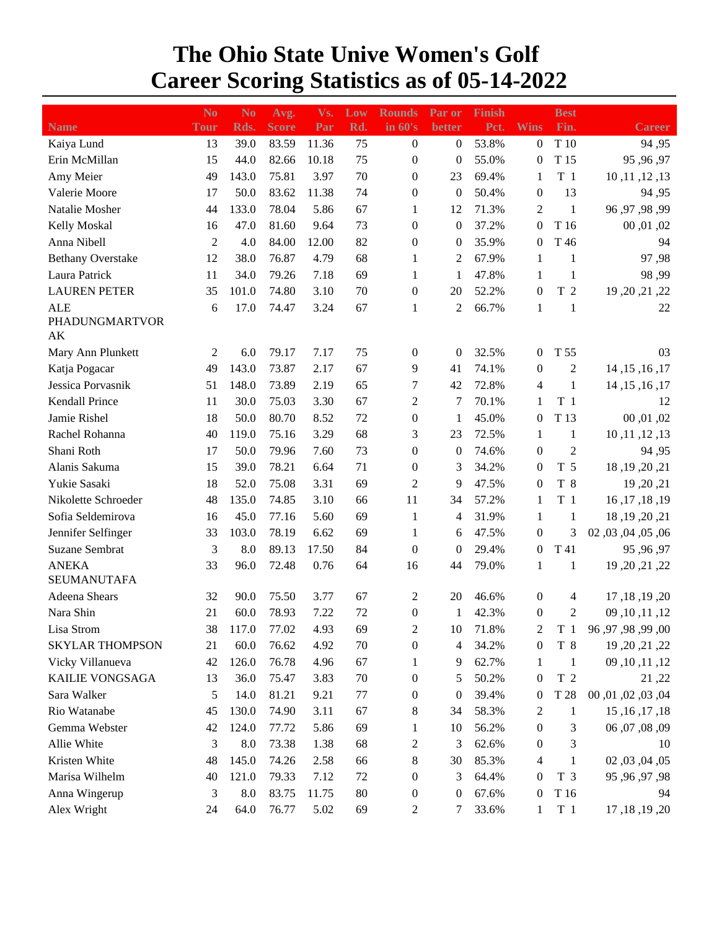|                             | N <sub>o</sub> | N <sub>0</sub> | Avg.         | Vs.   | Low    | <b>Rounds</b>    | Par or           | Finish |                  | <b>Best</b>    |                        |
|-----------------------------|----------------|----------------|--------------|-------|--------|------------------|------------------|--------|------------------|----------------|------------------------|
| <b>Name</b>                 | <b>Tour</b>    | Rds.           | <b>Score</b> | Par   | Rd.    | in 60's          | <b>better</b>    | Pct.   | <b>Wins</b>      | Fin.           | <b>Career</b>          |
| Kaiya Lund                  | 13             | 39.0           | 83.59        | 11.36 | 75     | $\boldsymbol{0}$ | $\mathbf{0}$     | 53.8%  | $\boldsymbol{0}$ | T 10           | 94,95                  |
| Erin McMillan               | 15             | 44.0           | 82.66        | 10.18 | 75     | $\boldsymbol{0}$ | 0                | 55.0%  | $\boldsymbol{0}$ | T 15           | 95, 96, 97             |
| Amy Meier                   | 49             | 143.0          | 75.81        | 3.97  | 70     | $\boldsymbol{0}$ | 23               | 69.4%  | 1                | T <sub>1</sub> | 10, 11, 12, 13         |
| Valerie Moore               | 17             | 50.0           | 83.62        | 11.38 | 74     | $\boldsymbol{0}$ | $\boldsymbol{0}$ | 50.4%  | $\mathbf{0}$     | 13             | 94,95                  |
| Natalie Mosher              | 44             | 133.0          | 78.04        | 5.86  | 67     | $\mathbf{1}$     | 12               | 71.3%  | $\overline{2}$   | $\mathbf{1}$   | 96, 98, 99             |
| Kelly Moskal                | 16             | 47.0           | 81.60        | 9.64  | 73     | $\boldsymbol{0}$ | $\boldsymbol{0}$ | 37.2%  | $\boldsymbol{0}$ | T 16           | 00, 01, 02             |
| Anna Nibell                 | $\overline{2}$ | 4.0            | 84.00        | 12.00 | 82     | $\boldsymbol{0}$ | 0                | 35.9%  | $\boldsymbol{0}$ | T 46           | 94                     |
| <b>Bethany Overstake</b>    | 12             | 38.0           | 76.87        | 4.79  | 68     | $\mathbf{1}$     | 2                | 67.9%  | 1                | 1              | 97,98                  |
| Laura Patrick               | 11             | 34.0           | 79.26        | 7.18  | 69     | $\mathbf{1}$     | 1                | 47.8%  | 1                | $\mathbf{1}$   | 98,99                  |
| <b>LAUREN PETER</b>         | 35             | 101.0          | 74.80        | 3.10  | 70     | $\boldsymbol{0}$ | 20               | 52.2%  | $\overline{0}$   | T 2            | 19, 20, 21, 22         |
| <b>ALE</b>                  | 6              | 17.0           | 74.47        | 3.24  | 67     | $\mathbf{1}$     | 2                | 66.7%  | $\mathbf{1}$     | 1              | 22                     |
| PHADUNGMARTVOR<br>AK        |                |                |              |       |        |                  |                  |        |                  |                |                        |
| Mary Ann Plunkett           | 2              | 6.0            | 79.17        | 7.17  | 75     | 0                | 0                | 32.5%  | $\boldsymbol{0}$ | T 55           | 03                     |
| Katja Pogacar               | 49             | 143.0          | 73.87        | 2.17  | 67     | 9                | 41               | 74.1%  | $\boldsymbol{0}$ | $\overline{2}$ | 14, 15, 16, 17         |
| Jessica Porvasnik           | 51             | 148.0          | 73.89        | 2.19  | 65     | 7                | 42               | 72.8%  | $\overline{4}$   | $\mathbf{1}$   | 14, 15, 16, 17         |
| Kendall Prince              | 11             | 30.0           | 75.03        | 3.30  | 67     | $\mathfrak{2}$   | 7                | 70.1%  | 1                | T <sub>1</sub> | 12                     |
| Jamie Rishel                | 18             | 50.0           | 80.70        | 8.52  | 72     | $\boldsymbol{0}$ | 1                | 45.0%  | $\boldsymbol{0}$ | T 13           | 00, 01, 02             |
| Rachel Rohanna              | 40             | 119.0          | 75.16        | 3.29  | 68     | 3                | 23               | 72.5%  | 1                | 1              | 10, 11, 12, 13         |
| Shani Roth                  | 17             | 50.0           | 79.96        | 7.60  | 73     | $\boldsymbol{0}$ | $\boldsymbol{0}$ | 74.6%  | $\boldsymbol{0}$ | $\overline{2}$ | 94,95                  |
| Alanis Sakuma               | 15             | 39.0           | 78.21        | 6.64  | 71     | $\boldsymbol{0}$ | 3                | 34.2%  | $\boldsymbol{0}$ | T 5            | 18, 19, 20, 21         |
| Yukie Sasaki                | 18             | 52.0           | 75.08        | 3.31  | 69     | $\overline{2}$   | 9                | 47.5%  | $\boldsymbol{0}$ | T 8            | 19, 20, 21             |
| Nikolette Schroeder         | 48             | 135.0          | 74.85        | 3.10  | 66     | 11               | 34               | 57.2%  | $\mathbf{1}$     | T <sub>1</sub> | 16, 17, 18, 19         |
| Sofia Seldemirova           | 16             | 45.0           | 77.16        | 5.60  | 69     | 1                | 4                | 31.9%  | 1                | 1              | 18, 19, 20, 21         |
| Jennifer Selfinger          | 33             | 103.0          | 78.19        | 6.62  | 69     | $\mathbf{1}$     | 6                | 47.5%  | $\boldsymbol{0}$ | 3              | 02, 03, 04, 05, 06     |
| Suzane Sembrat              | 3              | 8.0            | 89.13        | 17.50 | 84     | $\boldsymbol{0}$ | $\boldsymbol{0}$ | 29.4%  | $\boldsymbol{0}$ | T 41           | 95, 96, 97             |
| <b>ANEKA</b><br>SEUMANUTAFA | 33             | 96.0           | 72.48        | 0.76  | 64     | 16               | 44               | 79.0%  | 1                | 1              | 19, 20, 21, 22         |
| Adeena Shears               | 32             | 90.0           | 75.50        | 3.77  | 67     | $\overline{c}$   | 20               | 46.6%  | $\boldsymbol{0}$ | $\overline{4}$ | 17, 18, 19, 20         |
| Nara Shin                   | 21             | 60.0           | 78.93        | 7.22  | 72     | $\boldsymbol{0}$ | 1                | 42.3%  | $\boldsymbol{0}$ | $\overline{2}$ | 09, 10, 11, 12         |
| Lisa Strom                  | $38\,$         | 117.0          | 77.02        | 4.93  | 69     | $\overline{c}$   | 10               | 71.8%  | $\sqrt{2}$       |                | T 1 96, 97, 98, 99, 00 |
| <b>SKYLAR THOMPSON</b>      | 21             | 60.0           | 76.62        | 4.92  | 70     | $\boldsymbol{0}$ | 4                | 34.2%  | $\boldsymbol{0}$ | T 8            | 19, 20, 21, 22         |
| Vicky Villanueva            | $42\,$         | 126.0          | 76.78        | 4.96  | 67     | 1                | 9                | 62.7%  | $\mathbf{1}$     | 1              | 09, 10, 11, 12         |
| KAILIE VONGSAGA             | 13             | 36.0           | 75.47        | 3.83  | 70     | 0                | 5                | 50.2%  | $\boldsymbol{0}$ | T <sub>2</sub> | 21,22                  |
| Sara Walker                 | 5              | 14.0           | 81.21        | 9.21  | $77\,$ | $\boldsymbol{0}$ | 0                | 39.4%  | $\boldsymbol{0}$ | T 28           | 00, 01, 02, 03, 04     |
| Rio Watanabe                | 45             | 130.0          | 74.90        | 3.11  | 67     | 8                | 34               | 58.3%  | $\overline{c}$   | 1              | 15, 16, 17, 18         |
| Gemma Webster               | $42\,$         | 124.0          | 77.72        | 5.86  | 69     | 1                | 10               | 56.2%  | $\boldsymbol{0}$ | 3              | 06, 07, 08, 09         |
| Allie White                 | 3              | 8.0            | 73.38        | 1.38  | 68     | $\overline{c}$   | 3                | 62.6%  | $\boldsymbol{0}$ | 3              | 10                     |
| Kristen White               | 48             | 145.0          | 74.26        | 2.58  | 66     | 8                | 30               | 85.3%  | 4                | $\mathbf{1}$   | 02, 03, 04, 05         |
| Marisa Wilhelm              | 40             | 121.0          | 79.33        | 7.12  | 72     | 0                | 3                | 64.4%  | $\boldsymbol{0}$ | T 3            | 95, 96, 97, 98         |
| Anna Wingerup               | 3              | 8.0            | 83.75        | 11.75 | 80     | $\boldsymbol{0}$ | 0                | 67.6%  | $\boldsymbol{0}$ | T 16           | 94                     |
| Alex Wright                 | 24             | 64.0           | 76.77        | 5.02  | 69     | $\overline{2}$   | 7                | 33.6%  | $\mathbf{1}$     | $T\!-\!1$      | 17, 18, 19, 20         |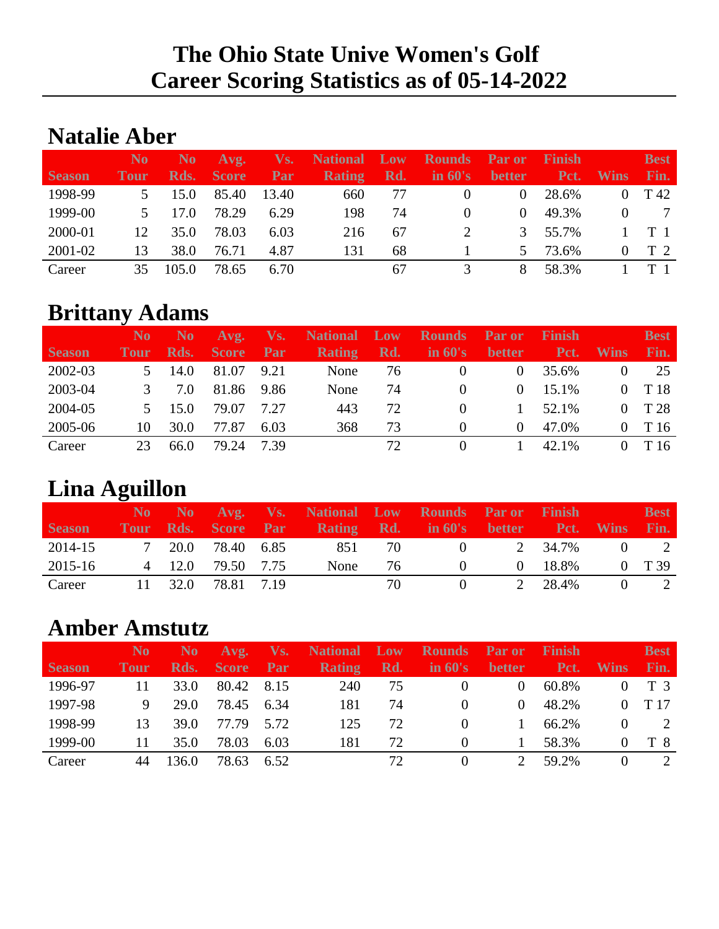### **Natalie Aber**

| <b>Season</b> | N <sub>0</sub><br><b>Tour</b> | No.   | Avg.<br>Rds. Score | Par   | <b>Vs.</b> National Low<br><b>Rating</b> | Rd. | <b>Rounds</b><br>in $60's$ | Par or<br>better | <b>Finish</b><br>Pct. | <b>Wins</b> | <b>Best</b><br>Fin. |
|---------------|-------------------------------|-------|--------------------|-------|------------------------------------------|-----|----------------------------|------------------|-----------------------|-------------|---------------------|
|               |                               |       |                    |       |                                          |     |                            |                  |                       |             |                     |
| 1998-99       | 5.                            | 15.0  | 85.40              | 13.40 | 660                                      | 77  | $\theta$                   | $\theta$         | 28.6%                 | $\Omega$    | T 42                |
| 1999-00       | $5^{\circ}$                   | 17.0  | 78.29              | 6.29  | 198                                      | 74  | $\theta$                   | $\Omega$         | 49.3%                 | $\Omega$    |                     |
| 2000-01       | 12.                           | 35.0  | 78.03              | 6.03  | 216                                      | 67  | 2                          |                  | 3 55.7%               |             | T <sub>1</sub>      |
| 2001-02       | 13                            | 38.0  | 76.71              | 4.87  | 131                                      | 68  |                            | 5                | 73.6%                 | $\Omega$    | T 2                 |
| Career        | 35                            | 105.0 | 78.65              | 6.70  |                                          | 67  |                            | 8                | 58.3%                 |             |                     |

#### **Brittany Adams**

| <b>Season</b> | N <sub>0</sub><br><b>Tour</b> | N <sub>0</sub><br>Rds. | Avg.<br><b>Score</b> | Vs.<br><b>Par</b> | <b>National Low</b><br><b>Rating</b> | Rd. | <b>Rounds</b><br>in $60's$ | Par or<br><b>better</b> | <b>Finish</b><br>Pct. | <b>Wins</b> | <b>Best</b><br>Fin. |
|---------------|-------------------------------|------------------------|----------------------|-------------------|--------------------------------------|-----|----------------------------|-------------------------|-----------------------|-------------|---------------------|
|               |                               |                        |                      |                   |                                      |     |                            |                         |                       |             |                     |
| 2002-03       |                               | 14.0                   | 81.07                | 9.21              | None                                 | 76  | $\Omega$                   | $\Omega$                | 35.6%                 | 0           | -25                 |
| 2003-04       |                               | 7.0                    | 81.86                | 9.86              | None                                 | 74  | $\theta$                   | $\Omega$                | 15.1%                 | $\theta$    | T 18                |
| 2004-05       |                               | 15.0                   | 79.07                | 7.27              | 443                                  | 72  | $\theta$                   |                         | 52.1%                 | $\theta$    | T 28                |
| 2005-06       | 10                            | 30.0                   | 77.87                | 6.03              | 368                                  | 73  |                            | $\theta$                | 47.0%                 | $\theta$    | T 16                |
| Career        | 23                            | 66.0                   | 79.24                | 7.39              |                                      | 72  | $\theta$                   |                         | 42.1%                 | $\theta$    | T 16                |

### **Lina Aguillon**

| <b>Season</b> |                |            | No No Avg. Vs. National Low Rounds Paror Finish<br>Tour Rds. Score Par Rating Rd. in 60's better Pct. Wins |     |          |                  |          | <b>Best</b><br>Fin. |
|---------------|----------------|------------|------------------------------------------------------------------------------------------------------------|-----|----------|------------------|----------|---------------------|
| 2014-15       | 7 20.0         | 78.40 6.85 | 851                                                                                                        | 70  | $\theta$ | 2 34.7%          |          | $0 \qquad 2$        |
| 2015-16       | $4 \quad 12.0$ | 79.50 7.75 | None                                                                                                       | 76  |          | $0 \quad 18.8\%$ |          | $0 \quad T39$       |
| Career        | 11 32.0        | 78.81 7.19 |                                                                                                            | 70. |          | 2 28.4%          | $\Omega$ | 2                   |

### **Amber Amstutz**

|               | N <sub>0</sub> | No.         | Avg.         | Vs.  | National Low  |     | <b>Rounds</b>    | Par or        | <b>Finish</b> |              | <b>Best</b> |
|---------------|----------------|-------------|--------------|------|---------------|-----|------------------|---------------|---------------|--------------|-------------|
| <b>Season</b> | <b>Tour</b>    | Rds.        | <b>Score</b> | Par  | <b>Rating</b> | Rd. | in $60's$        | <b>better</b> | Pct.          | <b>Wins</b>  | Fin.        |
| 1996-97       | 11             | 33.0        | 80.42        | 8.15 | 240           | 75  | $\theta$         | $\theta$      | 60.8%         |              | T 3         |
| 1997-98       | 9              | <b>29.0</b> | 78.45 6.34   |      | 181           | 74  | $\left( \right)$ | $\theta$      | 48.2%         |              | T 17        |
| 1998-99       | 13             | 39.0        | 77.79        | 5.72 | 125           | 72  | $\Omega$         |               | 66.2%         |              |             |
| 1999-00       | 11             | 35.0        | 78.03        | 6.03 | 181           | 72  |                  |               | 58.3%         |              | T 8         |
| Career        | 44             | 136.0       | 78.63 6.52   |      |               | 72  | $\theta$         |               | 59.2%         | $\mathbf{0}$ |             |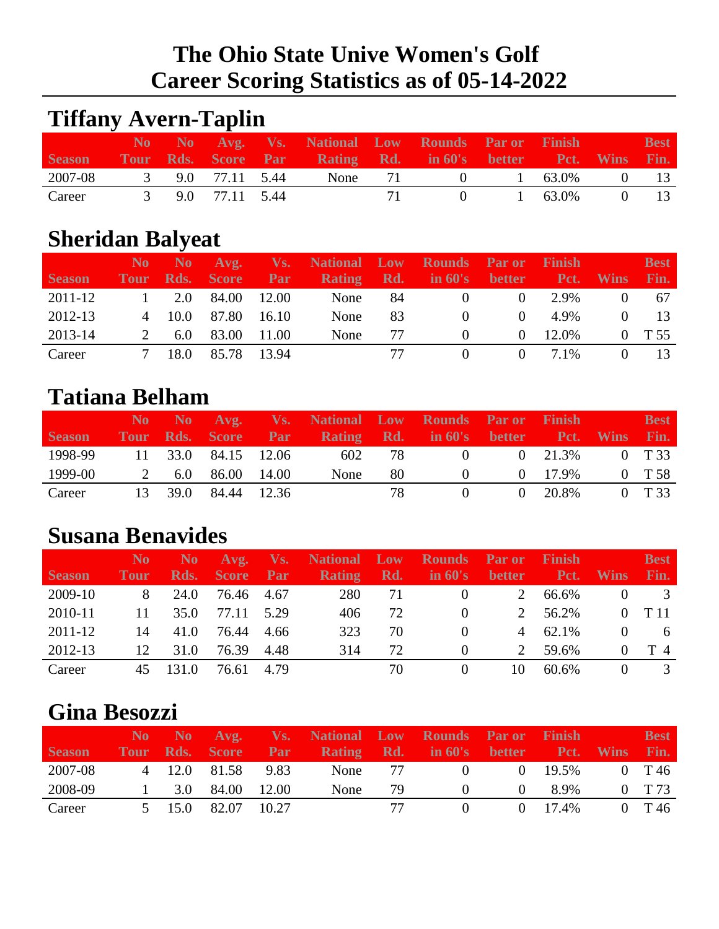### **Tiffany Avern-Taplin**

| <b>Season</b> |              |                | No No Avg. Vs. National Low Rounds Paror Finish<br>Tour Rds. Score Par Rating Rd. in 60's better Pct. Wins Fin. |           |                |         | <b>Best</b> |
|---------------|--------------|----------------|-----------------------------------------------------------------------------------------------------------------|-----------|----------------|---------|-------------|
| 2007-08       | $\mathbf{3}$ | 9.0 77.11 5.44 | None 71                                                                                                         |           | 0 1 63.0% 0 13 |         |             |
| Career        | 3            | 9.0 77.11 5.44 |                                                                                                                 | $\bigcup$ |                | 1 63.0% | $0 \t 13$   |

### **Sheridan Balyeat**

|               |             |               |                 |             | No No Avg. Vs. National Low Rounds Paror Finish |     |                  |                     |                  |             | <b>Best</b> |
|---------------|-------------|---------------|-----------------|-------------|-------------------------------------------------|-----|------------------|---------------------|------------------|-------------|-------------|
| <b>Season</b> |             |               | Tour Rds. Score | <b>Par</b>  | Rating Rd.                                      |     |                  | in 60's better Pct. |                  | <b>Wins</b> | Fin.        |
| 2011-12       |             | 2.0           |                 | 84.00 12.00 | None                                            | -84 | $\left( \right)$ | $\theta$            | 2.9%             |             | -67         |
| 2012-13       |             | $4\quad 10.0$ | 87.80 16.10     |             | None                                            | 83  |                  | $\theta$            | 4.9%             | $\Omega$    |             |
| 2013-14       |             | 6.0           | 83.00 11.00     |             | None                                            | 77  |                  |                     | $0 \quad 12.0\%$ |             | $0 \tT 55$  |
| Career        | $7^{\circ}$ | 18.0          | 85.78 13.94     |             |                                                 | 77  |                  | $\Omega$            | 7.1%             | $\theta$    | - 13        |

### **Tatiana Belham**

|               |         |                     | No No Avg. Vs. National Low Rounds Paror Finish              |    |                  |                  | <b>Best</b> |
|---------------|---------|---------------------|--------------------------------------------------------------|----|------------------|------------------|-------------|
| <b>Season</b> |         |                     | Tour Rds. Score Par Rating Rd. in 60's better Pct. Wins Fin. |    |                  |                  |             |
| 1998-99       |         | 11 33.0 84.15 12.06 | 602                                                          | 78 | $\left( \right)$ | $0\quad 21.3\%$  | $0$ T 33    |
| 1999-00       | 2 $6.0$ | 86.00 14.00         | None                                                         | 80 |                  | $0 \quad 17.9\%$ | $0$ T 58    |
| Career        | 13 39.0 | 84.44 12.36         |                                                              | 78 |                  | $0\quad 20.8\%$  | $0$ T 33    |

# **Susana Benavides**

| <b>Season</b> | No.<br><b>Tour</b> |       | $\mathbf{N_0}$ Avg.<br>Rds. Score | <b>Par</b> | <b>Vs.</b> National Low<br><b>Rating</b> | Rd. | <b>Rounds</b> Par or<br>in $60's$ | <b>better</b> | <b>Finish</b><br>Pct. | <b>Wins</b> | <b>Best</b><br>Fin. |
|---------------|--------------------|-------|-----------------------------------|------------|------------------------------------------|-----|-----------------------------------|---------------|-----------------------|-------------|---------------------|
| 2009-10       | 8                  | 24.0  | 76.46 4.67                        |            | 280                                      | 71  | $\theta$                          | 2             | 66.6%                 |             |                     |
| 2010-11       | 11                 | 35.0  | 77.11                             | 5.29       | 406                                      | 72  | $\Omega$                          | 2             | 56.2%                 | $\Omega$    | T 11                |
| 2011-12       | 14                 | 41.0  | 76.44 4.66                        |            | 323                                      | 70  | $\Omega$                          |               | 4 62.1%               |             | -6                  |
| 2012-13       | 12                 | 31.0  | 76.39 4.48                        |            | 314                                      | 72  | $\Omega$                          | 2             | 59.6%                 |             | T 4                 |
| Career        | 45                 | 131.0 | 76.61 4.79                        |            |                                          | 70  | $\Omega$                          | 10            | 60.6%                 | $\theta$    |                     |

# **Gina Besozzi**

|               |      |                   |       | No No Avg. Vs. National Low Rounds Paror Finish |      |                          |                 | <b>Best</b> |
|---------------|------|-------------------|-------|-------------------------------------------------|------|--------------------------|-----------------|-------------|
| <b>Season</b> |      | Tour Rds. Score   |       | Par Rating Rd.                                  |      | in 60's better Pct. Wins |                 | Fin.        |
| 2007-08       |      | 4 12.0 81.58 9.83 |       | None                                            | - 77 |                          | $0\quad 19.5\%$ | $0$ T 46    |
| 2008-09       | 3.0  | 84.00 12.00       |       | None                                            | 79   |                          | 8.9%            | $0$ T 73    |
| Career        | 15.0 | 82.07             | 10.27 |                                                 |      | $\theta$                 | 17.4%           | $0$ T 46    |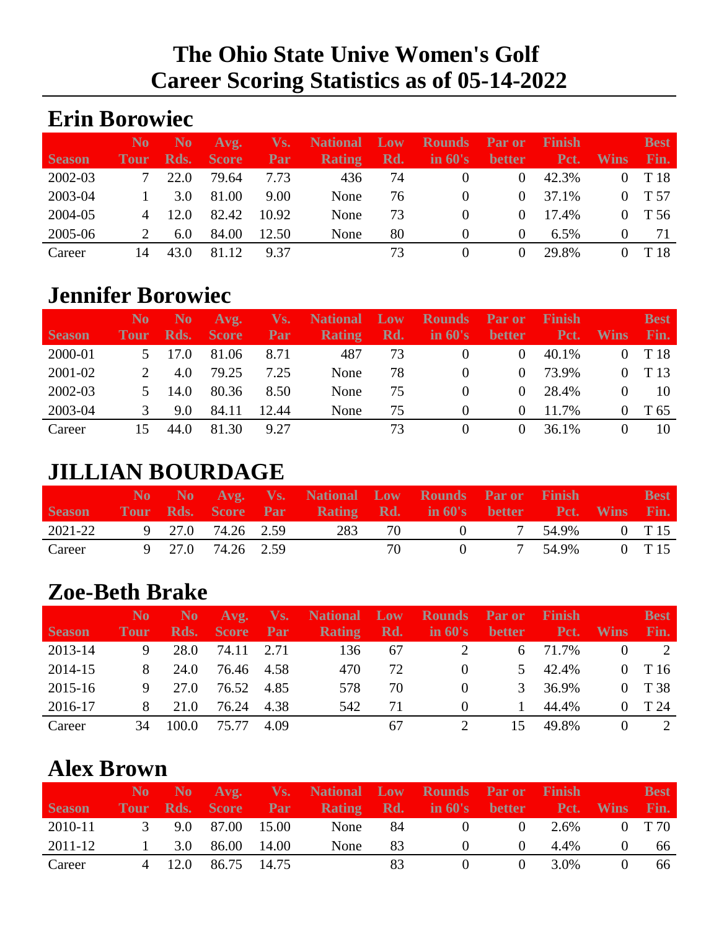#### **Erin Borowiec**

|               | No.         | No.  | Avg.         | Vs.   | <b>National Low</b> |     | <b>Rounds</b> | Par or        | <b>Finish</b> |             | <b>Best</b> |
|---------------|-------------|------|--------------|-------|---------------------|-----|---------------|---------------|---------------|-------------|-------------|
| <b>Season</b> | <b>Tour</b> | Rds. | <b>Score</b> | Par   | <b>Rating</b>       | Rd. | in $60's$     | <b>better</b> | Pct.          | <b>Wins</b> | Fin.        |
| 2002-03       |             | 22.0 | 79.64        | 7.73  | 436                 | 74  |               | $\Omega$      | 42.3%         | $\Omega$    | T 18        |
| 2003-04       |             | 3.0  | 81.00        | 9.00  | None                | 76  |               | $\Omega$      | 37.1%         | 0           | T 57        |
| 2004-05       |             | 12.0 | 82.42        | 10.92 | None                | 73  | $\Omega$      | $\Omega$      | 17.4%         | $\theta$    | T 56        |
| 2005-06       |             | 6.0  | 84.00        | 12.50 | None                | 80  |               | $\Omega$      | $6.5\%$       | $\Omega$    | 71          |
| Career        | 14          | 43.0 | 81.12        | 9.37  |                     | 73  | $\Omega$      | $\Omega$      | 29.8%         | $^{(1)}$    | T 18        |

### **Jennifer Borowiec**

|               | N <sub>0</sub> | N <sub>0</sub> | Avg.         | Vs.   | <b>National Low</b> |     | <b>Rounds</b> | Par or        | <b>Finish</b> |             | <b>Best</b> |
|---------------|----------------|----------------|--------------|-------|---------------------|-----|---------------|---------------|---------------|-------------|-------------|
| <b>Season</b> | <b>Tour</b>    | Rds.           | <b>Score</b> | Par   | <b>Rating</b>       | Rd. | in $60's$     | <b>better</b> | Pct.          | <b>Wins</b> | Fin.        |
| 2000-01       |                | 17.0           | 81.06        | 8.71  | 487                 | 73  |               | $\theta$      | 40.1%         |             | T 18        |
| 2001-02       |                | 4.0            | 79.25        | 7.25  | None                | 78  |               | $\theta$      | 73.9%         | $\Omega$    | T 13        |
| 2002-03       |                | 14.0           | 80.36        | 8.50  | None                | 75  | $\theta$      | $\Omega$      | 28.4%         |             | 10          |
| 2003-04       |                | 9.0            | 84.11        | 12.44 | None                | 75  | $\theta$      | $\theta$      | 11.7%         | 0           | T 65        |
| Career        |                | 44.0           | 81.30        | 9.27  |                     | 73  |               | $\theta$      | 36.1%         |             | 10          |

# **JILLIAN BOURDAGE**

| <b>Season</b> |  |                   | No No Avg. Vs. National Low Rounds Paror Finish<br>Tour Rds. Score Par Rating Rd. in 60's better Pct. Wins Fin. |     |          |                | <b>Best</b> |
|---------------|--|-------------------|-----------------------------------------------------------------------------------------------------------------|-----|----------|----------------|-------------|
| 2021-22       |  | 9 27.0 74.26 2.59 | 283                                                                                                             | 70  | $\theta$ | 7 54.9% 0 T 15 |             |
| Career        |  | 9 27.0 74.26 2.59 |                                                                                                                 | 70- | $\theta$ | 7 54.9%        | $0$ T 15    |

# **Zoe-Beth Brake**

|               | N <sub>0</sub> | N <sub>0</sub> | Avg. Vs.     |            | <b>National Low</b> |     | <b>Rounds</b> Par or |               | <b>Finish</b> |             | <b>Best</b> |
|---------------|----------------|----------------|--------------|------------|---------------------|-----|----------------------|---------------|---------------|-------------|-------------|
| <b>Season</b> | <b>Tour</b>    | Rds.           | <b>Score</b> | <b>Par</b> | <b>Rating</b>       | Rd. | in $60's$            | <b>better</b> | Pct.          | <b>Wins</b> | Fin.        |
| 2013-14       | 9              | 28.0           | 74.11 2.71   |            | 136                 | 67  |                      |               | 6 71.7%       |             |             |
| 2014-15       |                | 24.0           | 76.46 4.58   |            | 470                 | 72  | $\Omega$             | 5             | 42.4%         | $\Omega$    | T 16        |
| 2015-16       | 9              | 27.0           | 76.52 4.85   |            | 578                 | 70  | $\Omega$             | 3             | 36.9%         | $\Omega$    | T 38        |
| 2016-17       | 8              | 21.0           | 76.24 4.38   |            | 542                 | 71  | $\Omega$             |               | 44.4%         | $\theta$    | T 24        |
| Career        | 34             | 100.0          | 75.77        | 4.09       |                     | 67  |                      | 15            | 49.8%         | $\theta$    |             |

### **Alex Brown**

|               |  |                    | No No Avg. Vs. National Low Rounds Paror Finish              |    |                |                |      |              | <b>Best</b> |
|---------------|--|--------------------|--------------------------------------------------------------|----|----------------|----------------|------|--------------|-------------|
| <b>Season</b> |  |                    | Tour Rds. Score Par Rating Rd. in 60's better Pct. Wins Fin. |    |                |                |      |              |             |
| 2010-11       |  | 3 9.0 87.00 15.00  | None 84                                                      |    | $\overline{0}$ | $\overline{0}$ |      | 2.6% 0 T 70  |             |
| 2011-12       |  | 3.0 86.00 14.00    | None                                                         | 83 | $\theta$       | $\theta$       | 4.4% |              | -66         |
| Career        |  | 4 12.0 86.75 14.75 |                                                              | 83 |                | $\theta$       | 3.0% | $\mathbf{U}$ | 66          |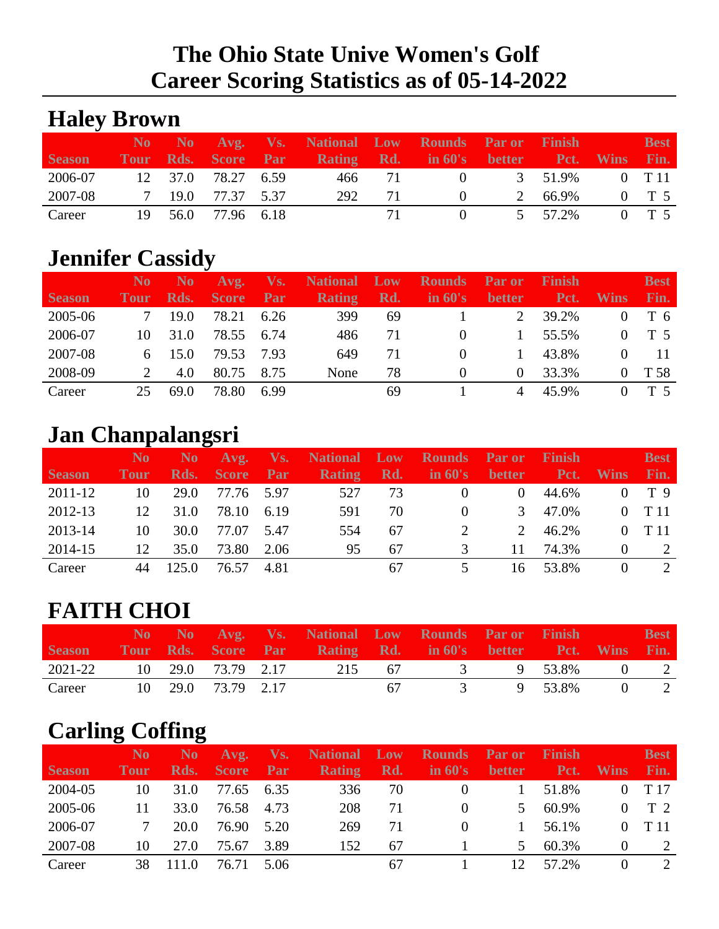### **Haley Brown**

| <b>Season</b> | $\bf No$ |      | Tour Rds. Score Par | No Avg. Vs. National Low Rounds Paror<br><b>Example 20</b> Rd. in 60's better Pct. Wins |     |  | – Finish |          | <b>Best</b><br>Fin. |
|---------------|----------|------|---------------------|-----------------------------------------------------------------------------------------|-----|--|----------|----------|---------------------|
|               |          |      |                     |                                                                                         |     |  |          |          |                     |
| 2006-07       |          |      | 12 37.0 78.27 6.59  | 466                                                                                     | 71. |  | 3 51.9%  |          | $0$ T 11            |
| 2007-08       |          |      | 19.0 77.37 5.37     | 292                                                                                     | 71  |  | 2 66.9%  |          | $0 \quad T \quad 5$ |
| Career        | 19       | 56.0 | 77.96 6.18          |                                                                                         |     |  | 5 57.2%  | $\theta$ | T 5                 |

## **Jennifer Cassidy**

|               | N <sub>0</sub> | N <sub>0</sub> | Avg.         | $\mathbf{V}\mathbf{s}$ . | <b>National</b> | Low | <b>Rounds</b> | Par or        | <b>Finish</b> |             | <b>Best</b> |
|---------------|----------------|----------------|--------------|--------------------------|-----------------|-----|---------------|---------------|---------------|-------------|-------------|
| <b>Season</b> | <b>Tour</b>    | Rds.           | <b>Score</b> | Par                      | <b>Rating</b>   | Rd. | in $60's$     | <b>better</b> | Pct.          | <b>Wins</b> | Fin.        |
| 2005-06       |                | 19.0           | 78.21        | 6.26                     | 399             | 69  |               |               | 39.2%         |             | Т6          |
| 2006-07       | 10             | 31.0           | 78.55        | 6.74                     | 486             | 71  | $\theta$      |               | 55.5%         | $\Omega$    | T 5         |
| 2007-08       | 6              | 15.0           | 79.53        | 7.93                     | 649             | 71  |               | $\mathbf{I}$  | 43.8%         |             |             |
| 2008-09       |                | 4.0            | 80.75        | 8.75                     | None            | 78  | $\theta$      | $\theta$      | 33.3%         | $\theta$    | T 58        |
| Career        | 25             | 69.0           | 78.80        | 6.99                     |                 | 69  |               |               | 45.9%         |             |             |

# **Jan Chanpalangsri**

|               | N <sub>0</sub> | No.   |                |      | Avg. Vs. National Low Rounds Paror |    |           |          | <b>Finish</b> |                | <b>Best</b> |
|---------------|----------------|-------|----------------|------|------------------------------------|----|-----------|----------|---------------|----------------|-------------|
| <b>Season</b> | <b>Tour</b>    |       | Rds. Score Par |      | Rating Rd.                         |    | in $60's$ | better   | Pct.          | <b>Wins</b>    | Fin.        |
| 2011-12       | 10             | 29.0  | 77.76 5.97     |      | 527                                | 73 | $\Omega$  | $\theta$ | 44.6%         | $\theta$       | T 9         |
| 2012-13       | 12             | 31.0  | 78.10 6.19     |      | 591                                | 70 | $\Omega$  | 3        | 47.0%         | $\overline{0}$ | T 11        |
| 2013-14       | 10             | 30.0  | 77.07 5.47     |      | 554                                | 67 | 2         | 2        | 46.2%         | $\Omega$       | T 11        |
| 2014-15       | 12             | 35.0  | 73.80          | 2.06 | 95                                 | 67 | 3         | 11       | 74.3%         | $\Omega$       |             |
| Career        | 44             | 125.0 | 76.57          | 4.81 |                                    | 67 |           | 16       | 53.8%         | $\theta$       |             |

# **FAITH CHOI**

|               |  |                    | No No Avg. Vs. National Low Rounds Paror Finish              |        |                |             |                     | <b>Best</b> |
|---------------|--|--------------------|--------------------------------------------------------------|--------|----------------|-------------|---------------------|-------------|
| <b>Season</b> |  |                    | Tour Rds. Score Par Rating Rd. in 60's better Pct. Wins Fin. |        |                |             |                     |             |
| 2021-22       |  | 10 29.0 73.79 2.17 |                                                              | 215 67 | $\overline{3}$ | 9 53.8% 0 2 |                     |             |
| Career        |  | 10 29.0 73.79 2.17 |                                                              | 67     |                | 9 53.8%     | $\bullet$ $\bullet$ | 2           |

## **Carling Coffing**

|               | No.         | No.         | Avg.         | Vs.  | <b>National Low</b> |     | <b>Rounds</b> | Par or          | <b>Finish</b> |             | <b>Best</b> |
|---------------|-------------|-------------|--------------|------|---------------------|-----|---------------|-----------------|---------------|-------------|-------------|
| <b>Season</b> | <b>Tour</b> | Rds.        | <b>Score</b> | Par  | <b>Rating</b>       | Rd. | in $60's$     | <b>better</b>   | Pct.          | <b>Wins</b> | Fin.        |
| 2004-05       | 10          | 31.0        | 77.65 6.35   |      | 336                 | 70  | $\Omega$      |                 | 51.8%         | $\theta$    | T 17        |
| 2005-06       | 11          | 33.0        | 76.58 4.73   |      | 208                 | 71  | $\Omega$      | 5               | 60.9%         | $\Omega$    | T 2         |
| 2006-07       |             | <b>20.0</b> | 76.90 5.20   |      | 269                 | 71  | $\Omega$      |                 | 56.1%         | $\Omega$    | T 11        |
| 2007-08       | 10          | 27.0        | 75.67        | 3.89 | 152                 | 67  |               | 5               | 60.3%         |             |             |
| Career        | 38          | 111.0       | 76.71        | 5.06 |                     | 67  |               | 12 <sup>°</sup> | 57.2%         | $\theta$    |             |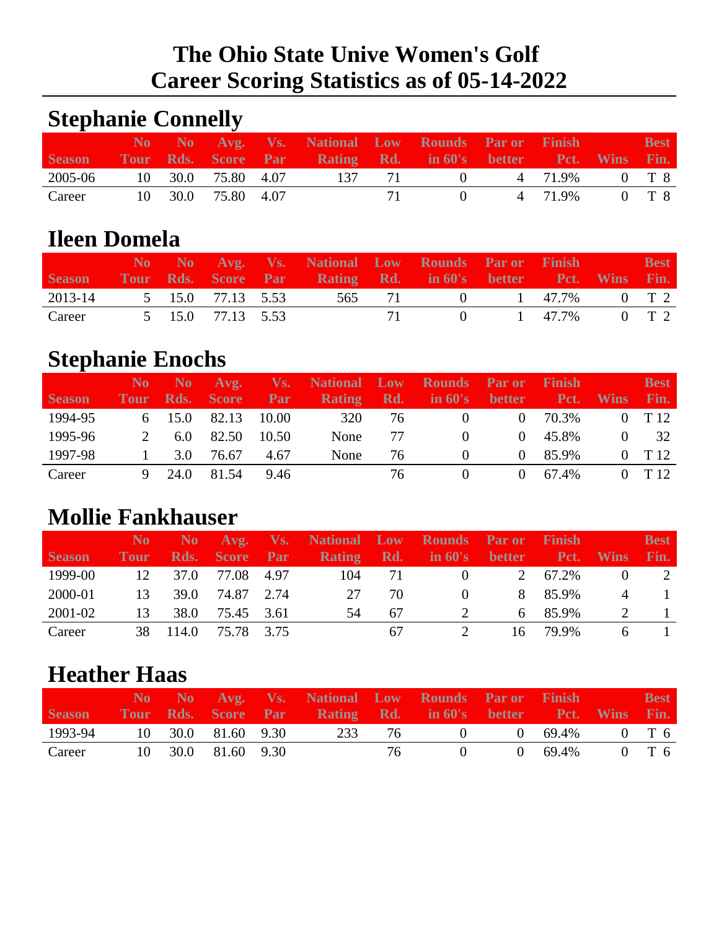### **Stephanie Connelly**

|               | 'No |                    | No Avg. Vs. National Low Rounds Par or Finish                |     |              |               | <b>Best</b> |
|---------------|-----|--------------------|--------------------------------------------------------------|-----|--------------|---------------|-------------|
| <b>Season</b> |     |                    | Tour Rds. Score Par Rating Rd. in 60's better Pct. Wins Fin. |     |              |               |             |
| 2005-06       |     | 10 30.0 75.80 4.07 | 137                                                          | 7 L | $\mathbf{O}$ | 4 71.9% 0 T 8 |             |
| Career        | 10  | 30.0 75.80 4.07    |                                                              |     |              | 4 71.9% 0 T 8 |             |

### **Ileen Domela**

|               | $\bf{No}$ |                   | No Avg. Vs. National Low Rounds Paror Finish                 |        |              |                 |               | <b>Best</b> |
|---------------|-----------|-------------------|--------------------------------------------------------------|--------|--------------|-----------------|---------------|-------------|
| <b>Season</b> |           |                   | Tour Rds. Score Par Rating Rd. in 60's better Pct. Wins Fin. |        |              |                 |               |             |
| 2013-14       |           | 5 15.0 77.13 5.53 |                                                              | 565 71 |              | 0 1 47.7% 0 T 2 |               |             |
| Career        |           | 5 15.0 77.13 5.53 |                                                              |        | $\mathbf{0}$ |                 | 1 47.7% 0 T 2 |             |

# **Stephanie Enochs**

|               |   |        |                 |            | No No Avg. Vs. National Low |    | <b>Rounds</b> Par or |                  | - Finish I |             | <b>Best</b> |
|---------------|---|--------|-----------------|------------|-----------------------------|----|----------------------|------------------|------------|-------------|-------------|
| <b>Season</b> |   |        | Tour Rds. Score | <b>Par</b> | Rating Rd.                  |    |                      | in 60's better   | Pct.       | <b>Wins</b> | Fin.        |
| 1994-95       |   | 6 15.0 | 82.13           | - 10.00    | 320                         | 76 |                      | $\left( \right)$ | 70.3%      |             | T 12        |
| 1995-96       |   | 6.0    | 82.50           | 10.50      | None                        | 77 |                      | $\Omega$         | 45.8%      |             | 32          |
| 1997-98       |   | 3.0    | 76.67           | 4.67       | None                        | 76 |                      |                  | $0.85.9\%$ |             | $0 \tT 12$  |
| Career        | 9 | 24.0   | 81.54           | 9.46       |                             | 76 |                      | $\theta$         | 67.4%      |             | T 12        |

### **Mollie Fankhauser**

| <b>Season</b> | $N_0$<br><b>Tour</b> |      | Rds. Score Par   | No Avg. Vs. National Low Rounds Paror Finish |    | Rating Rd. in 60's better Pct. Wins |          |              | <b>Best</b><br>Fin. |
|---------------|----------------------|------|------------------|----------------------------------------------|----|-------------------------------------|----------|--------------|---------------------|
| 1999-00       | 12                   | 37.0 | 77.08 4.97       | 104                                          | 71 | $\Omega$                            | 2 67.2%  |              |                     |
| 2000-01       | 13                   | 39.0 | 74.87 2.74       | 27                                           | 70 | $\Omega$                            | 8 85.9%  | 4            |                     |
| 2001-02       | 13                   | 38.0 | 75.45 3.61       | 54                                           | 67 |                                     | 6 85.9%  |              |                     |
| Career        | 38                   |      | 114.0 75.78 3.75 |                                              | 67 |                                     | 16 79.9% | <sub>0</sub> |                     |

# **Heather Haas**

|               |    |                    | No No Avg. Vs. National Low Rounds Paror Finish              |     |                  |               | <b>Best</b> |
|---------------|----|--------------------|--------------------------------------------------------------|-----|------------------|---------------|-------------|
| <b>Season</b> |    |                    | Tour Rds. Score Par Rating Rd. in 60's better Pct. Wins Fin. |     |                  |               |             |
| 1993-94       |    | 10 30.0 81.60 9.30 | 233                                                          | 76. | $\mathbf{0}$     | 0 69.4% 0 T 6 |             |
| Career        | 10 | 30.0 81.60 9.30    |                                                              | 16  | $\left( \right)$ | $0.69.4\%$    | $0$ T 6     |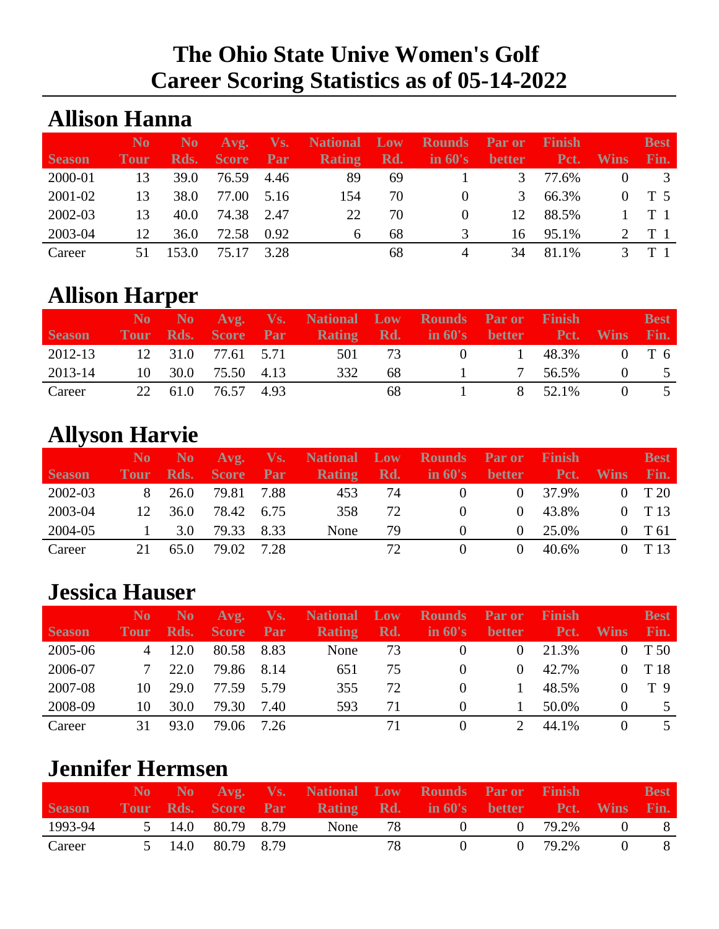#### **Allison Hanna**

|               | N <sub>0</sub> | No No | Avg.         |      | <b>Vs.</b> National Low |     | <b>Rounds</b> Par or |               | <b>Finish</b> |             | <b>Best</b>    |
|---------------|----------------|-------|--------------|------|-------------------------|-----|----------------------|---------------|---------------|-------------|----------------|
| <b>Season</b> | <b>Tour</b>    | Rds.  | <b>Score</b> | Par  | <b>Rating</b>           | Rd. | in $60's$            | <b>better</b> | Pct.          | <b>Wins</b> | Fin.           |
| 2000-01       | 13             | 39.0  | 76.59 4.46   |      | 89                      | 69  |                      | 3             | 77.6%         |             |                |
| 2001-02       | 13             | 38.0  | 77.00        | 5.16 | 154                     | 70  | $\theta$             | 3             | 66.3%         | $\Omega$    | T 5            |
| 2002-03       | 13             | 40.0  | 74.38 2.47   |      | 22                      | 70  | $\Omega$             | 12.           | 88.5%         |             | T <sub>1</sub> |
| 2003-04       | 12             | 36.0  | 72.58        | 0.92 | 6                       | 68  | 3                    |               | 16 95.1%      |             | T <sub>1</sub> |
| Career        | 51             | 153.0 | 75.17        | 3.28 |                         | 68  | 4                    | 34            | 81.1%         |             |                |

### **Allison Harper**

|               |  |                    | No No Avg. Vs. National Low Rounds Paror Finish              |     |  |                 | <b>Best</b> |
|---------------|--|--------------------|--------------------------------------------------------------|-----|--|-----------------|-------------|
| <b>Season</b> |  |                    | Tour Rds. Score Par Rating Rd. in 60's better Pct. Wins Fin. |     |  |                 |             |
| 2012-13       |  | 12 31.0 77.61 5.71 | 501                                                          | 73  |  | 0 1 48.3% 0 T 6 |             |
| 2013-14       |  | 10 30.0 75.50 4.13 | 332                                                          | -68 |  | 1 7 56.5%       | $0 \quad 5$ |
| Career        |  | 22 61.0 76.57 4.93 |                                                              | 68. |  | 8 52.1%         | $0 \quad 5$ |

### **Allyson Harvie**

|               |             |      |            |            | No No Avg. Vs. National Low Rounds Paror Finish |                 |                                |                  |                 |          | <b>Best</b> |
|---------------|-------------|------|------------|------------|-------------------------------------------------|-----------------|--------------------------------|------------------|-----------------|----------|-------------|
| <b>Season</b> | <b>Tour</b> |      | Rds. Score | <b>Par</b> |                                                 |                 | Rating Rd. in 60's better Pct. |                  |                 | Wins.    | Fin.        |
| 2002-03       | 8           | 26.0 | 79.81 7.88 |            | 453                                             | 74              |                                | $\left( \right)$ | 37.9%           | $\theta$ | T 20        |
| 2003-04       | 12.         | 36.0 | 78.42 6.75 |            | 358                                             | 72              |                                | $\Omega$         | 43.8%           | $\Omega$ | T 13        |
| 2004-05       |             | 3.0  | 79.33 8.33 |            | None                                            | 79              | $\Omega$                       |                  | $0\quad 25.0\%$ | $\Omega$ | T 61        |
| Career        | 21          | 65.0 | 79.02 7.28 |            |                                                 | 72 <sub>1</sub> |                                | $\Omega$         | 40.6%           |          | $0$ T 13    |

### **Jessica Hauser**

|               | N <sub>0</sub> | No.  | Avg.         | Vs.  | <b>National</b> | Low | <b>Rounds</b> | Par or        | <b>Finish</b> |             | <b>Best</b> |
|---------------|----------------|------|--------------|------|-----------------|-----|---------------|---------------|---------------|-------------|-------------|
| <b>Season</b> | <b>Tour</b>    | Rds. | <b>Score</b> | Par  | <b>Rating</b>   | Rd. | in $60's$     | <b>better</b> | Pct.          | <b>Wins</b> | Fin.        |
| 2005-06       |                | 12.0 | 80.58        | 8.83 | None            | 73  |               | $\Omega$      | 21.3%         | $\theta$    | T 50        |
| 2006-07       |                | 22.0 | 79.86        | 8.14 | 651             | 75  |               | $\theta$      | 42.7%         | $\theta$    | T 18        |
| 2007-08       | 10             | 29.0 | 77.59        | 5.79 | 355             | 72  | $\theta$      |               | 48.5%         |             | T 9         |
| 2008-09       | 10             | 30.0 | 79.30        | 7.40 | 593             | 71  |               |               | 50.0%         |             |             |
| Career        | 31             | 93.0 | 79.06        | 7.26 |                 | 71  |               |               | 44.1%         |             |             |

# **Jennifer Hermsen**

| <b>Season</b> |  |                   | No No Avg. Vs. National Low Rounds Paror Finish<br>Tour Rds. Score Par Rating Rd. in 60's better Pct. Wins Fin. |     |              |                                  |           | <b>Best</b> |
|---------------|--|-------------------|-----------------------------------------------------------------------------------------------------------------|-----|--------------|----------------------------------|-----------|-------------|
| 1993-94       |  | 5 14.0 80.79 8.79 | None                                                                                                            | -78 | $\theta$     | $0 \quad 79.2\% \quad 0 \quad 8$ |           |             |
| Career        |  | 5 14.0 80.79 8.79 |                                                                                                                 | 78  | $\mathbf{U}$ | 0 79.2%                          | $\bullet$ | -8          |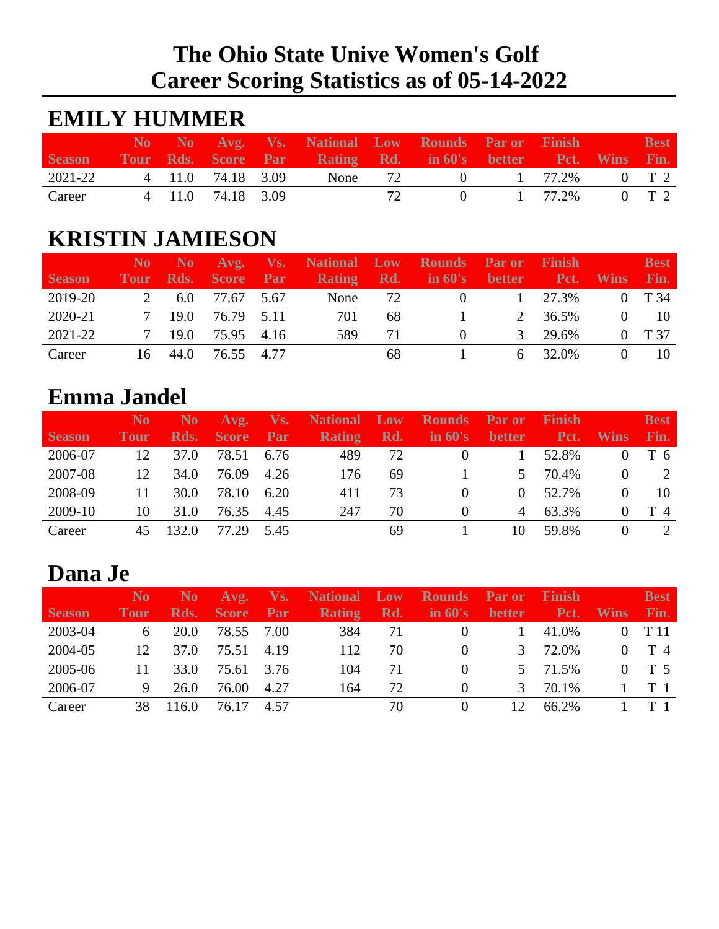### **EMILY HUMMER**

|               |  |                   | No No Avg. Vs. National Low Rounds Paror Finish              |         |                     |                  |                | <b>Best</b> |
|---------------|--|-------------------|--------------------------------------------------------------|---------|---------------------|------------------|----------------|-------------|
| <b>Season</b> |  |                   | Tour Rds. Score Par Rating Rd. in 60's better Pct. Wins Fin. |         |                     |                  |                |             |
| 2021-22       |  | 4 11.0 74.18 3.09 |                                                              | None 72 |                     | 0 1 77.2\% 0 T 2 |                |             |
| Career        |  | 4 11.0 74.18 3.09 |                                                              |         | $\bullet$ $\bullet$ |                  | 1 77.2\% 0 T 2 |             |

# **KRISTIN JAMIESON**

|               | N <sub>0</sub> |                |            |     | No Avg. Vs. National Low Rounds Paror |    |                           |   | <b>Finish</b>   |             | <b>Best</b> |
|---------------|----------------|----------------|------------|-----|---------------------------------------|----|---------------------------|---|-----------------|-------------|-------------|
| <b>Season</b> | <b>Tour</b>    |                | Rds. Score | Par |                                       |    | Rating Rd. in 60's better |   | Pct.            | <b>Wins</b> | Fin.        |
| 2019-20       |                | 6.0            | 77.67 5.67 |     | None                                  | 72 | $\theta$                  |   | $1\quad 27.3\%$ | $\theta$    | T 34        |
| 2020-21       |                | $19.0^{\circ}$ | 76.79 5.11 |     | 701                                   | 68 |                           | 2 | 36.5%           |             |             |
| 2021-22       |                | 19.0           | 75.95 4.16 |     | 589                                   | 71 |                           | 3 | 29.6%           | $\Omega$    | T 37        |
| Career        | 16             | 44.0           | 76.55 4.77 |     |                                       | 68 |                           |   | 6 32.0%         |             | 10          |

### **Emma Jandel**

|               | N <sub>0</sub> | No.   | Avg.         | $\mathbf{V}\mathbf{s}$ . | National Low  |     | <b>Rounds</b> | Par or         | Finish |       | <b>Best</b> |
|---------------|----------------|-------|--------------|--------------------------|---------------|-----|---------------|----------------|--------|-------|-------------|
| <b>Season</b> | <b>Tour</b>    | Rds.  | <b>Score</b> | Par                      | <b>Rating</b> | Rd. | in $60's$     | <b>better</b>  | Pct.   | Wins. | Fin.        |
| 2006-07       | 12             | 37.0  | 78.51        | 6.76                     | 489           | 72  | $\theta$      |                | 52.8%  |       | T 6         |
| 2007-08       | 12             | 34.0  | 76.09        | 4.26                     | 176           | 69  |               | $\mathcal{L}$  | 70.4%  |       |             |
| 2008-09       | 11             | 30.0  | 78.10        | 6.20                     | 411           | 73  | $\theta$      | $\Omega$       | 52.7%  |       | 10          |
| 2009-10       | 10             | 31.0  | 76.35        | 4.45                     | 247           | 70  | $\Omega$      | $\overline{4}$ | 63.3%  |       | T 4         |
| Career        | 45             | 132.0 | 77.29        | 5.45                     |               | 69  |               | 10             | 59.8%  |       |             |

### **Dana Je**

|               | N <sub>0</sub> | No.   | Avg.         | $\bf{V}$ s. | National Low  |     | <b>Rounds</b> | Par or | <b>Finish</b> |             | <b>Best</b> |
|---------------|----------------|-------|--------------|-------------|---------------|-----|---------------|--------|---------------|-------------|-------------|
| <b>Season</b> | Tour           | Rds.  | <b>Score</b> | Par         | <b>Rating</b> | Rd. | in $60's$     | better | Pct.          | <b>Wins</b> | Fin.        |
| 2003-04       | 6              | 20.0  | 78.55        | 7.00        | 384           | 71  | $\theta$      |        | 41.0%         | $\theta$    | T 11        |
| 2004-05       | 12             | 37.0  | 75.51        | 4.19        | 112           | 70  | $\Omega$      | 3      | 72.0%         | $\theta$    | T 4         |
| 2005-06       | 11             | 33.0  | 75.61        | 3.76        | 104           | 71  | $\Omega$      | 5.     | 71.5%         | $\theta$    | T 5         |
| 2006-07       | 9              | 26.0  | 76.00        | 4.27        | 164           | 72  | $\Omega$      | 3      | 70.1%         |             |             |
| Career        | 38             | 116.0 | 76.17        | 4.57        |               | 70  | $\theta$      | 12     | 66.2%         |             |             |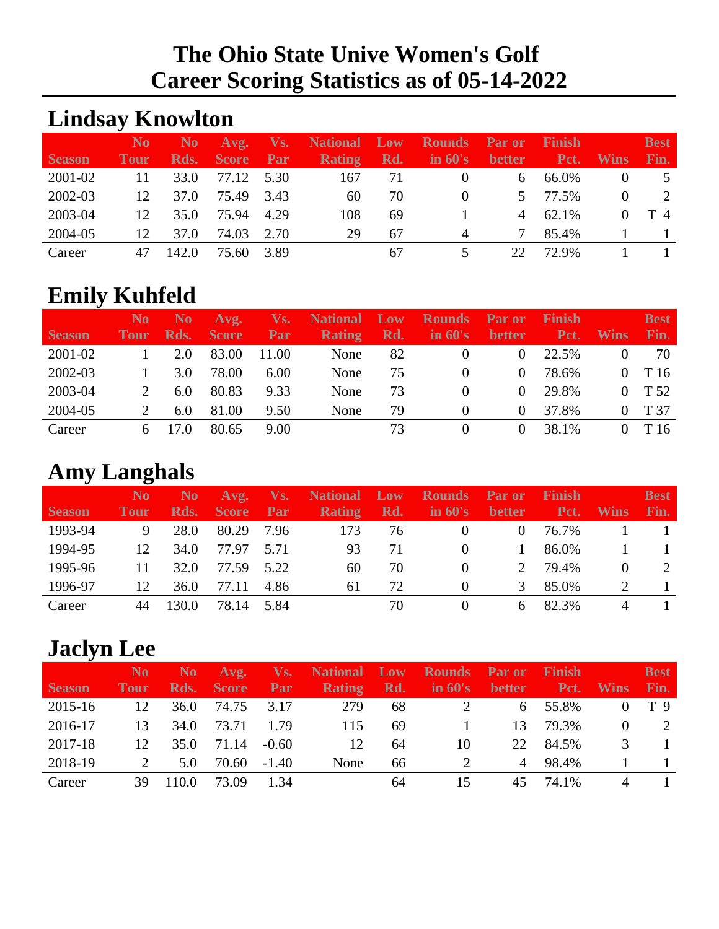#### **Lindsay Knowlton**

|               | N <sub>0</sub> |       | $\mathbf{N_0}$ Avg. |      | <b>Vs.</b> National Low |     | <b>Rounds</b> Par or |               | <b>Finish</b> |             | <b>Best</b> |
|---------------|----------------|-------|---------------------|------|-------------------------|-----|----------------------|---------------|---------------|-------------|-------------|
| <b>Season</b> | <b>Tour</b>    | Rds.  | <b>Score</b>        | Par  | Rating                  | Rd. | in $60's$            | <b>better</b> | Pct.          | <b>Wins</b> | Fin.        |
| 2001-02       | 11             | 33.0  | 77.12 5.30          |      | 167                     | 71  | $\theta$             | 6             | 66.0%         | $\theta$    |             |
| 2002-03       | 12             | 37.0  | 75.49 3.43          |      | 60                      | 70  | $\theta$             | 5             | 77.5%         | $\theta$    |             |
| 2003-04       | 12.            | 35.0  | 75.94               | 4.29 | 108                     | 69  |                      |               | 4 62.1%       | $\Omega$    | T 4         |
| 2004-05       | 12             | 37.0  | 74.03 2.70          |      | 29                      | 67  | 4                    | 7             | 85.4%         |             |             |
| Career        | 47             | 142.0 | 75.60 3.89          |      |                         | 67  |                      | 22            | 72.9%         |             |             |

# **Emily Kuhfeld**

|               | N <sub>0</sub> | N <sub>0</sub> | Avg.         | $\bf{V}$ s. | National Low  |     | <b>Rounds</b> | Par or        | <b>Finish</b> |             | <b>Best</b> |
|---------------|----------------|----------------|--------------|-------------|---------------|-----|---------------|---------------|---------------|-------------|-------------|
| <b>Season</b> | <b>Tour</b>    | Rds.           | <b>Score</b> | Par         | <b>Rating</b> | Rd. | in $60's$     | <b>better</b> | Pct.          | <b>Wins</b> | Fin.        |
| 2001-02       |                | 2.0            | 83.00        | 11.00       | None          | 82  |               | $\Omega$      | 22.5%         |             | 70          |
| 2002-03       |                | 3.0            | 78.00        | 6.00        | None          | 75  | $\theta$      | $\Omega$      | 78.6%         | $\theta$    | T 16        |
| 2003-04       |                | 6.0            | 80.83        | 9.33        | None          | 73  |               | $\Omega$      | 29.8%         | 0           | T 52        |
| 2004-05       |                | 6.0            | 81.00        | 9.50        | None          | 79  | $\Omega$      | $\Omega$      | 37.8%         | $\theta$    | T 37        |
| Career        | 6              | 17.0           | 80.65        | 9.00        |               | 73  |               | $\theta$      | 38.1%         |             | T 16        |

# **Amy Langhals**

|               | N <sub>0</sub> | N <sub>0</sub> | Avg.         |      | <b>Vs.</b> National Low |     | <b>Rounds</b> Par or |               | <b>Finish</b> |             | <b>Best</b> |
|---------------|----------------|----------------|--------------|------|-------------------------|-----|----------------------|---------------|---------------|-------------|-------------|
| <b>Season</b> | <b>Tour</b>    | Rds.           | <b>Score</b> | Par  | <b>Rating</b>           | Rd. | in $60's$            | <b>better</b> | Pct.          | <b>Wins</b> | Fin.        |
| 1993-94       | 9              | 28.0           | 80.29        | 7.96 | 173                     | 76  | $\theta$             | $\Omega$      | 76.7%         |             |             |
| 1994-95       | 12             | 34.0           | 77.97 5.71   |      | 93                      | 71  | $\theta$             | $\mathbf{1}$  | 86.0%         |             |             |
| 1995-96       | 11             | 32.0           | 77.59 5.22   |      | 60                      | 70  | $\theta$             | 2             | 79.4%         |             |             |
| 1996-97       | 12             | 36.0           | 77.11        | 4.86 | 61                      | 72. | $\theta$             | 3             | 85.0%         |             |             |
| Career        | 44             | 130.0          | 78.14 5.84   |      |                         | 70  | $\theta$             | 6             | 82.3%         |             |             |

# **Jaclyn Lee**

| <b>Season</b> | No.<br><b>Tour</b> |       | Rds. Score | <b>Par</b> | No Avg. Vs. National Low<br>Rating Rd. |    | <b>Rounds</b> Par or<br>in $60's$ | better Pct. | <b>Finish</b> | <b>Wins</b>      | <b>Best</b><br>Fin. |
|---------------|--------------------|-------|------------|------------|----------------------------------------|----|-----------------------------------|-------------|---------------|------------------|---------------------|
| 2015-16       | 12                 | 36.0  | 74.75 3.17 |            | 279                                    | 68 |                                   |             | 6 55.8%       | $\left( \right)$ | T 9                 |
| 2016-17       | 13                 | 34.0  | 73.71      | 1.79       | 115                                    | 69 |                                   | 13          | 79.3%         | $\Omega$         | 2                   |
| 2017-18       | 12                 | 35.0  | 71.14      | $-0.60$    | 12                                     | 64 | 10                                |             | 22 84.5%      | 3                |                     |
| 2018-19       |                    | 5.0   | 70.60      | $-1.40$    | None                                   | 66 | 2                                 |             | 4 98.4%       |                  |                     |
| Career        | 39                 | 110.0 | 73.09 1.34 |            |                                        | 64 | 15                                | 45          | 74.1%         | 4                |                     |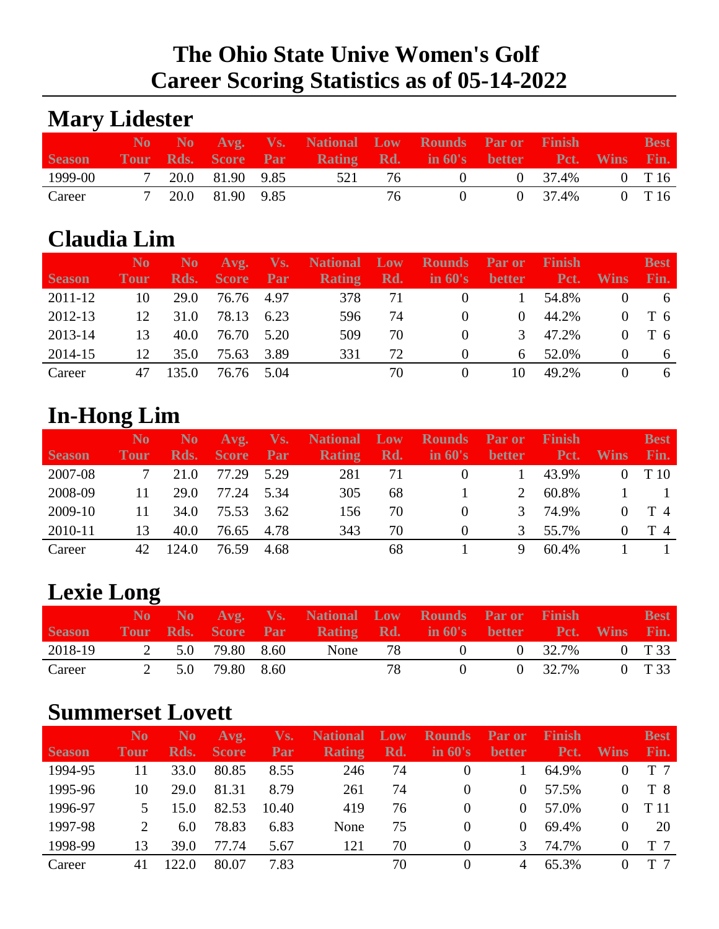### **Mary Lidester**

|               |  |                 | No No Avg. Vs. National Low Rounds Paror Finish                |     |              |                                   | <b>Best</b> |
|---------------|--|-----------------|----------------------------------------------------------------|-----|--------------|-----------------------------------|-------------|
| <b>Season</b> |  |                 | Tour Rds. Score Par  Rating Rd. in 60's better  Pct. Wins Fin. |     |              |                                   |             |
| 1999-00       |  | 20.0 81.90 9.85 | 521                                                            | 76. | $\theta$     | $0\quad 37.4\% \qquad 0\quad T16$ |             |
| Career        |  | 20.0 81.90 9.85 |                                                                | 76. | $\mathbf{O}$ | $0\quad 37.4\%$                   | $0$ T 16    |

### **Claudia Lim**

|               | N <sub>0</sub> | $\overline{N}0$ | A <sub>V</sub> Q. | $\mathbf{V}\mathbf{s}$ . | <b>National Low</b> |     | <b>Rounds</b> Par or |               | <b>Finish</b> |                  | <b>Best</b> |
|---------------|----------------|-----------------|-------------------|--------------------------|---------------------|-----|----------------------|---------------|---------------|------------------|-------------|
| <b>Season</b> | <b>Tour</b>    | Rds.            | <b>Score</b>      | Par                      | <b>Rating</b>       | Rd. | in $60's$            | <b>better</b> | Pct.          | Wins.            | Fin.        |
| 2011-12       | 10             | 29.0            | 76.76 4.97        |                          | 378                 | 71  | $\theta$             |               | 54.8%         | $\Omega$         | -6          |
| 2012-13       | 12             | 31.0            | 78.13             | 6.23                     | 596                 | 74  | $\theta$             | $\Omega$      | 44.2%         | $\left( \right)$ | T 6         |
| 2013-14       | 13             | 40.0            | 76.70             | 5.20                     | 509                 | 70  | $\theta$             | 3             | 47.2%         | $\Omega$         | T 6         |
| 2014-15       | 12             | 35.0            | 75.63             | 3.89                     | 331                 | 72  | $\Omega$             |               | 6 52.0%       | $\theta$         | 6           |
| Career        | 47             | 135.0           | 76.76 5.04        |                          |                     | 70  | $\theta$             | 10            | 49.2%         | $\theta$         | 6           |

# **In-Hong Lim**

| <b>Season</b> | N <sub>0</sub><br><b>Tour</b> | No.<br>Rds. | Avg.<br><b>Score</b> | $\bf{V}$ s.<br><b>Par</b> | <b>National Low</b><br><b>Rating</b> | Rd. | <b>Rounds</b><br>in $60's$ | Par or<br><b>better</b> | <b>Finish</b><br>Pct. | <b>Wins</b> | <b>Best</b><br>Fin. |
|---------------|-------------------------------|-------------|----------------------|---------------------------|--------------------------------------|-----|----------------------------|-------------------------|-----------------------|-------------|---------------------|
| 2007-08       |                               | 21.0        | 77.29                | 5.29                      | 281                                  | 71  | $\theta$                   |                         | 43.9%                 | $\theta$    | T 10                |
| 2008-09       | 11                            | 29.0        | 77.24                | 5.34                      | 305                                  | 68  |                            | 2                       | 60.8%                 |             |                     |
| 2009-10       | 11                            | 34.0        | 75.53 3.62           |                           | 156                                  | 70  | $\theta$                   | 3                       | 74.9%                 | $\theta$    | T 4                 |
| 2010-11       | 13                            | 40.0        | 76.65 4.78           |                           | 343                                  | 70  | $\Omega$                   | 3                       | 55.7%                 | $\theta$    | T 4                 |
| Career        | 42                            | 124.0       | 76.59                | 4.68                      |                                      | 68  |                            | Q.                      | 60.4%                 |             |                     |

### **Lexie Long**

|               |  |                  | No No Avg. Vs. National Low Rounds Paror Finish              |     |              |                                        | <b>Best</b> |
|---------------|--|------------------|--------------------------------------------------------------|-----|--------------|----------------------------------------|-------------|
| <b>Season</b> |  |                  | Tour Rds. Score Par Rating Rd. in 60's better Pct. Wins Fin. |     |              |                                        |             |
| 2018-19       |  | 2 5.0 79.80 8.60 | None                                                         | 78  | $\mathbf{0}$ | 0 32.7% 0 T 33                         |             |
| Career        |  | 2 5.0 79.80 8.60 |                                                              | 78. | $\mathbf{r}$ | $0 \quad 32.7\% \quad 0 \quad T \, 33$ |             |

### **Summerset Lovett**

|               | N <sub>0</sub> | N <sub>0</sub> | Avg.         | Vs.   | <b>National</b> | Low <sub>1</sub> | <b>Rounds</b> | Par or        | <b>Finish</b> |             | <b>Best</b> |
|---------------|----------------|----------------|--------------|-------|-----------------|------------------|---------------|---------------|---------------|-------------|-------------|
| <b>Season</b> | <b>Tour</b>    | Rds.           | <b>Score</b> | Par   | Rating          | Rd.              | in $60's$     | <b>better</b> | Pct.          | <b>Wins</b> | Fin.        |
| 1994-95       |                | 33.0           | 80.85        | 8.55  | 246             | 74               | 0             |               | 64.9%         |             | T 7         |
| 1995-96       | 10             | <b>29.0</b>    | 81.31        | 8.79  | 261             | 74               | $\theta$      | $\Omega$      | 57.5%         | $\Omega$    | T 8         |
| 1996-97       | 5              | 15.0           | 82.53        | 10.40 | 419             | 76               | $\theta$      | $\Omega$      | 57.0%         | $\Omega$    | T 11        |
| 1997-98       |                | 6.0            | 78.83        | 6.83  | None            | 75               | 0             | $\theta$      | 69.4%         | $\theta$    | 20          |
| 1998-99       | 13             | 39.0           | 77.74        | 5.67  | 121             | 70               | $\theta$      | 3             | 74.7%         |             | T 7         |
| Career        | 41             | 122.0          | 80.07        | 7.83  |                 | 70               | 0             | 4             | 65.3%         |             | T 7         |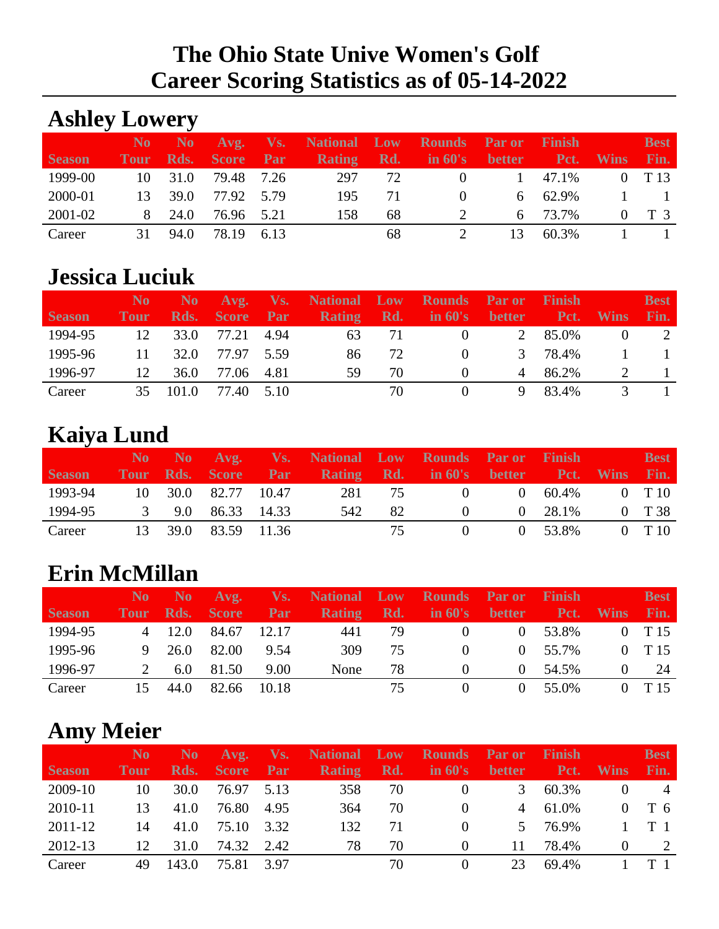#### **Ashley Lowery**

| <b>Season</b> | N <sub>0</sub> |      | Tour Rds. Score Par | No Avg. Vs. National Low Rounds Par or Finish |     | Rating Rd. in 60's better Pct. |    |         | <b>Wins</b> | <b>Best</b><br>Fin. |
|---------------|----------------|------|---------------------|-----------------------------------------------|-----|--------------------------------|----|---------|-------------|---------------------|
| 1999-00       | 10             | 31.0 | 79.48 7.26          | 297                                           | 72. | $\theta$                       |    | 1 47.1% | $\theta$    | T 13                |
| 2000-01       | 13.            | 39.O | 77.92 5.79          | 195                                           | 71  |                                |    | 6 62.9% |             |                     |
| 2001-02       | 8.             | 24.0 | 76.96 5.21          | 158                                           | 68  |                                |    | 6 73.7% | $\theta$    | T 3                 |
| Career        | 31             | 94.0 | 78.19 6.13          |                                               | 68  |                                | 13 | 60.3%   |             |                     |

### **Jessica Luciuk**

|               | N <sub>0</sub> |       |            |            | No Avg. Vs. National Low |    | <b>Rounds</b> Par or |                | <b>Finish</b> |             | <b>Best</b> |
|---------------|----------------|-------|------------|------------|--------------------------|----|----------------------|----------------|---------------|-------------|-------------|
| <b>Season</b> | <b>Tour</b>    |       | Rds. Score | <b>Par</b> | Rating Rd.               |    | in $60's$            | better         | Pct.          | <b>Wins</b> | Fin.        |
| 1994-95       | 12             | 33.0  | 77.21      | -4.94      | 63                       | 71 |                      | 2              | 85.0%         |             |             |
| 1995-96       | 11             | 32.0  | 77.97 5.59 |            | 86                       | 72 |                      | 3              | 78.4%         |             |             |
| 1996-97       | 12             | 36.0  | 77.06 4.81 |            | 59                       | 70 |                      | $\overline{4}$ | 86.2%         |             |             |
| Career        | 35             | 101.0 | 77.40 5.10 |            |                          | 70 |                      | -9             | 83.4%         |             |             |

# **Kaiya Lund**

|               |  |                     | No No Avg. Vs. National Low Rounds Partor Finish             |        |              |                 | <b>Best</b> |
|---------------|--|---------------------|--------------------------------------------------------------|--------|--------------|-----------------|-------------|
| <b>Season</b> |  |                     | Tour Rds. Score Par Rating Rd. in 60's better Pct. Wins Fin. |        |              |                 |             |
| 1993-94       |  | 10 30.0 82.77 10.47 |                                                              | 281 75 | $\mathbf{0}$ | 0 60.4% 0 T 10  |             |
| 1994-95       |  | 3 9.0 86.33 14.33   | 542                                                          | 82     | $\theta$     | $0\quad 28.1\%$ | $0$ T 38    |
| Career        |  | 13 39.0 83.59 11.36 |                                                              | 75.    |              | $0.53.8\%$      | $0$ T $10$  |

# **Erin McMillan**

|               | $\bf No$ |        |                 |            | No Avg. Vs. National Low Rounds Paror Finish |     |          |                     |                 |          | <b>Best</b> |
|---------------|----------|--------|-----------------|------------|----------------------------------------------|-----|----------|---------------------|-----------------|----------|-------------|
| <b>Season</b> |          |        | Tour Rds. Score | <b>Par</b> | Rating Rd.                                   |     |          | in 60's better Pct. |                 | Wins.    | Fin.        |
| 1994-95       |          | 4 12.0 | 84.67 12.17     |            | 441                                          | 79. |          |                     | $0\quad 53.8\%$ | $\Omega$ | T 15        |
| 1995-96       |          | 9 26.0 | 82.00           | 9.54       | 309                                          | 75  |          |                     | $0\quad 55.7\%$ |          | $0$ T 15    |
| 1996-97       |          | 6.0    | 81.50           | 9.00       | None                                         | 78  | $\Omega$ |                     | $0\quad 54.5\%$ |          | -24         |
| Career        | 15       | 44.0   | 82.66 10.18     |            |                                              | 75  |          |                     | $0\quad 55.0\%$ | $\Omega$ | T 15        |

# **Amy Meier**

| <b>Season</b> | N <sub>0</sub><br><b>Tour</b> | No    | A <sub>vg.</sub><br>Rds. Score | $\mathbf{V}\mathbf{s}$ .<br><b>Par</b> | National Low<br><b>Rating</b> | Rd. | <b>Rounds</b> Par or<br>in $60's$ | <b>better</b> | <b>Finish</b><br>Pct. | <b>Wins</b> | <b>Best</b><br>Fin. |
|---------------|-------------------------------|-------|--------------------------------|----------------------------------------|-------------------------------|-----|-----------------------------------|---------------|-----------------------|-------------|---------------------|
| 2009-10       | 10                            | 30.0  | 76.97                          | 5.13                                   | 358                           | 70  | $\theta$                          | 3             | 60.3%                 | $\theta$    | $\overline{4}$      |
| 2010-11       | 13                            | 41.0  | 76.80                          | 4.95                                   | 364                           | 70  | $\theta$                          |               | 4 61.0%               | $\Omega$    | T 6                 |
| 2011-12       | 14                            | 41.0  | 75.10 3.32                     |                                        | 132                           | 71  | $\theta$                          | 5             | 76.9%                 |             | T <sub>1</sub>      |
| 2012-13       | 12                            | 31.0  | 74.32 2.42                     |                                        | 78                            | 70  | $\theta$                          | 11            | 78.4%                 | $\Omega$    |                     |
| Career        | 49                            | 143.0 | 75.81 3.97                     |                                        |                               | 70  |                                   | 23            | 69.4%                 |             | T <sub>1</sub>      |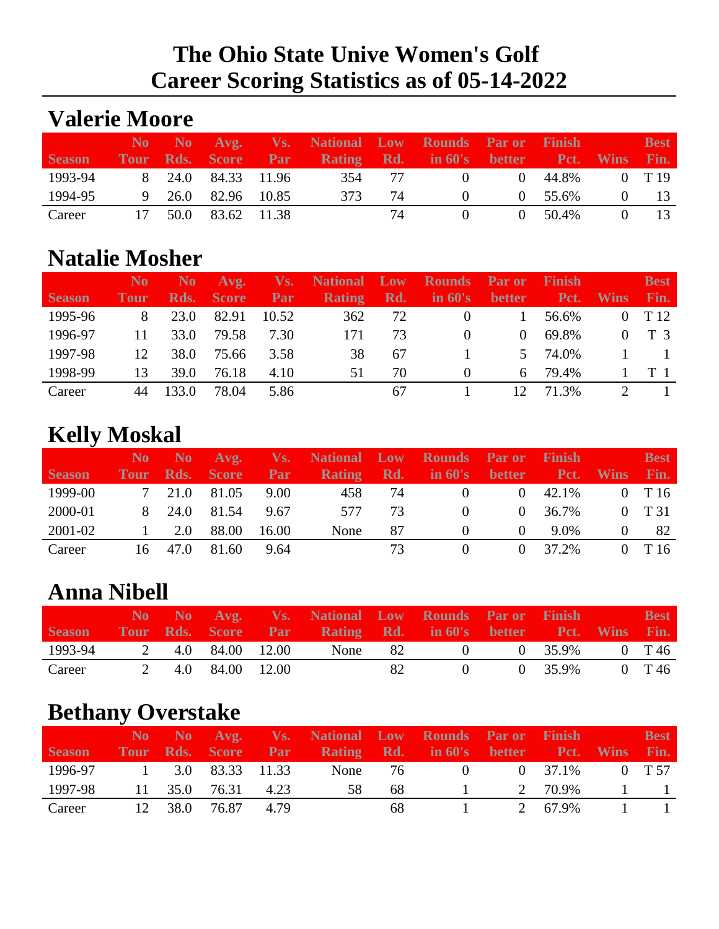### **Valerie Moore**

|               |         |                    | No No Avg. Vs. National Low Rounds Paror Finish              |     |  |                 | <b>Best</b> |
|---------------|---------|--------------------|--------------------------------------------------------------|-----|--|-----------------|-------------|
| <b>Season</b> |         |                    | Tour Rds. Score Par Rating Rd. in 60's better Pct. Wins Fin. |     |  |                 |             |
| 1993-94       |         | 8 24.0 84.33 11.96 | 354                                                          | -77 |  | 0 44.8% 0 T 19  |             |
| 1994-95       | 9 26.0  | 82.96 10.85        | 373                                                          | 74  |  | $0, 55.6\%$     | -13-        |
| Career        | 17 50.0 | 83.62 11.38        |                                                              | 74  |  | $0\quad 50.4\%$ |             |

### **Natalie Mosher**

|               | N <sub>0</sub> | No.   | Avg.       |            | <b>Vs.</b> National Low Rounds |     |           | Par or          | Finish  |           | <b>Best</b>    |
|---------------|----------------|-------|------------|------------|--------------------------------|-----|-----------|-----------------|---------|-----------|----------------|
| <b>Season</b> | <b>Tour</b>    |       | Rds. Score | <b>Par</b> | <b>Rating</b>                  | Rd. | in $60's$ | <b>better</b>   |         | Pct. Wins | Fin.           |
| 1995-96       | 8              | 23.0  | 82.91      | 10.52      | 362                            | 72  |           |                 | 56.6%   |           | $0$ T 12       |
| 1996-97       |                | 33.0  | 79.58      | 7.30       | 171                            | 73  | $\theta$  | $\Omega$        | 69.8%   | $\Omega$  | T 3            |
| 1997-98       | 12             | 38.0  | 75.66      | 3.58       | 38                             | 67  |           | 5               | 74.0%   |           |                |
| 1998-99       | 13             | 39.0  | 76.18      | 4.10       | 51                             | 70  |           |                 | 6 79.4% |           | T <sub>1</sub> |
| Career        | 44             | 133.0 | 78.04      | 5.86       |                                | 67  |           | 12 <sup>°</sup> | 71.3%   |           |                |

# **Kelly Moskal**

|               | $\bf No$    |      |                 |       | No Avg. Vs. National Low Rounds Par or Finish |     |          |                     |         |             | <b>Best</b> |
|---------------|-------------|------|-----------------|-------|-----------------------------------------------|-----|----------|---------------------|---------|-------------|-------------|
| <b>Season</b> |             |      | Tour Rds. Score | Par   | <b>Rating</b>                                 | Rd. |          | in 60's better Pct. |         | <b>Wins</b> | Fin.        |
| 1999-00       | $7^{\circ}$ | 21.0 | 81.05           | 9.00  | 458                                           | 74  |          | $\Omega$            | 42.1%   |             | $0$ T 16    |
| 2000-01       | 8.          | 24.0 | 81.54           | 9.67  | 577                                           | 73  |          | $\theta$            | 36.7%   |             | $0$ T 31    |
| 2001-02       |             | 2.0  | 88.00           | 16.00 | None                                          | 87  | $\Omega$ | $\theta$            | $9.0\%$ |             | 82          |
| Career        | 16          | 47.0 | 81.60           | 9.64  |                                               | 73  |          | $\Omega$            | 37.2%   |             | T 16        |

### **Anna Nibell**

|               |  |                   | No No Avg. Vs. National Low Rounds Paror Finish              |    |              |                 | <b>Best</b>   |
|---------------|--|-------------------|--------------------------------------------------------------|----|--------------|-----------------|---------------|
| <b>Season</b> |  |                   | Tour Rds. Score Par Rating Rd. in 60's better Pct. Wins Fin. |    |              |                 |               |
| 1993-94       |  | 2 4.0 84.00 12.00 | None                                                         | 82 | $\mathbf{O}$ | $0\quad 35.9\%$ | $0$ T 46      |
| Career        |  | 2 4.0 84.00 12.00 |                                                              | 82 | $\mathbf{U}$ | 0 35.9%         | $0 \quad T46$ |

# **Bethany Overstake**

|               |    |         |                   | No No Avg. Vs. National Low Rounds Paror Finish              |      |   |                 | <b>Best</b> |
|---------------|----|---------|-------------------|--------------------------------------------------------------|------|---|-----------------|-------------|
| <b>Season</b> |    |         |                   | Tour Rds. Score Par Rating Rd. in 60's better Pct. Wins Fin. |      |   |                 |             |
| 1996-97       |    |         | 1 3.0 83.33 11.33 | None                                                         | - 76 | 0 | $0\quad 37.1\%$ | $0 \tT 57$  |
| 1997-98       |    | 11 35.0 | 76.31 4.23        | 58                                                           | 68   |   | 2 70.9%         |             |
| Career        | 12 | 38.0    | 76.87 4.79        |                                                              | 68   |   | 2 67.9%         |             |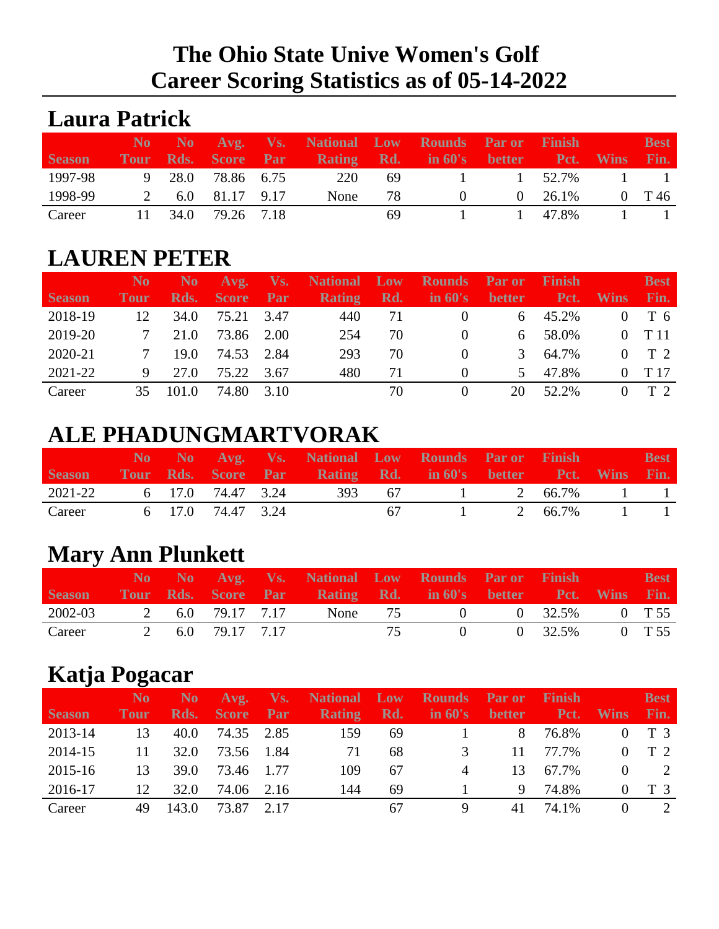# **Laura Patrick**

|               |    |                   | No No Avg. Vs. National Low Rounds Paror Finish         |    |                              |                 | <b>Best</b> |
|---------------|----|-------------------|---------------------------------------------------------|----|------------------------------|-----------------|-------------|
| <b>Season</b> |    |                   | Tour Rds. Score Par Rating Rd. in 60's better Pct. Wins |    |                              |                 | Fin.        |
| 1997-98       |    | 9 28.0 78.86 6.75 | 220                                                     | 69 | $\sim$ 1.0 $\sim$ 1.0 $\sim$ | 1 52.7% 1 1     |             |
| 1998-99       |    | 6.0 81.17 9.17    | None                                                    | 78 |                              | $0\quad 26.1\%$ | 0 T 46      |
| Career        | 11 | 34.0 79.26 7.18   |                                                         | 69 |                              | 1 47.8%         |             |

# **LAUREN PETER**

|               | N <sub>0</sub> | No.   | $AV2$ .    | $\sqrt{V}$ s. | National Low  |     | <b>Rounds</b> Par or |               | Finish  |             | <b>Best</b>         |
|---------------|----------------|-------|------------|---------------|---------------|-----|----------------------|---------------|---------|-------------|---------------------|
| <b>Season</b> | <b>Tour</b>    | Rds.  | Score      | <b>Par</b>    | <b>Rating</b> | Rd. | in $60's$            | better        | Pct.    | <b>Wins</b> | Fin.                |
| 2018-19       | 12             | 34.0  | 75.21 3.47 |               | 440           | 71  | $\theta$             |               | 6 45.2% | $\Omega$    | T 6                 |
| 2019-20       |                | 21.0  | 73.86      | 2.00          | 254           | 70  | $\Omega$             |               | 6 58.0% |             | $0$ T 11            |
| 2020-21       |                | 19.0  | 74.53 2.84 |               | 293           | 70  | $\Omega$             | $\mathcal{R}$ | 64.7%   |             | $0 \quad T \quad 2$ |
| 2021-22       | 9              | 27.0  | 75.22      | 3.67          | 480           | 71  | $\Omega$             | 5             | 47.8%   |             | $0$ T 17            |
| Career        | 35             | 101.0 | 74.80      | 3.10          |               | 70  |                      | 20            | 52.2%   | $\Omega$    |                     |

# **ALE PHADUNGMARTVORAK**

|               |  |                   | No No Avg. Vs. National Low Rounds Paror Finish              |        |                              |             | <b>Best</b> |
|---------------|--|-------------------|--------------------------------------------------------------|--------|------------------------------|-------------|-------------|
| <b>Season</b> |  |                   | Tour Rds. Score Par Rating Rd. in 60's better Pct. Wins Fin. |        |                              |             |             |
| 2021-22       |  | 6 17.0 74.47 3.24 |                                                              | 393 67 | and the property of the con- | 2 66.7% 1 1 |             |
| Career        |  | 6 17.0 74.47 3.24 |                                                              |        | $\mathbf{I}$                 | 2 66.7% 1 1 |             |

# **Mary Ann Plunkett**

|               |  |                  | No No Avg. Vs. National Low Rounds Paror Finish              |               |                     |                |          | <b>Best</b> |
|---------------|--|------------------|--------------------------------------------------------------|---------------|---------------------|----------------|----------|-------------|
| <b>Season</b> |  |                  | Tour Rds. Score Par Rating Rd. in 60's better Pct. Wins Fin. |               |                     |                |          |             |
| 2002-03       |  | 2 6.0 79.17 7.17 | None 75                                                      |               | $\bullet$ $\bullet$ | 0 32.5% 0 T 55 |          |             |
| Career        |  | 2 6.0 79.17 7.17 |                                                              | $\frac{1}{2}$ | $\mathbf{O}$        | 0 32.5%        | $0$ T 55 |             |

# **Katja Pogacar**

|               | N <sub>0</sub> |       |              |            | No Avg. Vs. National Low |     | <b>Rounds</b> Par or |               | <b>Finish</b> |             | <b>Best</b> |
|---------------|----------------|-------|--------------|------------|--------------------------|-----|----------------------|---------------|---------------|-------------|-------------|
| <b>Season</b> | <b>Tour</b>    | Rds.  | <b>Score</b> | <b>Par</b> | <b>Rating</b>            | Rd. | in $60's$            | <b>better</b> | Pct.          | <b>Wins</b> | Fin.        |
| 2013-14       | 13             | 40.0  | 74.35 2.85   |            | 159                      | 69  |                      | 8             | 76.8%         | $\theta$    | T 3         |
| 2014-15       | 11             | 32.0  | 73.56 1.84   |            | 71                       | 68  | 3                    | 11.           | 77.7%         | $\Omega$    | T 2         |
| $2015 - 16$   | 13             | 39.0  | 73.46 1.77   |            | 109                      | 67  | 4                    | 13            | 67.7%         | $\theta$    |             |
| 2016-17       | 12             | 32.0  | 74.06 2.16   |            | 144                      | 69  |                      | 9             | 74.8%         | $\Omega$    | T 3         |
| Career        | 49             | 143.0 | 73.87        | 2.17       |                          | 67  | 9                    | 41            | 74.1%         |             |             |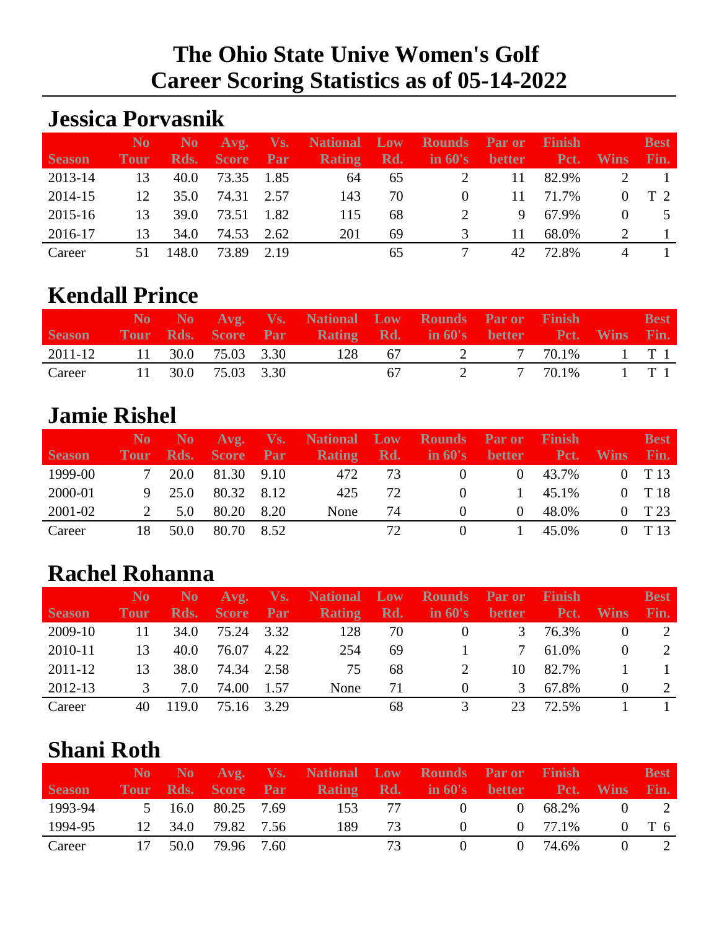#### **Jessica Porvasnik**

|               | N <sub>0</sub> |       | No Avg.    |            | <b>Vs.</b> National Low |     | <b>Rounds</b> Par or |               | Finish      |             | <b>Best</b> |
|---------------|----------------|-------|------------|------------|-------------------------|-----|----------------------|---------------|-------------|-------------|-------------|
| <b>Season</b> | <b>Tour</b>    | Rds.  | Score      | <b>Par</b> | <b>Rating</b>           | Rd. | in $60's$            | <b>better</b> | <b>Pet.</b> | <b>Wins</b> | Fin.        |
| 2013-14       | 13             | 40.0  | 73.35 1.85 |            | 64                      | 65  |                      | 11            | 82.9%       |             |             |
| 2014-15       | 12.            | 35.0  | 74.31 2.57 |            | 143                     | 70  | $\Omega$             | 11            | 71.7%       | $\Omega$    | T 2         |
| 2015-16       | 13             | 39.0  | 73.51      | 1.82       | 115                     | 68  | 2                    | 9             | 67.9%       | $\theta$    |             |
| 2016-17       | 13             | 34.0  | 74.53 2.62 |            | 201                     | 69  | 3                    | 11            | 68.0%       |             |             |
| Career        | 51             | 148.0 | 73.89 2.19 |            |                         | 65  |                      | 42            | 72.8%       |             |             |

# **Kendall Prince**

| <b>Season</b>              |  |                    | No No Avg. Vs. National Low Rounds Paror Finish<br>Tour Rds. Score Par Rating Rd. in 60's better Pct. Wins Fin. |        |   |               | <b>Best</b> |
|----------------------------|--|--------------------|-----------------------------------------------------------------------------------------------------------------|--------|---|---------------|-------------|
| 2011-12 11 30.0 75.03 3.30 |  |                    |                                                                                                                 | 128 67 | 2 | 7 70.1% 1 T 1 |             |
| Career                     |  | 11 30.0 75.03 3.30 |                                                                                                                 | 67     | 2 | 7 70.1% 1 T 1 |             |

### **Jamie Rishel**

|               | No.         | No.  |            |            | Avg. Vs. National Low |     | <b>Rounds</b> | <b>Par or</b> | <b>Finish</b> |             | <b>Best</b> |
|---------------|-------------|------|------------|------------|-----------------------|-----|---------------|---------------|---------------|-------------|-------------|
| <b>Season</b> | <b>Tour</b> |      | Rds. Score | <b>Par</b> | <b>Rating</b>         | Rd. | in $60's$     | <b>better</b> | Pct.          | <b>Wins</b> | Fin.        |
| 1999-00       |             | 20.0 | 81.30 9.10 |            | 472                   | 73  | $\theta$      | $\Omega$      | 43.7%         |             | T 13        |
| 2000-01       | 9           | 25.0 | 80.32 8.12 |            | 425                   | 72  |               |               | 45.1%         | $\Omega$    | T 18        |
| 2001-02       |             | 5.0  | 80.20      | 8.20       | None                  | 74  | $\theta$      | $\Omega$      | 48.0%         | $\theta$    | T 23        |
| Career        | 18          | 50.0 | 80.70 8.52 |            |                       | 72. |               |               | 45.0%         |             | T 13        |

### **Rachel Rohanna**

| <b>Season</b> | N <sub>0</sub><br><b>Tour</b> | No.   | Avg.<br>Rds. Score | Vs.<br>Par | National Low<br><b>Rating</b> | Rd. | <b>Rounds</b><br>in $60's$ | Par or<br><b>better</b> | <b>Finish</b><br>Pct. | <b>Wins</b> | <b>Best</b><br>Fin. |
|---------------|-------------------------------|-------|--------------------|------------|-------------------------------|-----|----------------------------|-------------------------|-----------------------|-------------|---------------------|
| 2009-10       | 11                            | 34.0  | 75.24 3.32         |            | 128                           | 70  | $\theta$                   | 3                       | 76.3%                 |             |                     |
| 2010-11       | 13                            | 40.0  | 76.07              | 4.22       | 254                           | 69  |                            | 7                       | 61.0%                 |             |                     |
| 2011-12       | 13                            | 38.0  | 74.34 2.58         |            | 75                            | 68  |                            | 10                      | 82.7%                 |             |                     |
| 2012-13       |                               | 7.0   | 74.00              | 1.57       | None                          | 71  | $\Omega$                   | 3                       | 67.8%                 |             |                     |
| Career        | 40                            | 119.0 | 75.16 3.29         |            |                               | 68  |                            | 23                      | 72.5%                 |             |                     |

# **Shani Roth**

|               |         |                   | No No Avg. Vs. National Low Rounds Paror Finish         |     |  |                 |          | <b>Best</b> |
|---------------|---------|-------------------|---------------------------------------------------------|-----|--|-----------------|----------|-------------|
| <b>Season</b> |         |                   | Tour Rds. Score Par Rating Rd. in 60's better Pct. Wins |     |  |                 |          | Fin.        |
| 1993-94       |         | 5 16.0 80.25 7.69 | 153                                                     | 77  |  | 0 68.2%         |          | $0\qquad 2$ |
| 1994-95       | 12 34.0 | 79.82 7.56        | 189                                                     | 73  |  | $0\quad 77.1\%$ |          | $0$ T 6     |
| Career        | 17 50.0 | 79.96 7.60        |                                                         | 73. |  | $0\quad 74.6\%$ | $\Omega$ |             |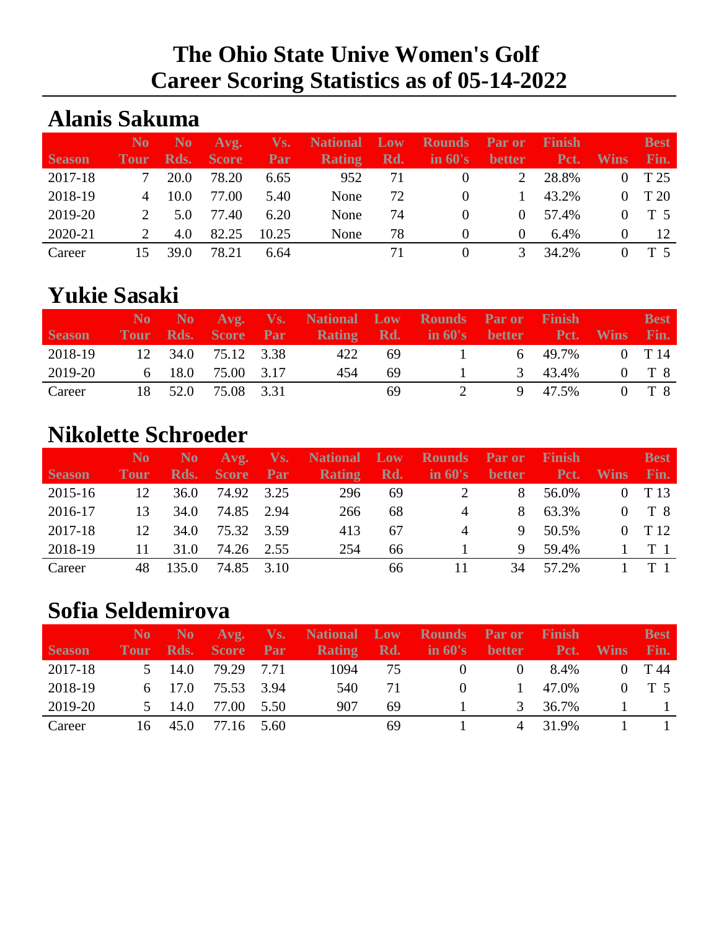#### **Alanis Sakuma**

|               | No.         |      | $N_0$ Avg.   |       | <b>Vs.</b> National Low |     | <b>Rounds</b> Par or |               | <b>Finish</b> |             | <b>Best</b> |
|---------------|-------------|------|--------------|-------|-------------------------|-----|----------------------|---------------|---------------|-------------|-------------|
| <b>Season</b> | <b>Tour</b> | Rds. | <b>Score</b> | Par   | <b>Rating</b>           | Rd. | in $60's$            | <b>better</b> | Pct.          | <b>Wins</b> | Fin.        |
| 2017-18       | 7           | 20.0 | 78.20        | 6.65  | 952                     | 71  | $\Omega$             | 2             | 28.8%         | $\theta$    | T 25        |
| 2018-19       | 4           | 10.0 | 77.00        | 5.40  | None                    | 72  | $\Omega$             |               | 43.2%         | 0           | T 20        |
| 2019-20       |             | 5.0  | 77.40        | 6.20  | None                    | 74  | $\Omega$             | $\Omega$      | 57.4%         | $\Omega$    | T 5         |
| 2020-21       |             | 4.0  | 82.25        | 10.25 | None                    | 78  |                      | $\Omega$      | $6.4\%$       |             |             |
| Career        | 15          | 39.0 | 78.21        | 6.64  |                         |     |                      | $\mathcal{R}$ | 34.2%         |             |             |

### **Yukie Sasaki**

|               |         |                    | No No Avg. Vs. National Low Rounds Paror Finish              |     |               |         | <b>Best</b>         |
|---------------|---------|--------------------|--------------------------------------------------------------|-----|---------------|---------|---------------------|
| <b>Season</b> |         |                    | Tour Rds. Score Par Rating Rd. in 60's better Pct. Wins Fin. |     |               |         |                     |
| 2018-19       |         | 12 34.0 75.12 3.38 | 422                                                          | -69 | $-1$ and $-1$ | 6 49.7% | $0 \quad T14$       |
| 2019-20       | 6 18.0  | 75.00 3.17         | 454                                                          | 69  |               | 3 43.4% | $0$ T $8$           |
| Career        | 18 52.0 | 75.08 3.31         |                                                              | 69  |               | 9 47.5% | $0 \quad T \quad 8$ |

# **Nikolette Schroeder**

|               | No.         |       |                | No Avg. Vs. National Low Rounds Paror |    |   |                | Finish |             | <b>Best</b>    |
|---------------|-------------|-------|----------------|---------------------------------------|----|---|----------------|--------|-------------|----------------|
| <b>Season</b> | <b>Tour</b> |       | Rds. Score Par | Rating Rd.                            |    |   | in 60's better | Pct.   | <b>Wins</b> | Fin.           |
| 2015-16       | 12          | 36.0  | 74.92 3.25     | 296                                   | 69 |   | 8              | 56.0%  | $\Omega$    | T 13           |
| 2016-17       | 13          | 34.0  | 74.85 2.94     | 266                                   | 68 | 4 | 8              | 63.3%  |             | $0$ T $8$      |
| 2017-18       | 12          | 34.0  | 75.32 3.59     | 413                                   | 67 | 4 | 9.             | 50.5%  | $\Omega$    | T 12           |
| 2018-19       | 11          | 31.0  | 74.26 2.55     | 254                                   | 66 |   | 9              | 59.4%  |             | T <sub>1</sub> |
| Career        | 48          | 135.0 | 74.85 3.10     |                                       | 66 |   | 34             | 57.2%  |             |                |

# **Sofia Seldemirova**

|               |         |                     | No No Avg. Vs. National Low Rounds Paror Finish |    |                                |              |         |             | <b>Best</b>         |
|---------------|---------|---------------------|-------------------------------------------------|----|--------------------------------|--------------|---------|-------------|---------------------|
| <b>Season</b> |         | Tour Rds. Score Par |                                                 |    | Rating Rd. in 60's better Pct. |              |         | <b>Wins</b> | Fin.                |
| 2017-18       | 5 14.0  | 79.29 7.71          | 1094                                            | 75 | $\Omega$                       | $\theta$     | 8.4%    | $\Omega$    | T 44                |
| 2018-19       | 6 17.0  | 75.53 3.94          | 540                                             | 71 | $\theta$                       | $\mathbf{L}$ | 47.0%   |             | $0 \quad T \quad 5$ |
| 2019-20       | 5 14.0  | 77.00 5.50          | 907                                             | 69 |                                | 3            | 36.7%   |             |                     |
| Career        | 16 45.0 | 77.16 5.60          |                                                 | 69 |                                |              | 4 31.9% |             |                     |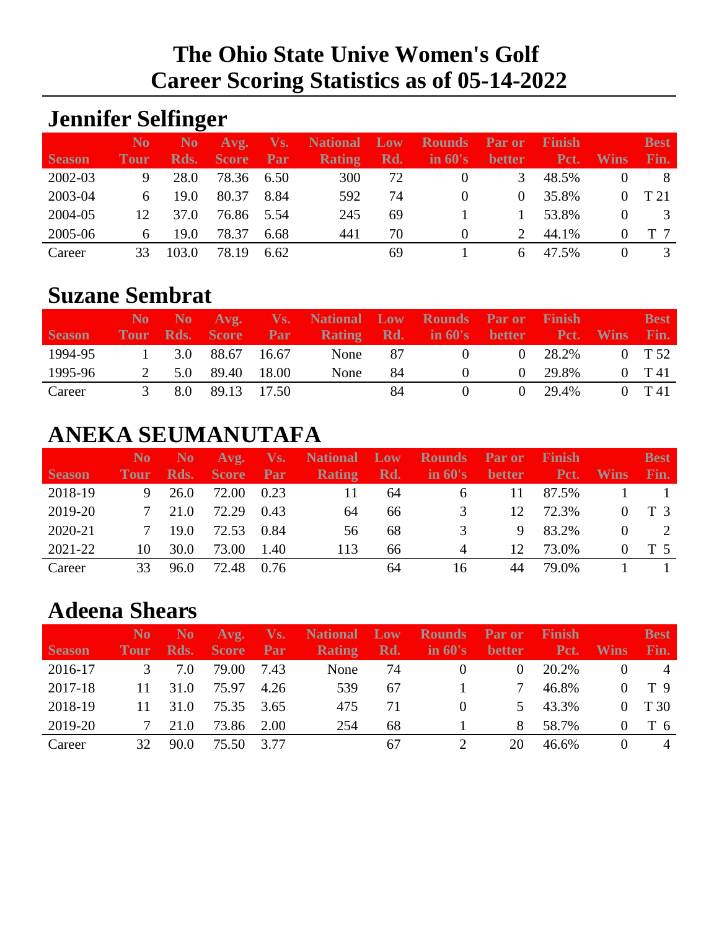#### **Jennifer Selfinger**

|               | N <sub>0</sub> | No.   | Avg.         | Vs.  | <b>National Low</b> |     | <b>Rounds</b> | Par or        | <b>Finish</b> |             | <b>Best</b> |
|---------------|----------------|-------|--------------|------|---------------------|-----|---------------|---------------|---------------|-------------|-------------|
| <b>Season</b> | <b>Tour</b>    | Rds.  | <b>Score</b> | Par  | <b>Rating</b>       | Rd. | in $60's$     | <b>better</b> | Pct.          | <b>Wins</b> | Fin.        |
| 2002-03       | 9              | 28.0  | 78.36 6.50   |      | 300                 | 72  | $\theta$      | 3             | 48.5%         |             |             |
| 2003-04       | 6              | 19.0  | 80.37        | 8.84 | 592                 | 74  | $\Omega$      | $\Omega$      | 35.8%         | 0           | T 21        |
| 2004-05       | 12.            | 37.0  | 76.86 5.54   |      | 245                 | 69  |               |               | 53.8%         | $\theta$    |             |
| 2005-06       | 6              | 19.0  | 78.37        | 6.68 | 441                 | 70  | $\Omega$      | 2             | 44.1%         |             |             |
| Career        | 33             | 103.0 | 78.19        | 6.62 |                     | 69  |               | 6             | 47.5%         | $\theta$    |             |

### **Suzane Sembrat**

|               |                 |     |                 |             | No No Avg. Vs. National Low Rounds Paror Finish     |     |          |          |                 | <b>Best</b> |
|---------------|-----------------|-----|-----------------|-------------|-----------------------------------------------------|-----|----------|----------|-----------------|-------------|
| <b>Season</b> |                 |     | Tour Rds. Score |             | <b>Par Rating Rd. in 60's better Pct. Wins Fin.</b> |     |          |          |                 |             |
| 1994-95       | $\mathbf{1}$    | 3.0 | 88.67 16.67     |             | None                                                | -87 | $\theta$ |          | $0\quad 28.2\%$ | $0$ T 52    |
| 1995-96       |                 | 5.0 |                 | 89.40 18.00 | None                                                | 84  |          | $\Omega$ | 29.8%           | $0$ T 41    |
| Career        | $\mathcal{R}^-$ | 8.0 |                 | 89.13 17.50 |                                                     | 84  |          |          | $0\quad 29.4\%$ | $0$ T 41    |

# **ANEKA SEUMANUTAFA**

|               |             |      | No No Avg. Vs. |      | <b>National Low</b> |     | <b>Rounds</b> | <b>Par or</b> | Finish |             | <b>Best</b> |
|---------------|-------------|------|----------------|------|---------------------|-----|---------------|---------------|--------|-------------|-------------|
| <b>Season</b> | <b>Tour</b> | Rds. | <b>Score</b>   | Par  | Rating              | Rd. | in $60's$     | <b>better</b> | Pct.   | <b>Wins</b> | Fin.        |
| 2018-19       | -9          | 26.0 | 72.00          | 0.23 | 11                  | 64  | 6             | 11            | 87.5%  |             |             |
| 2019-20       |             | 21.0 | 72.29          | 0.43 | 64                  | 66  | 3             | 12            | 72.3%  | $\theta$    | T 3         |
| 2020-21       |             | 19.0 | 72.53          | 0.84 | 56                  | 68  | 3             | -9            | 83.2%  | $\theta$    |             |
| 2021-22       | 10          | 30.0 | 73.00          | 1.40 | 113                 | 66  | 4             | 12            | 73.0%  | $\theta$    | T 5         |
| Career        | 33          | 96.0 | 72.48          | 0.76 |                     | 64  | 16            | 44            | 79.0%  |             |             |

### **Adeena Shears**

|               | No.         | No.  | Avg.         | $\mathbf{V}\mathbf{s}$ . | National Low  |     | <b>Rounds</b> | <b>Par or</b> | <b>Finish</b> |             | <b>Best</b>    |
|---------------|-------------|------|--------------|--------------------------|---------------|-----|---------------|---------------|---------------|-------------|----------------|
| <b>Season</b> | <b>Tour</b> | Rds. | <b>Score</b> | Par                      | <b>Rating</b> | Rd. | in $60's$     | <b>better</b> | Pct.          | <b>Wins</b> | Fin.           |
| 2016-17       | 3           | 7.0  | 79.00        | 7.43                     | None          | 74  | $\theta$      | $\theta$      | 20.2%         | $\theta$    | 4              |
| 2017-18       | 11          | 31.0 | 75.97        | 4.26                     | 539           | 67  |               |               | 46.8%         | $\theta$    | T 9            |
| 2018-19       | 11          | 31.0 | 75.35        | 3.65                     | 475           | 71  | $\theta$      | 5             | 43.3%         | $\theta$    | T 30           |
| 2019-20       | 7           | 21.0 | 73.86        | 2.00                     | 254           | 68  |               | 8             | 58.7%         | $\theta$    | Т 6            |
| Career        | 32          | 90.0 | 75.50        | 3.77                     |               | 67  |               | 20            | 46.6%         | 0           | $\overline{4}$ |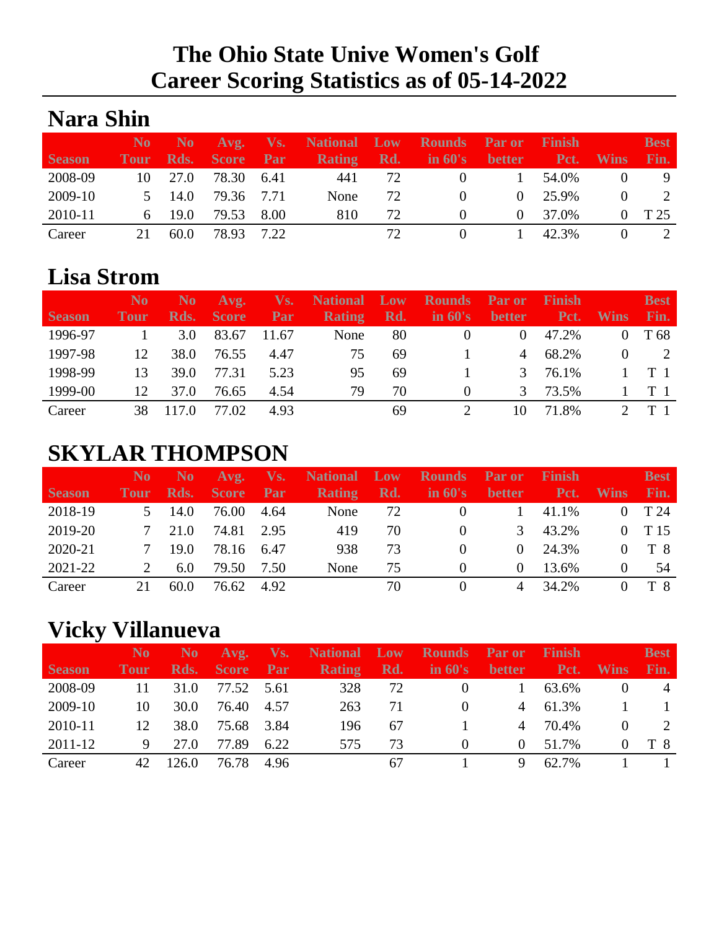#### **Nara Shin**

| <b>Season</b> | No.         | No 7   |                |      | Avg. Vs. National Low Rounds Paror |     |                         |              | <b>Finish</b> |             | <b>Best</b><br>Fin. |
|---------------|-------------|--------|----------------|------|------------------------------------|-----|-------------------------|--------------|---------------|-------------|---------------------|
|               | <b>Tour</b> |        | Rds. Score Par |      | <b>Rating</b>                      |     | Rd. in 60's better Pct. |              |               | <b>Wins</b> |                     |
| 2008-09       | 10          | 27.0   | 78.30 6.41     |      | 441                                | 72  | $\theta$                | $\mathbf{1}$ | 54.0%         |             |                     |
| 2009-10       | 5.          | 14.0   | 79.36 7.71     |      | None                               | 72  | $\theta$                | $\theta$     | 25.9%         |             |                     |
| 2010-11       |             | 6 19.0 | 79.53          | 8.00 | 810                                | 72. | $\theta$                | $\Omega$     | 37.0%         | $\theta$    | T 25                |
| Career        | 21          | 60.0   | 78.93 7.22     |      |                                    | 72. |                         |              | 42.3%         | $\theta$    |                     |

### **Lisa Strom**

|               | N <sub>0</sub> | N <sub>0</sub> | Avg.       |       | <b>Vs.</b> National Low |     | <b>Rounds</b> Par or |               | <b>Finish</b> |             | <b>Best</b>    |
|---------------|----------------|----------------|------------|-------|-------------------------|-----|----------------------|---------------|---------------|-------------|----------------|
| <b>Season</b> | Tour           |                | Rds. Score | Par   | <b>Rating</b>           | Rd. | in $60's$            | <b>better</b> | Pct.          | <b>Wins</b> | Fin.           |
| 1996-97       |                | 3.0            | 83.67      | 11.67 | None                    | 80  | $\theta$             | $\theta$      | 47.2%         | $\theta$    | T 68           |
| 1997-98       | 12             | 38.0           | 76.55      | 4.47  | 75                      | 69  |                      | 4             | 68.2%         | $\theta$    |                |
| 1998-99       | 13             | 39.0           | 77.31      | 5.23  | 95                      | 69  |                      | $\mathcal{R}$ | 76.1%         |             |                |
| 1999-00       | 12             | 37.0           | 76.65      | 4.54  | 79                      | 70  | $\Omega$             | 3             | 73.5%         |             | T <sub>1</sub> |
| Career        | 38             | 117.0          | 77.02      | 4.93  |                         | 69  |                      | 10            | 71.8%         |             |                |

# **SKYLAR THOMPSON**

| <b>Season</b> | No.<br><b>Tour</b> | N <sub>0</sub><br>Rds. | Avg.<br><b>Score</b> | Vs.<br>Par | National Low<br><b>Rating</b> | Rd. | <b>Rounds</b><br>in $60's$ | Par or<br>better | <b>Finish</b><br>Pct. | <b>Wins</b> | <b>Best</b><br>Fin. |
|---------------|--------------------|------------------------|----------------------|------------|-------------------------------|-----|----------------------------|------------------|-----------------------|-------------|---------------------|
| 2018-19       |                    | 14.0                   | 76.00                | 4.64       | None                          | 72  |                            |                  | 41.1%                 |             | T 24                |
| 2019-20       | 7                  | 21.0                   | 74.81                | 2.95       | 419                           | 70  | $\theta$                   | 3                | 43.2%                 | $\Omega$    | T 15                |
| 2020-21       |                    | 19.0                   | 78.16                | 6.47       | 938                           | 73  | $\theta$                   | $\Omega$         | 24.3%                 | $\theta$    | T 8                 |
| 2021-22       |                    | 6.0                    | 79.50                | 7.50       | None                          | 75  | $\theta$                   | $\Omega$         | 13.6%                 |             | 54                  |
| Career        | 21                 | 60.0                   | 76.62                | 4.92       |                               | 70  | $\theta$                   | 4                | 34.2%                 |             |                     |

## **Vicky Villanueva**

|               | N <sub>0</sub>  | No.   | A <sub>vg.</sub> | Vs.        | <b>National Low</b> |     | <b>Rounds</b> | Par or        | <b>Finish</b> |             | <b>Best</b> |
|---------------|-----------------|-------|------------------|------------|---------------------|-----|---------------|---------------|---------------|-------------|-------------|
| <b>Season</b> | <b>Tour</b>     | Rds.  | <b>Score</b>     | <b>Par</b> | <b>Rating</b>       | Rd. | in $60's$     | <b>better</b> | Pct.          | <b>Wins</b> | Fin.        |
| 2008-09       | 11              | 31.0  | 77.52 5.61       |            | 328                 | 72  | $\theta$      |               | 63.6%         |             | 4           |
| 2009-10       | 10              | 30.0  | 76.40            | 4.57       | 263                 | 71  | $\Omega$      | 4             | 61.3%         |             |             |
| 2010-11       | 12 <sub>1</sub> | 38.0  | 75.68            | 3.84       | 196                 | 67  |               | 4             | 70.4%         | $\Omega$    |             |
| 2011-12       | 9               | 27.0  | 77.89            | 6.22       | 575                 | 73  | $\Omega$      | $\theta$      | 51.7%         | $\Omega$    | T 8         |
| Career        | 42              | 126.0 | 76.78            | 4.96       |                     | 67  |               | 9             | 62.7%         |             |             |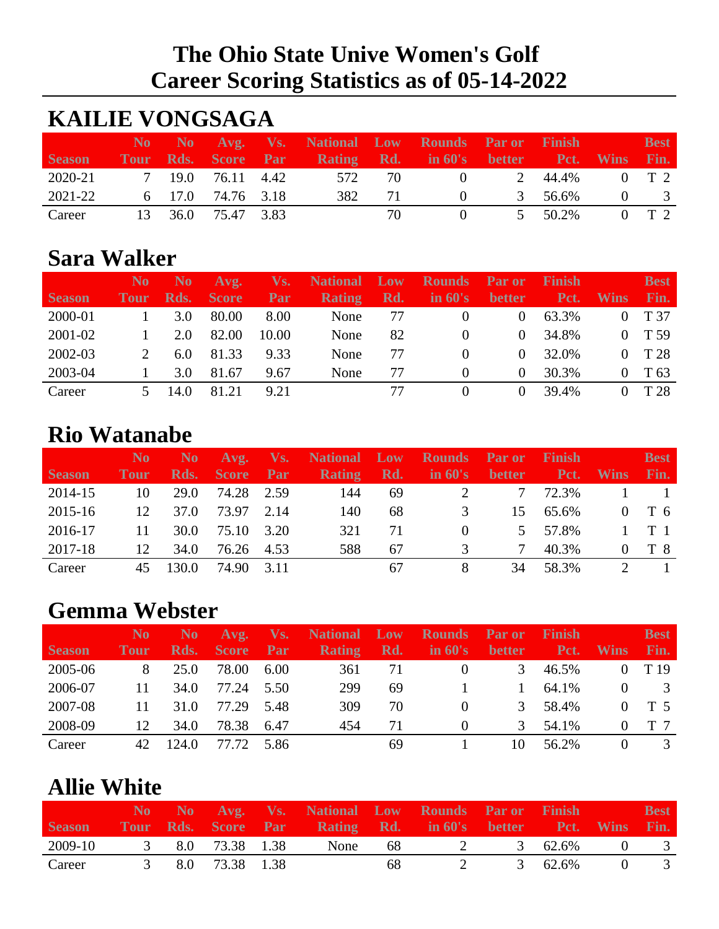### **KAILIE VONGSAGA**

|               |  |                    | No No Avg. Vs. National Low Rounds Paror Finish              |    |          |               | <b>Best</b>  |
|---------------|--|--------------------|--------------------------------------------------------------|----|----------|---------------|--------------|
| <b>Season</b> |  |                    | Tour Rds. Score Par Rating Rd. in 60's better Pct. Wins Fin. |    |          |               |              |
| 2020-21       |  | 7 19.0 76.11 4.42  | 572                                                          | 70 | $\Omega$ | 2 44.4% 0 T 2 |              |
| 2021-22       |  | 6 17.0 74.76 3.18  | 382                                                          | 71 |          | 3 56.6%       | $0 \qquad 3$ |
| Career        |  | 13 36.0 75.47 3.83 |                                                              | 70 |          | 5 50.2%       | $0$ T 2      |

### **Sara Walker**

|               | No          | No.  | Avg.         | Vs.   | <b>National Low</b> |     | <b>Rounds</b> Par or |               | <b>Finish</b> |             | <b>Best</b> |
|---------------|-------------|------|--------------|-------|---------------------|-----|----------------------|---------------|---------------|-------------|-------------|
| <b>Season</b> | <b>Tour</b> | Rds. | <b>Score</b> | Par   | <b>Rating</b>       | Rd. | in $60's$            | <b>better</b> | Pct.          | <b>Wins</b> | Fin.        |
| 2000-01       |             | 3.0  | 80.00        | 8.00  | None                | 77  |                      | $\theta$      | 63.3%         | $\theta$    | T 37        |
| 2001-02       |             | 2.0  | 82.00        | 10.00 | None                | 82  |                      | $\Omega$      | 34.8%         |             | $0$ T 59    |
| 2002-03       |             | 6.0  | 81.33        | 9.33  | None                | 77  | $\Omega$             | $\Omega$      | 32.0%         |             | $0$ T 28    |
| 2003-04       |             | 3.0  | 81.67        | 9.67  | None                | 77  | $\Omega$             | $\Omega$      | 30.3%         |             | $0$ T 63    |
| Career        |             | 14.0 | 81.21        | 9.21  |                     |     |                      | $\Omega$      | 39.4%         | 0           | T 28        |

### **Rio Watanabe**

|               | No.         | N <sub>0</sub> |                | Avg. Vs. National Low |    | <b>Rounds</b> Par or |        | <b>Finish</b> |          | <b>Best</b>    |
|---------------|-------------|----------------|----------------|-----------------------|----|----------------------|--------|---------------|----------|----------------|
| <b>Season</b> | <b>Tour</b> |                | Rds. Score Par | Rating Rd.            |    | $\ln 60$ 's          | better | Pct.          | Wins.    | Fin.           |
| 2014-15       | 10          | 29.0           | 74.28 2.59     | 144                   | 69 |                      | 7      | 72.3%         |          |                |
| $2015 - 16$   | 12          | 37.0           | 73.97 2.14     | 140                   | 68 | 3                    | 15     | 65.6%         | $\theta$ | T 6            |
| 2016-17       | 11          | 30.0           | 75.10 3.20     | 321                   | 71 | $\Omega$             |        | 5 57.8%       |          | T <sub>1</sub> |
| 2017-18       | 12          | 34.0           | 76.26 4.53     | 588                   | 67 | 3                    | 7      | 40.3%         | $\Omega$ | T 8            |
| Career        | 45          | 130.0          | 74.90 3.11     |                       | 67 | 8                    | 34     | 58.3%         |          |                |

# **Gemma Webster**

|               | N <sub>0</sub> | N <sub>0</sub> | Avg.         | Vs.  | <b>National Low</b> |     | <b>Rounds</b> | <b>Par or</b> | <b>Finish</b> |             | <b>Best</b> |
|---------------|----------------|----------------|--------------|------|---------------------|-----|---------------|---------------|---------------|-------------|-------------|
| <b>Season</b> | <b>Tour</b>    | Rds.           | <b>Score</b> | Par  | <b>Rating</b>       | Rd. | in $60's$     | better        | Pct.          | <b>Wins</b> | Fin.        |
| 2005-06       | 8              | 25.0           | 78.00        | 6.00 | 361                 | 71  | $\theta$      | 3             | 46.5%         | $\theta$    | T 19        |
| 2006-07       | 11             | 34.0           | 77.24 5.50   |      | 299                 | 69  |               |               | 64.1%         |             |             |
| 2007-08       | 11             | 31.0           | 77.29        | 5.48 | 309                 | 70  | $\theta$      | 3             | 58.4%         | $\theta$    | T 5         |
| 2008-09       | 12             | 34.0           | 78.38        | 6.47 | 454                 | 71  | $\Omega$      | 3             | 54.1%         | $\theta$    |             |
| Career        | 42             | 124.0          | 77.72 5.86   |      |                     | 69  |               | 10            | 56.2%         | $\theta$    |             |

### **Allie White**

|               |  |                  | No No Avg. Vs. National Low Rounds Paror Finish              |         |              |             | <b>Best</b> |
|---------------|--|------------------|--------------------------------------------------------------|---------|--------------|-------------|-------------|
| <b>Season</b> |  |                  | Tour Rds. Score Par Rating Rd. in 60's better Pct. Wins Fin. |         |              |             |             |
| 2009-10       |  | 3 8.0 73.38 1.38 |                                                              | None 68 | 2            | 3 62.6% 0 3 |             |
| Career        |  | 3 8.0 73.38 1.38 |                                                              | 68      | <sup>2</sup> | 3 62.6%     | $0 \quad 3$ |